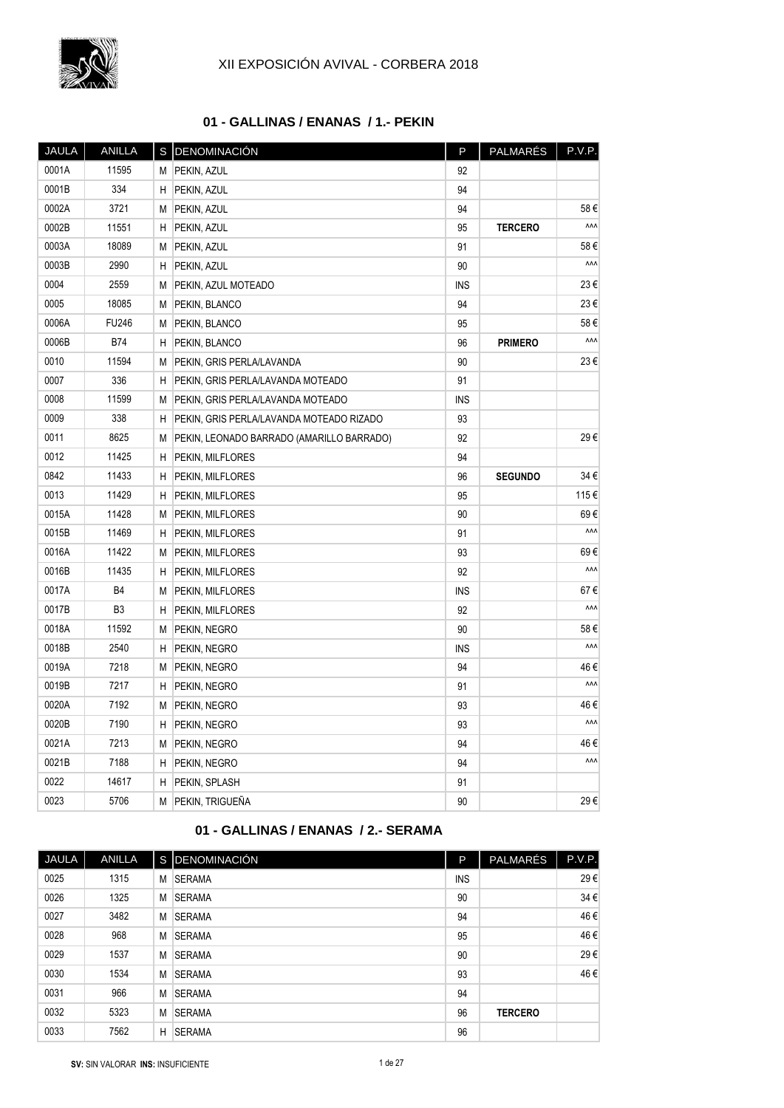

## **01 - GALLINAS / ENANAS / 1.- PEKIN**

| <b>JAULA</b> | <b>ANILLA</b> | s | DENOMINACIÓN                              | P          | PALMARÉS       | P.V.P. |
|--------------|---------------|---|-------------------------------------------|------------|----------------|--------|
| 0001A        | 11595         | М | PEKIN, AZUL                               | 92         |                |        |
| 0001B        | 334           | н | PEKIN, AZUL                               | 94         |                |        |
| 0002A        | 3721          | М | PEKIN, AZUL                               | 94         |                | 58€    |
| 0002B        | 11551         | Η | PEKIN, AZUL                               | 95         | <b>TERCERO</b> | ۸ΛΛ    |
| 0003A        | 18089         | М | PEKIN, AZUL                               | 91         |                | 58€    |
| 0003B        | 2990          | Η | PEKIN, AZUL                               | 90         |                | ۸ΛΛ    |
| 0004         | 2559          | M | PEKIN, AZUL MOTEADO                       | <b>INS</b> |                | 23€    |
| 0005         | 18085         | М | PEKIN, BLANCO                             | 94         |                | 23€    |
| 0006A        | FU246         | M | PEKIN, BLANCO                             | 95         |                | 58€    |
| 0006B        | B74           | н | PEKIN, BLANCO                             | 96         | PRIMERO        | ۸۸۸    |
| 0010         | 11594         | М | PEKIN, GRIS PERLA/LAVANDA                 | 90         |                | 23€    |
| 0007         | 336           | Η | PEKIN, GRIS PERLA/LAVANDA MOTEADO         | 91         |                |        |
| 0008         | 11599         | М | PEKIN, GRIS PERLA/LAVANDA MOTEADO         | <b>INS</b> |                |        |
| 0009         | 338           | Η | PEKIN, GRIS PERLA/LAVANDA MOTEADO RIZADO  | 93         |                |        |
| 0011         | 8625          | М | PEKIN, LEONADO BARRADO (AMARILLO BARRADO) | 92         |                | 29€    |
| 0012         | 11425         | Н | PEKIN, MILFLORES                          | 94         |                |        |
| 0842         | 11433         | Η | PEKIN, MILFLORES                          | 96         | <b>SEGUNDO</b> | 34€    |
| 0013         | 11429         | н | PEKIN, MILFLORES                          | 95         |                | 115€   |
| 0015A        | 11428         | М | PEKIN, MILFLORES                          | 90         |                | 69€    |
| 0015B        | 11469         | Н | PEKIN, MILFLORES                          | 91         |                | ۸ΛΛ    |
| 0016A        | 11422         | М | PEKIN, MILFLORES                          | 93         |                | 69€    |
| 0016B        | 11435         | Η | PEKIN, MILFLORES                          | 92         |                | ۸ΛΛ    |
| 0017A        | B4            | M | PEKIN, MILFLORES                          | <b>INS</b> |                | 67€    |
| 0017B        | B3            | Η | PEKIN, MILFLORES                          | 92         |                | ۸ΛΛ    |
| 0018A        | 11592         | M | PEKIN, NEGRO                              | 90         |                | 58€    |
| 0018B        | 2540          | Η | PEKIN, NEGRO                              | <b>INS</b> |                | ۸ΛΛ    |
| 0019A        | 7218          | М | PEKIN, NEGRO                              | 94         |                | 46 €   |
| 0019B        | 7217          | Η | PEKIN, NEGRO                              | 91         |                | ۸ΛΛ    |
| 0020A        | 7192          | М | PEKIN, NEGRO                              | 93         |                | 46€    |
| 0020B        | 7190          | Η | PEKIN, NEGRO                              | 93         |                | ۸ΛΛ    |
| 0021A        | 7213          | M | PEKIN, NEGRO                              | 94         |                | 46 €   |
| 0021B        | 7188          | н | PEKIN, NEGRO                              | 94         |                | ۸ΛΛ    |
| 0022         | 14617         | Η | PEKIN, SPLASH                             | 91         |                |        |
| 0023         | 5706          | М | PEKIN, TRIGUEÑA                           | 90         |                | 29€    |

## **01 - GALLINAS / ENANAS / 2.- SERAMA**

| <b>JAULA</b> | <b>ANILLA</b> |   | S DENOMINACIÓN | P          | <b>PALMARÉS</b> | P.V.P. |
|--------------|---------------|---|----------------|------------|-----------------|--------|
| 0025         | 1315          | M | <b>SERAMA</b>  | <b>INS</b> |                 | 29€    |
| 0026         | 1325          | M | <b>SERAMA</b>  | 90         |                 | 34€    |
| 0027         | 3482          | M | <b>SERAMA</b>  | 94         |                 | 46€    |
| 0028         | 968           | M | <b>SERAMA</b>  | 95         |                 | 46€    |
| 0029         | 1537          | M | <b>SERAMA</b>  | 90         |                 | 29€    |
| 0030         | 1534          | M | <b>SERAMA</b>  | 93         |                 | 46€    |
| 0031         | 966           | M | <b>SERAMA</b>  | 94         |                 |        |
| 0032         | 5323          | M | <b>SERAMA</b>  | 96         | <b>TERCERO</b>  |        |
| 0033         | 7562          | H | <b>SERAMA</b>  | 96         |                 |        |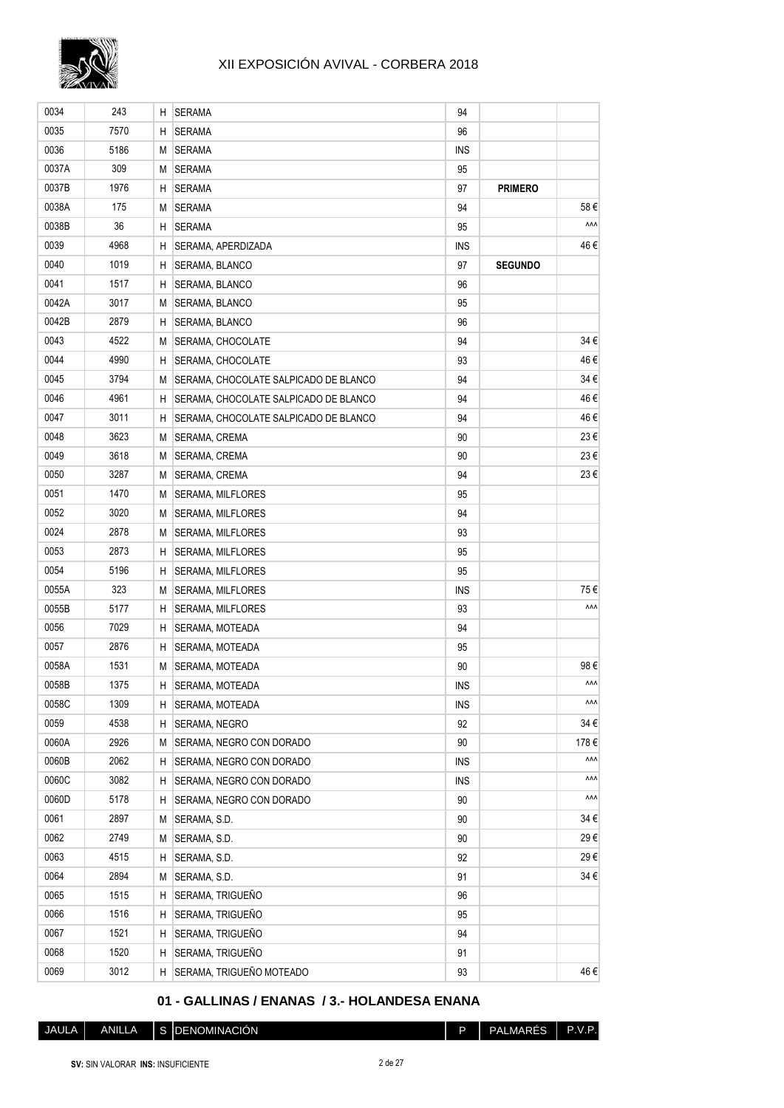

| 0034  | 243  | Н. | <b>SERAMA</b>                         | 94         |                |      |
|-------|------|----|---------------------------------------|------------|----------------|------|
| 0035  | 7570 | н  | <b>SERAMA</b>                         | 96         |                |      |
| 0036  | 5186 | М  | <b>SERAMA</b>                         | <b>INS</b> |                |      |
| 0037A | 309  | М  | <b>SERAMA</b>                         | 95         |                |      |
| 0037B | 1976 | H  | <b>SERAMA</b>                         | 97         | <b>PRIMERO</b> |      |
| 0038A | 175  | М  | <b>SERAMA</b>                         | 94         |                | 58€  |
| 0038B | 36   | H  | <b>SERAMA</b>                         | 95         |                | ۸۸Λ  |
| 0039  | 4968 | H  | SERAMA, APERDIZADA                    | <b>INS</b> |                | 46 € |
| 0040  | 1019 | H  | SERAMA, BLANCO                        | 97         | <b>SEGUNDO</b> |      |
| 0041  | 1517 | H. | SERAMA, BLANCO                        | 96         |                |      |
| 0042A | 3017 | М  | SERAMA, BLANCO                        | 95         |                |      |
| 0042B | 2879 | H  | SERAMA, BLANCO                        | 96         |                |      |
| 0043  | 4522 | М  | SERAMA, CHOCOLATE                     | 94         |                | 34€  |
| 0044  | 4990 | н  | SERAMA, CHOCOLATE                     | 93         |                | 46€  |
| 0045  | 3794 | М  | SERAMA, CHOCOLATE SALPICADO DE BLANCO | 94         |                | 34 € |
| 0046  | 4961 | H  | SERAMA, CHOCOLATE SALPICADO DE BLANCO | 94         |                | 46€  |
| 0047  | 3011 | H  | SERAMA, CHOCOLATE SALPICADO DE BLANCO | 94         |                | 46€  |
| 0048  | 3623 | М  | SERAMA, CREMA                         | 90         |                | 23€  |
| 0049  | 3618 | М  | SERAMA, CREMA                         | 90         |                | 23€  |
| 0050  | 3287 | M  | SERAMA, CREMA                         | 94         |                | 23€  |
| 0051  | 1470 | М  | <b>SERAMA, MILFLORES</b>              | 95         |                |      |
| 0052  | 3020 | М  | <b>SERAMA, MILFLORES</b>              | 94         |                |      |
| 0024  | 2878 | М  | <b>SERAMA, MILFLORES</b>              | 93         |                |      |
| 0053  | 2873 | H  | <b>SERAMA, MILFLORES</b>              | 95         |                |      |
| 0054  | 5196 | H  | SERAMA, MILFLORES                     | 95         |                |      |
| 0055A | 323  | М  | SERAMA, MILFLORES                     | <b>INS</b> |                | 75€  |
| 0055B | 5177 | H  | SERAMA, MILFLORES                     | 93         |                | ۸ΛΛ  |
| 0056  | 7029 | H  | SERAMA, MOTEADA                       | 94         |                |      |
| 0057  | 2876 | H  | SERAMA, MOTEADA                       | 95         |                |      |
| 0058A | 1531 | М  | SERAMA, MOTEADA                       | 90         |                | 98€  |
| 0058B | 1375 | H  | SERAMA, MOTEADA                       | <b>INS</b> |                | ۸۸۸  |
| 0058C | 1309 | H. | SERAMA, MOTEADA                       | <b>INS</b> |                | ۸۸۸  |
| 0059  | 4538 | н  | SERAMA, NEGRO                         | 92         |                | 34€  |
| 0060A | 2926 | М  | SERAMA, NEGRO CON DORADO              | 90         |                | 178€ |
| 0060B | 2062 | H  | SERAMA, NEGRO CON DORADO              | <b>INS</b> |                | ۸۸۸  |
| 0060C | 3082 | H  | SERAMA, NEGRO CON DORADO              | <b>INS</b> |                | ۸۸۸  |
| 0060D | 5178 | H  | SERAMA, NEGRO CON DORADO              | 90         |                | ۸۸۸  |
| 0061  | 2897 | М  | SERAMA, S.D.                          | 90         |                | 34 € |
| 0062  | 2749 | M  | SERAMA, S.D.                          | 90         |                | 29€  |
| 0063  | 4515 | Н  | SERAMA, S.D.                          | 92         |                | 29€  |
| 0064  | 2894 | М  | SERAMA, S.D.                          | 91         |                | 34 € |
| 0065  | 1515 | H  | SERAMA, TRIGUEÑO                      | 96         |                |      |
| 0066  | 1516 | н  | SERAMA, TRIGUEÑO                      | 95         |                |      |
| 0067  | 1521 | Η  | SERAMA, TRIGUEÑO                      | 94         |                |      |
| 0068  | 1520 | н  | SERAMA, TRIGUEÑO                      | 91         |                |      |
| 0069  | 3012 | Н. | SERAMA, TRIGUEÑO MOTEADO              | 93         |                | 46€  |

## **01 - GALLINAS / ENANAS / 3.- HOLANDESA ENANA**

JAULA ANILLA S DENOMINACIÓN **P** PALMARÉS P.V.P.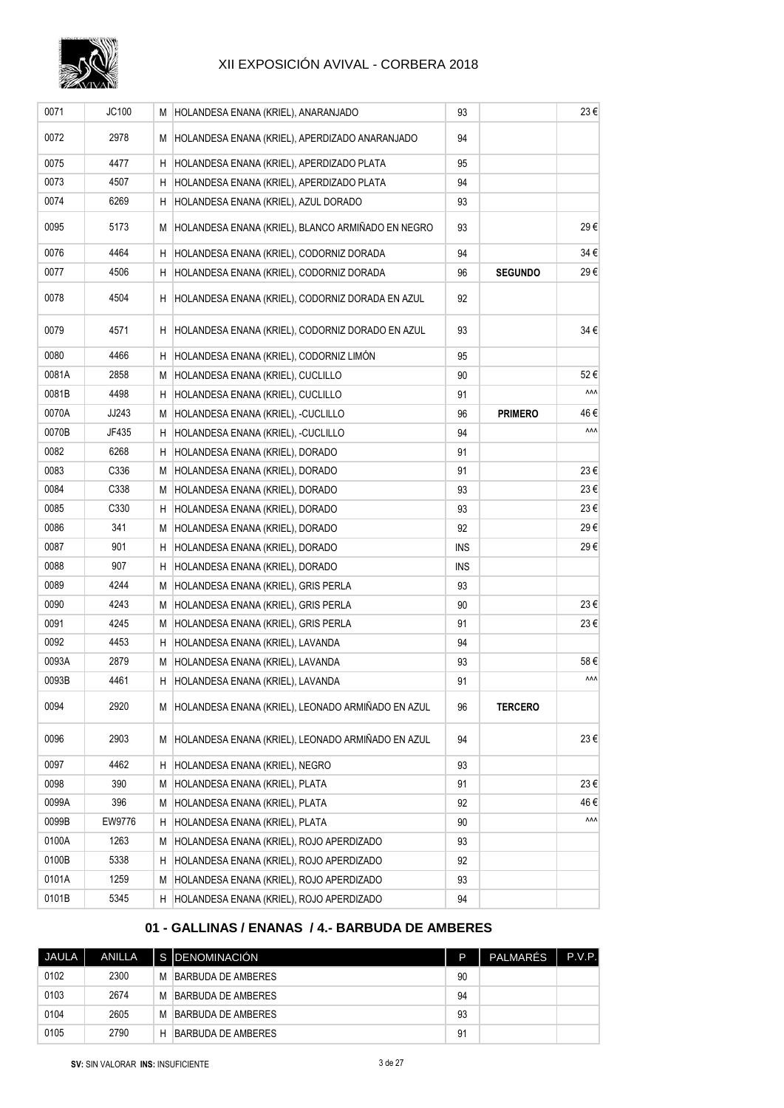

| 0071  | JC100  |     | M HOLANDESA ENANA (KRIEL), ANARANJADO               | 93         |                | 23€ |
|-------|--------|-----|-----------------------------------------------------|------------|----------------|-----|
| 0072  | 2978   |     | M HOLANDESA ENANA (KRIEL), APERDIZADO ANARANJADO    | 94         |                |     |
| 0075  | 4477   |     | H HOLANDESA ENANA (KRIEL), APERDIZADO PLATA         | 95         |                |     |
| 0073  | 4507   | H I | HOLANDESA ENANA (KRIEL), APERDIZADO PLATA           | 94         |                |     |
| 0074  | 6269   | ΗI  | HOLANDESA ENANA (KRIEL), AZUL DORADO                | 93         |                |     |
| 0095  | 5173   |     | M HOLANDESA ENANA (KRIEL), BLANCO ARMIÑADO EN NEGRO | 93         |                | 29€ |
| 0076  | 4464   | ΗI  | HOLANDESA ENANA (KRIEL), CODORNIZ DORADA            | 94         |                | 34€ |
| 0077  | 4506   | ΗI  | HOLANDESA ENANA (KRIEL), CODORNIZ DORADA            | 96         | <b>SEGUNDO</b> | 29€ |
| 0078  | 4504   |     | H HOLANDESA ENANA (KRIEL), CODORNIZ DORADA EN AZUL  | 92         |                |     |
| 0079  | 4571   |     | H HOLANDESA ENANA (KRIEL), CODORNIZ DORADO EN AZUL  | 93         |                | 34€ |
| 0080  | 4466   |     | H HOLANDESA ENANA (KRIEL), CODORNIZ LIMÓN           | 95         |                |     |
| 0081A | 2858   | M   | HOLANDESA ENANA (KRIEL), CUCLILLO                   | 90         |                | 52€ |
| 0081B | 4498   |     | H HOLANDESA ENANA (KRIEL), CUCLILLO                 | 91         |                | ۸ΛΛ |
| 0070A | JJ243  | M   | HOLANDESA ENANA (KRIEL), -CUCLILLO                  | 96         | <b>PRIMERO</b> | 46€ |
| 0070B | JF435  |     | H HOLANDESA ENANA (KRIEL), -CUCLILLO                | 94         |                | ۸ΛΛ |
| 0082  | 6268   | ΗI  | HOLANDESA ENANA (KRIEL), DORADO                     | 91         |                |     |
| 0083  | C336   |     | M HOLANDESA ENANA (KRIEL), DORADO                   | 91         |                | 23€ |
| 0084  | C338   |     | M HOLANDESA ENANA (KRIEL), DORADO                   | 93         |                | 23€ |
| 0085  | C330   | H I | HOLANDESA ENANA (KRIEL), DORADO                     | 93         |                | 23€ |
| 0086  | 341    |     | M HOLANDESA ENANA (KRIEL), DORADO                   | 92         |                | 29€ |
| 0087  | 901    | H.  | HOLANDESA ENANA (KRIEL), DORADO                     | INS        |                | 29€ |
| 0088  | 907    |     | H HOLANDESA ENANA (KRIEL), DORADO                   | <b>INS</b> |                |     |
| 0089  | 4244   |     | M HOLANDESA ENANA (KRIEL), GRIS PERLA               | 93         |                |     |
| 0090  | 4243   |     | M HOLANDESA ENANA (KRIEL), GRIS PERLA               | 90         |                | 23€ |
| 0091  | 4245   |     | M HOLANDESA ENANA (KRIEL), GRIS PERLA               | 91         |                | 23€ |
| 0092  | 4453   | Н.  | HOLANDESA ENANA (KRIEL), LAVANDA                    | 94         |                |     |
| 0093A | 2879   |     | M HOLANDESA ENANA (KRIEL), LAVANDA                  | 93         |                | 58€ |
| 0093B | 4461   |     | H HOLANDESA ENANA (KRIEL), LAVANDA                  | 91         |                | ۸۸۸ |
| 0094  | 2920   |     | M HOLANDESA ENANA (KRIEL), LEONADO ARMIÑADO EN AZUL | 96         | <b>TERCERO</b> |     |
| 0096  | 2903   |     | M HOLANDESA ENANA (KRIEL), LEONADO ARMIÑADO EN AZUL | 94         |                | 23€ |
| 0097  | 4462   | H.  | HOLANDESA ENANA (KRIEL), NEGRO                      | 93         |                |     |
| 0098  | 390    | M   | HOLANDESA ENANA (KRIEL), PLATA                      | 91         |                | 23€ |
| 0099A | 396    |     | M HOLANDESA ENANA (KRIEL), PLATA                    | 92         |                | 46€ |
| 0099B | EW9776 | H I | HOLANDESA ENANA (KRIEL), PLATA                      | 90         |                | ۸ΛΛ |
| 0100A | 1263   |     | M HOLANDESA ENANA (KRIEL), ROJO APERDIZADO          | 93         |                |     |
| 0100B | 5338   | ΗI  | HOLANDESA ENANA (KRIEL), ROJO APERDIZADO            | 92         |                |     |
| 0101A | 1259   | M   | HOLANDESA ENANA (KRIEL), ROJO APERDIZADO            | 93         |                |     |
| 0101B | 5345   |     | H HOLANDESA ENANA (KRIEL), ROJO APERDIZADO          | 94         |                |     |

#### **01 - GALLINAS / ENANAS / 4.- BARBUDA DE AMBERES**

| <b>JAULA</b> | <b>ANILLA</b> |   | S IDENOMINACIÓN    | D  | <b>PALMARÉS</b> | P.V.P. |
|--------------|---------------|---|--------------------|----|-----------------|--------|
| 0102         | 2300          | M | BARBUDA DE AMBERES | 90 |                 |        |
| 0103         | 2674          | M | BARBUDA DE AMBERES | 94 |                 |        |
| 0104         | 2605          | M | BARBUDA DE AMBERES | 93 |                 |        |
| 0105         | 2790          | Н | BARBUDA DE AMBERES | 91 |                 |        |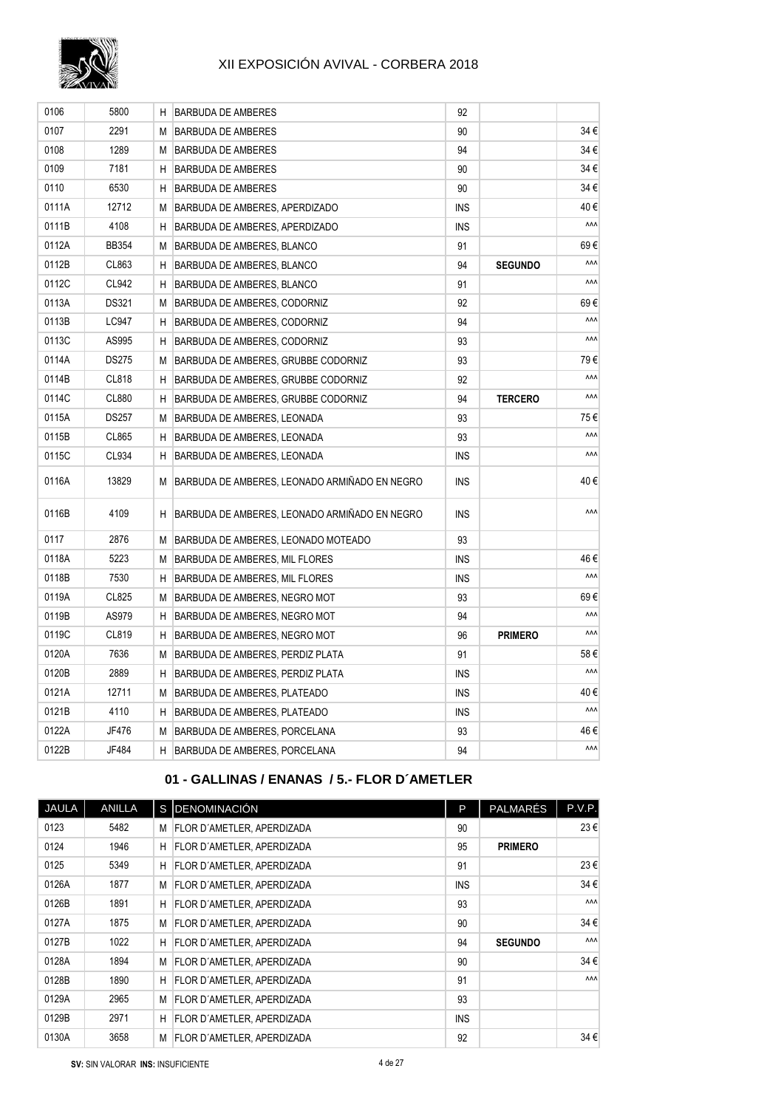

| 0106  | 5800         | H  | <b>BARBUDA DE AMBERES</b>                     | 92         |                |     |
|-------|--------------|----|-----------------------------------------------|------------|----------------|-----|
| 0107  | 2291         | М  | <b>BARBUDA DE AMBERES</b>                     | 90         |                | 34€ |
| 0108  | 1289         | М  | BARBUDA DE AMBERES                            | 94         |                | 34€ |
| 0109  | 7181         | H  | BARBUDA DE AMBERES                            | 90         |                | 34€ |
| 0110  | 6530         | H. | BARBUDA DE AMBERES                            | 90         |                | 34€ |
| 0111A | 12712        | М  | BARBUDA DE AMBERES, APERDIZADO                | <b>INS</b> |                | 40€ |
| 0111B | 4108         | H  | BARBUDA DE AMBERES, APERDIZADO                | INS        |                | ۸ΛΛ |
| 0112A | <b>BB354</b> | M  | BARBUDA DE AMBERES, BLANCO                    | 91         |                | 69€ |
| 0112B | CL863        | H. | BARBUDA DE AMBERES, BLANCO                    | 94         | <b>SEGUNDO</b> | ۸ΛΛ |
| 0112C | CL942        | H. | BARBUDA DE AMBERES, BLANCO                    | 91         |                | ۸ΛΛ |
| 0113A | <b>DS321</b> | М  | BARBUDA DE AMBERES, CODORNIZ                  | 92         |                | 69€ |
| 0113B | LC947        | H. | <b>BARBUDA DE AMBERES, CODORNIZ</b>           | 94         |                | ۸۸۸ |
| 0113C | AS995        | H. | BARBUDA DE AMBERES, CODORNIZ                  | 93         |                | ۸ΛΛ |
| 0114A | <b>DS275</b> | M  | BARBUDA DE AMBERES, GRUBBE CODORNIZ           | 93         |                | 79€ |
| 0114B | CL818        | H. | BARBUDA DE AMBERES, GRUBBE CODORNIZ           | 92         |                | ۸ΛΛ |
| 0114C | CL880        | H  | BARBUDA DE AMBERES, GRUBBE CODORNIZ           | 94         | <b>TERCERO</b> | ۸ΛΛ |
| 0115A | <b>DS257</b> | М  | BARBUDA DE AMBERES, LEONADA                   | 93         |                | 75€ |
| 0115B | CL865        | H. | BARBUDA DE AMBERES, LEONADA                   | 93         |                | ۸ΛΛ |
| 0115C | CL934        | H  | BARBUDA DE AMBERES, LEONADA                   | <b>INS</b> |                | ۸ΛΛ |
| 0116A | 13829        | М  | BARBUDA DE AMBERES, LEONADO ARMIÑADO EN NEGRO | <b>INS</b> |                | 40€ |
| 0116B | 4109         | H. | BARBUDA DE AMBERES, LEONADO ARMIÑADO EN NEGRO | <b>INS</b> |                | ۸ΛΛ |
| 0117  | 2876         | М  | BARBUDA DE AMBERES, LEONADO MOTEADO           | 93         |                |     |
| 0118A | 5223         | М  | BARBUDA DE AMBERES, MIL FLORES                | <b>INS</b> |                | 46€ |
| 0118B | 7530         | H. | BARBUDA DE AMBERES, MIL FLORES                | <b>INS</b> |                | ۸ΛΛ |
| 0119A | CL825        | М  | BARBUDA DE AMBERES, NEGRO MOT                 | 93         |                | 69€ |
| 0119B | AS979        | H. | BARBUDA DE AMBERES, NEGRO MOT                 | 94         |                | ۸ΛΛ |
| 0119C | CL819        | H. | BARBUDA DE AMBERES, NEGRO MOT                 | 96         | <b>PRIMERO</b> | ۸ΛΛ |
| 0120A | 7636         | М  | BARBUDA DE AMBERES, PERDIZ PLATA              | 91         |                | 58€ |
| 0120B | 2889         | H  | BARBUDA DE AMBERES, PERDIZ PLATA              | <b>INS</b> |                | ۸ΛΛ |
| 0121A | 12711        | M  | BARBUDA DE AMBERES, PLATEADO                  | <b>INS</b> |                | 40€ |
| 0121B | 4110         | H  | BARBUDA DE AMBERES, PLATEADO                  | <b>INS</b> |                | ۸ΛΛ |
| 0122A | JF476        | M  | BARBUDA DE AMBERES, PORCELANA                 | 93         |                | 46€ |
| 0122B | JF484        | H. | BARBUDA DE AMBERES, PORCELANA                 | 94         |                | ۸ΛΛ |

## **01 - GALLINAS / ENANAS / 5.- FLOR D´AMETLER**

| <b>JAULA</b> | <b>ANILLA</b> |    | S DENOMINACIÓN                    | P.         | <b>PALMARÉS</b> | P.V.P.     |
|--------------|---------------|----|-----------------------------------|------------|-----------------|------------|
| 0123         | 5482          | M  | FLOR D'AMETLER, APERDIZADA        | 90         |                 | 23€        |
| 0124         | 1946          | H  | FLOR D'AMETLER, APERDIZADA        | 95         | <b>PRIMERO</b>  |            |
| 0125         | 5349          | H  | FLOR D'AMETLER, APERDIZADA        | 91         |                 | $23 \in$   |
| 0126A        | 1877          | M  | FLOR D'AMETLER, APERDIZADA        | <b>INS</b> |                 | $34 \in$   |
| 0126B        | 1891          | н  | FLOR D'AMETLER, APERDIZADA        | 93         |                 | <b>AAA</b> |
| 0127A        | 1875          | M  | <b>FLOR D'AMETLER, APERDIZADA</b> | 90         |                 | $34 \in$   |
| 0127B        | 1022          | H. | FLOR D'AMETLER, APERDIZADA        | 94         | <b>SEGUNDO</b>  | <b>AAA</b> |
| 0128A        | 1894          | м  | FLOR D'AMETLER, APERDIZADA        | 90         |                 | $34 \in$   |
| 0128B        | 1890          | н  | FLOR D'AMETLER, APERDIZADA        | 91         |                 | <b>AAA</b> |
| 0129A        | 2965          | M  | FLOR D'AMETLER, APERDIZADA        | 93         |                 |            |
| 0129B        | 2971          | н  | FLOR D'AMETLER, APERDIZADA        | <b>INS</b> |                 |            |
| 0130A        | 3658          | м  | <b>FLOR D'AMETLER, APERDIZADA</b> | 92         |                 | $34 \in$   |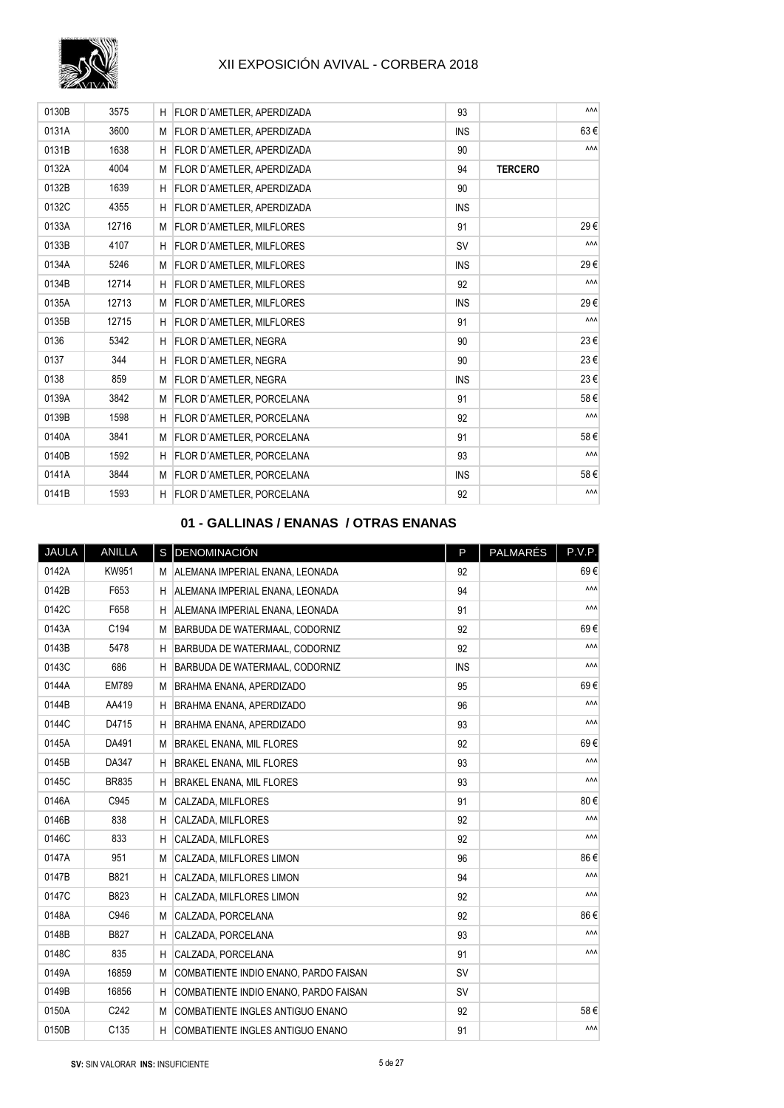

| 0130B | 3575  | н  | FLOR D'AMETLER, APERDIZADA        | 93         |                | <b>AAA</b> |
|-------|-------|----|-----------------------------------|------------|----------------|------------|
| 0131A | 3600  |    | M FLOR D'AMETLER, APERDIZADA      | <b>INS</b> |                | 63€        |
| 0131B | 1638  | н  | FLOR D'AMETLER, APERDIZADA        | 90         |                | <b>AAA</b> |
| 0132A | 4004  | М  | FLOR D'AMETLER, APERDIZADA        | 94         | <b>TERCERO</b> |            |
| 0132B | 1639  | H  | <b>FLOR D'AMETLER, APERDIZADA</b> | 90         |                |            |
| 0132C | 4355  | H  | <b>FLOR D'AMETLER, APERDIZADA</b> | <b>INS</b> |                |            |
| 0133A | 12716 |    | M FLOR D'AMETLER, MILFLORES       | 91         |                | 29€        |
| 0133B | 4107  | H  | FLOR D'AMETLER, MILFLORES         | <b>SV</b>  |                | <b>AAA</b> |
| 0134A | 5246  | M  | <b>FLOR D'AMETLER, MILFLORES</b>  | <b>INS</b> |                | 29€        |
| 0134B | 12714 | H  | <b>FLOR D'AMETLER, MILFLORES</b>  | 92         |                | ۸ΛΛ        |
| 0135A | 12713 |    | M FLOR D'AMETLER, MILFLORES       | <b>INS</b> |                | 29€        |
| 0135B | 12715 | H  | <b>FLOR D'AMETLER, MILFLORES</b>  | 91         |                | ۸ΛΛ        |
| 0136  | 5342  | H  | FLOR D'AMETLER, NEGRA             | 90         |                | 23€        |
| 0137  | 344   | H  | <b>FLOR D'AMETLER, NEGRA</b>      | 90         |                | 23€        |
| 0138  | 859   |    | M FLOR D'AMETLER, NEGRA           | <b>INS</b> |                | 23€        |
| 0139A | 3842  | М  | <b>FLOR D'AMETLER, PORCELANA</b>  | 91         |                | 58€        |
| 0139B | 1598  | H  | FLOR D'AMETLER, PORCELANA         | 92         |                | ۸ΛΛ        |
| 0140A | 3841  | M  | <b>FLOR D'AMETLER, PORCELANA</b>  | 91         |                | 58€        |
| 0140B | 1592  | H  | <b>FLOR D'AMETLER, PORCELANA</b>  | 93         |                | ۸ΛΛ        |
| 0141A | 3844  |    | M FLOR D'AMETLER, PORCELANA       | <b>INS</b> |                | 58€        |
| 0141B | 1593  | H. | <b>FLOR D'AMETLER, PORCELANA</b>  | 92         |                | ۸ΛΛ        |

#### **01 - GALLINAS / ENANAS / OTRAS ENANAS**

| JAULA | ANILLA           |   | S DENOMINACIÓN                        | P          | <b>PALMARÉS</b> | P.V.P. |
|-------|------------------|---|---------------------------------------|------------|-----------------|--------|
| 0142A | KW951            | М | ALEMANA IMPERIAL ENANA, LEONADA       | 92         |                 | 69€    |
| 0142B | F653             | H | ALEMANA IMPERIAL ENANA, LEONADA       | 94         |                 | ۸ΛΛ    |
| 0142C | F658             | н | ALEMANA IMPERIAL ENANA, LEONADA       | 91         |                 | ۸ΛΛ    |
| 0143A | C194             | M | BARBUDA DE WATERMAAL, CODORNIZ        | 92         |                 | 69€    |
| 0143B | 5478             | H | BARBUDA DE WATERMAAL, CODORNIZ        | 92         |                 | ۸ΛΛ    |
| 0143C | 686              | H | BARBUDA DE WATERMAAL, CODORNIZ        | <b>INS</b> |                 | ۸ΛΛ    |
| 0144A | <b>EM789</b>     | M | <b>BRAHMA ENANA, APERDIZADO</b>       | 95         |                 | 69€    |
| 0144B | AA419            | H | <b>BRAHMA ENANA, APERDIZADO</b>       | 96         |                 | ۸ΛΛ    |
| 0144C | D4715            | H | <b>BRAHMA ENANA, APERDIZADO</b>       | 93         |                 | ۸ΛΛ    |
| 0145A | DA491            | М | <b>BRAKEL ENANA, MIL FLORES</b>       | 92         |                 | 69€    |
| 0145B | DA347            | H | <b>BRAKEL ENANA, MIL FLORES</b>       | 93         |                 | ۸ΛΛ    |
| 0145C | <b>BR835</b>     | Н | <b>BRAKEL ENANA, MIL FLORES</b>       | 93         |                 | ۸ΛΛ    |
| 0146A | C945             | M | CALZADA, MILFLORES                    | 91         |                 | 80€    |
| 0146B | 838              | H | CALZADA, MILFLORES                    | 92         |                 | ۸ΛΛ    |
| 0146C | 833              | H | CALZADA, MILFLORES                    | 92         |                 | ۸ΛΛ    |
| 0147A | 951              | M | CALZADA, MILFLORES LIMON              | 96         |                 | 86€    |
| 0147B | B821             | H | CALZADA, MILFLORES LIMON              | 94         |                 | ۸ΛΛ    |
| 0147C | B823             | H | CALZADA, MILFLORES LIMON              | 92         |                 | ۸ΛΛ    |
| 0148A | C946             | M | CALZADA, PORCELANA                    | 92         |                 | 86€    |
| 0148B | B827             | H | CALZADA, PORCELANA                    | 93         |                 | ۸ΛΛ    |
| 0148C | 835              | H | CALZADA, PORCELANA                    | 91         |                 | ۸ΛΛ    |
| 0149A | 16859            | M | COMBATIENTE INDIO ENANO, PARDO FAISAN | <b>SV</b>  |                 |        |
| 0149B | 16856            | H | COMBATIENTE INDIO ENANO, PARDO FAISAN | <b>SV</b>  |                 |        |
| 0150A | C242             | M | COMBATIENTE INGLES ANTIGUO ENANO      | 92         |                 | 58€    |
| 0150B | C <sub>135</sub> | H | COMBATIENTE INGLES ANTIGUO ENANO      | 91         |                 | ۸ΛΛ    |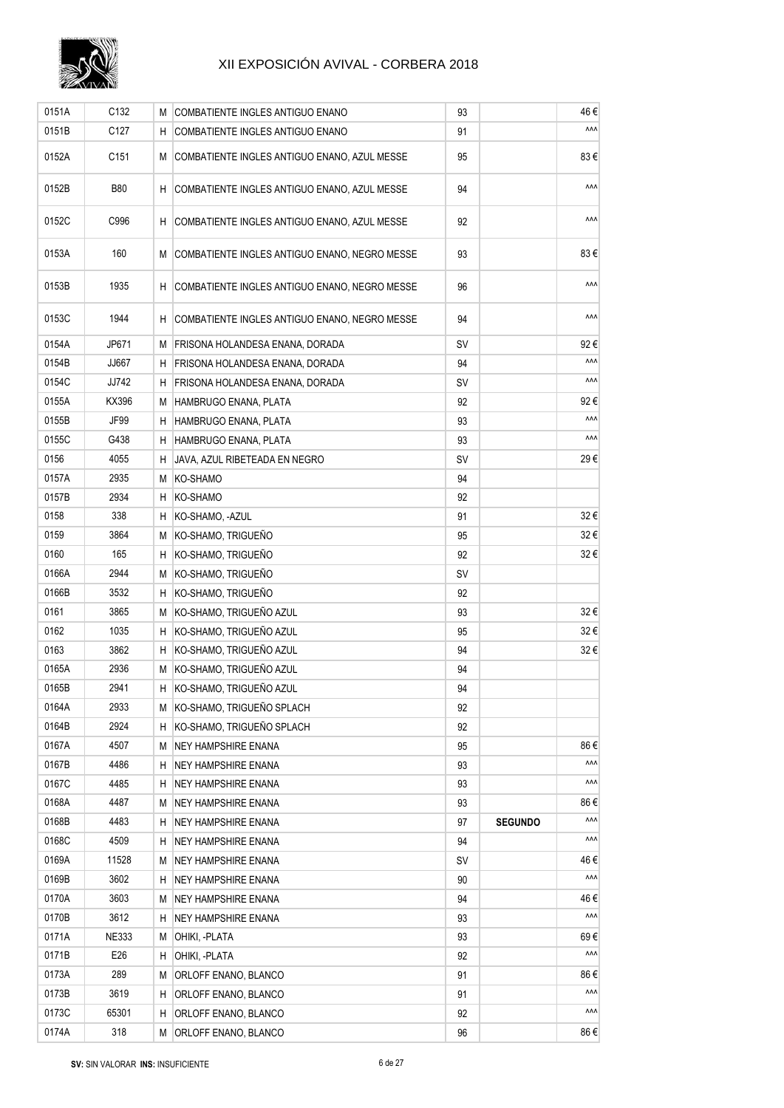

| 0151A | C132             | М  | COMBATIENTE INGLES ANTIGUO ENANO                | 93        |                | 46€         |
|-------|------------------|----|-------------------------------------------------|-----------|----------------|-------------|
| 0151B | C127             | H  | COMBATIENTE INGLES ANTIGUO ENANO                | 91        |                | ۸ΛΛ         |
| 0152A | C <sub>151</sub> |    | M COMBATIENTE INGLES ANTIGUO ENANO, AZUL MESSE  | 95        |                | 83€         |
| 0152B | <b>B80</b>       |    | H COMBATIENTE INGLES ANTIGUO ENANO, AZUL MESSE  | 94        |                | ۸ΛΛ         |
| 0152C | C996             |    | H COMBATIENTE INGLES ANTIGUO ENANO, AZUL MESSE  | 92        |                | ۸ΛΛ         |
| 0153A | 160              |    | M COMBATIENTE INGLES ANTIGUO ENANO, NEGRO MESSE | 93        |                | 83€         |
| 0153B | 1935             |    | H COMBATIENTE INGLES ANTIGUO ENANO, NEGRO MESSE | 96        |                | ۸ΛΛ         |
| 0153C | 1944             |    | H COMBATIENTE INGLES ANTIGUO ENANO, NEGRO MESSE | 94        |                | ۸ΛΛ         |
| 0154A | JP671            | M  | FRISONA HOLANDESA ENANA, DORADA                 | SV        |                | 92€         |
| 0154B | JJ667            | H  | FRISONA HOLANDESA ENANA, DORADA                 | 94        |                | ۸ΛΛ         |
| 0154C | JJ742            | H  | FRISONA HOLANDESA ENANA, DORADA                 | SV        |                | ۸ΛΛ         |
| 0155A | KX396            | М  | HAMBRUGO ENANA, PLATA                           | 92        |                | 92€         |
| 0155B | JF99             | H  | HAMBRUGO ENANA, PLATA                           | 93        |                | ۸ΛΛ         |
| 0155C | G438             |    | H HAMBRUGO ENANA, PLATA                         | 93        |                | ۸ΛΛ         |
| 0156  | 4055             | H  | JAVA, AZUL RIBETEADA EN NEGRO                   | SV        |                | 29€         |
| 0157A | 2935             | M  | KO-SHAMO                                        | 94        |                |             |
| 0157B | 2934             | н  | KO-SHAMO                                        | 92        |                |             |
| 0158  | 338              | H  | KO-SHAMO, -AZUL                                 | 91        |                | 32€         |
| 0159  | 3864             | M  | KO-SHAMO, TRIGUEÑO                              | 95        |                | 32€         |
| 0160  | 165              |    | H KO-SHAMO, TRIGUEÑO                            | 92        |                | 32€         |
| 0166A | 2944             | M  | KO-SHAMO, TRIGUEÑO                              | <b>SV</b> |                |             |
| 0166B | 3532             | H  | KO-SHAMO, TRIGUEÑO                              | 92        |                |             |
| 0161  | 3865             | M  | KO-SHAMO, TRIGUEÑO AZUL                         | 93        |                | 32€         |
| 0162  | 1035             |    | H KO-SHAMO, TRIGUEÑO AZUL                       | 95        |                | 32€         |
| 0163  | 3862             |    | H KO-SHAMO, TRIGUEÑO AZUL                       | 94        |                | 32€         |
| 0165A | 2936             |    | M KO-SHAMO, TRIGUEÑO AZUL                       | 94        |                |             |
| 0165B | 2941             |    | H KO-SHAMO, TRIGUEÑO AZUL                       | 94        |                |             |
| 0164A | 2933             |    | M KO-SHAMO, TRIGUEÑO SPLACH                     | 92        |                |             |
| 0164B | 2924             | H  | KO-SHAMO, TRIGUEÑO SPLACH                       | 92        |                |             |
| 0167A | 4507             | M  | <b>NEY HAMPSHIRE ENANA</b>                      | 95        |                | 86€         |
| 0167B | 4486             | H  | <b>NEY HAMPSHIRE ENANA</b>                      | 93        |                | ۸۸۸         |
| 0167C | 4485             |    |                                                 |           |                | ۸۸۸         |
| 0168A | 4487             | Н. | NEY HAMPSHIRE ENANA<br>NEY HAMPSHIRE ENANA      | 93        |                | 86 €        |
|       |                  | M  |                                                 | 93        |                | ۸ΛΛ         |
| 0168B | 4483             | H  | NEY HAMPSHIRE ENANA                             | 97        | <b>SEGUNDO</b> | ۸ΛΛ         |
| 0168C | 4509             | H  | <b>NEY HAMPSHIRE ENANA</b>                      | 94        |                |             |
| 0169A | 11528            | M  | <b>NEY HAMPSHIRE ENANA</b>                      | SV        |                | 46 €<br>۸ΛΛ |
| 0169B | 3602             | H  | <b>NEY HAMPSHIRE ENANA</b>                      | 90        |                |             |
| 0170A | 3603             | M  | NEY HAMPSHIRE ENANA                             | 94        |                | 46€<br>۸ΛΛ  |
| 0170B | 3612             | H  | <b>NEY HAMPSHIRE ENANA</b>                      | 93        |                |             |
| 0171A | <b>NE333</b>     | M  | OHIKI, -PLATA                                   | 93        |                | 69€         |
| 0171B | E26              | H  | OHIKI, -PLATA                                   | 92        |                | ۸۸۸         |
| 0173A | 289              | M  | ORLOFF ENANO, BLANCO                            | 91        |                | 86€         |
| 0173B | 3619             |    | H ORLOFF ENANO, BLANCO                          | 91        |                | ۸ΛΛ         |
| 0173C | 65301            | H  | ORLOFF ENANO, BLANCO                            | 92        |                | ۸۸۸         |
| 0174A | 318              |    | M ORLOFF ENANO, BLANCO                          | 96        |                | 86€         |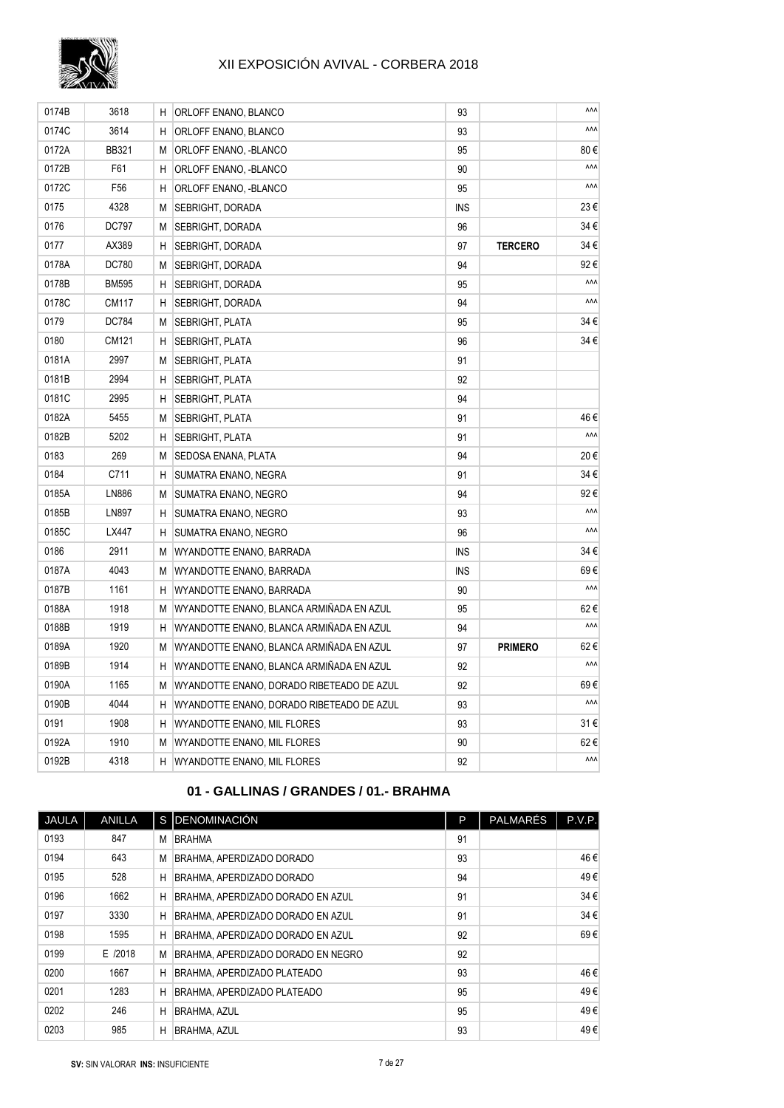

| 0174B | 3618            | H. | ORLOFF ENANO, BLANCO                      | 93         |                | ۸ΛΛ |
|-------|-----------------|----|-------------------------------------------|------------|----------------|-----|
| 0174C | 3614            | H. | ORLOFF ENANO, BLANCO                      | 93         |                | ۸ΛΛ |
| 0172A | <b>BB321</b>    | М  | ORLOFF ENANO, -BLANCO                     | 95         |                | 80€ |
| 0172B | F61             | H  | ORLOFF ENANO, -BLANCO                     | 90         |                | ۸ΛΛ |
| 0172C | F <sub>56</sub> | н  | ORLOFF ENANO, -BLANCO                     | 95         |                | ۸ΛΛ |
| 0175  | 4328            | М  | SEBRIGHT, DORADA                          | <b>INS</b> |                | 23€ |
| 0176  | DC797           | М  | SEBRIGHT, DORADA                          | 96         |                | 34€ |
| 0177  | AX389           | H  | SEBRIGHT, DORADA                          | 97         | <b>TERCERO</b> | 34€ |
| 0178A | DC780           | М  | SEBRIGHT, DORADA                          | 94         |                | 92€ |
| 0178B | <b>BM595</b>    | н  | SEBRIGHT, DORADA                          | 95         |                | ۸ΛΛ |
| 0178C | CM117           | н  | SEBRIGHT, DORADA                          | 94         |                | ۸ΛΛ |
| 0179  | DC784           | М  | SEBRIGHT, PLATA                           | 95         |                | 34€ |
| 0180  | CM121           | н  | SEBRIGHT, PLATA                           | 96         |                | 34€ |
| 0181A | 2997            | М  | <b>SEBRIGHT, PLATA</b>                    | 91         |                |     |
| 0181B | 2994            | Н  | SEBRIGHT, PLATA                           | 92         |                |     |
| 0181C | 2995            | н  | SEBRIGHT, PLATA                           | 94         |                |     |
| 0182A | 5455            | М  | SEBRIGHT, PLATA                           | 91         |                | 46€ |
| 0182B | 5202            | н  | SEBRIGHT, PLATA                           | 91         |                | ۸ΛΛ |
| 0183  | 269             | М  | SEDOSA ENANA, PLATA                       | 94         |                | 20€ |
| 0184  | C711            | H  | SUMATRA ENANO, NEGRA                      | 91         |                | 34€ |
| 0185A | LN886           | М  | SUMATRA ENANO, NEGRO                      | 94         |                | 92€ |
| 0185B | LN897           | н  | SUMATRA ENANO, NEGRO                      | 93         |                | ۸ΛΛ |
| 0185C | LX447           | н  | SUMATRA ENANO, NEGRO                      | 96         |                | ۸ΛΛ |
| 0186  | 2911            | М  | WYANDOTTE ENANO, BARRADA                  | INS        |                | 34€ |
| 0187A | 4043            | М  | WYANDOTTE ENANO, BARRADA                  | INS        |                | 69€ |
| 0187B | 1161            | H  | WYANDOTTE ENANO, BARRADA                  | 90         |                | ۸۸۸ |
| 0188A | 1918            | M  | WYANDOTTE ENANO, BLANCA ARMIÑADA EN AZUL  | 95         |                | 62€ |
| 0188B | 1919            | н  | WYANDOTTE ENANO, BLANCA ARMIÑADA EN AZUL  | 94         |                | ۸ΛΛ |
| 0189A | 1920            | М  | WYANDOTTE ENANO, BLANCA ARMIÑADA EN AZUL  | 97         | <b>PRIMERO</b> | 62€ |
| 0189B | 1914            | н  | WYANDOTTE ENANO, BLANCA ARMIÑADA EN AZUL  | 92         |                | ۸ΛΛ |
| 0190A | 1165            | M  | WYANDOTTE ENANO, DORADO RIBETEADO DE AZUL | 92         |                | 69€ |
| 0190B | 4044            | H. | WYANDOTTE ENANO, DORADO RIBETEADO DE AZUL | 93         |                | ۸ΛΛ |
| 0191  | 1908            | Н  | WYANDOTTE ENANO, MIL FLORES               | 93         |                | 31€ |
| 0192A | 1910            | М  | WYANDOTTE ENANO, MIL FLORES               | 90         |                | 62€ |
| 0192B | 4318            | H. | WYANDOTTE ENANO, MIL FLORES               | 92         |                | ۸ΛΛ |
|       |                 |    |                                           |            |                |     |

## **01 - GALLINAS / GRANDES / 01.- BRAHMA**

| JAULA | <b>ANILLA</b> |   | S DENOMINACIÓN                     | P  | <b>PALMARÉS</b> | P.V.P. |
|-------|---------------|---|------------------------------------|----|-----------------|--------|
| 0193  | 847           | M | <b>BRAHMA</b>                      | 91 |                 |        |
| 0194  | 643           | M | BRAHMA, APERDIZADO DORADO          | 93 |                 | 46€    |
| 0195  | 528           | Н | BRAHMA, APERDIZADO DORADO          | 94 |                 | 49€    |
| 0196  | 1662          | H | BRAHMA, APERDIZADO DORADO EN AZUL  | 91 |                 | 34 €   |
| 0197  | 3330          | H | BRAHMA, APERDIZADO DORADO EN AZUL  | 91 |                 | 34€    |
| 0198  | 1595          | н | BRAHMA, APERDIZADO DORADO EN AZUL  | 92 |                 | 69€    |
| 0199  | E /2018       | M | BRAHMA, APERDIZADO DORADO EN NEGRO | 92 |                 |        |
| 0200  | 1667          | H | <b>BRAHMA, APERDIZADO PLATEADO</b> | 93 |                 | 46€    |
| 0201  | 1283          | H | <b>BRAHMA, APERDIZADO PLATEADO</b> | 95 |                 | 49€    |
| 0202  | 246           | H | <b>BRAHMA, AZUL</b>                | 95 |                 | 49€    |
| 0203  | 985           | H | <b>BRAHMA, AZUL</b>                | 93 |                 | 49€    |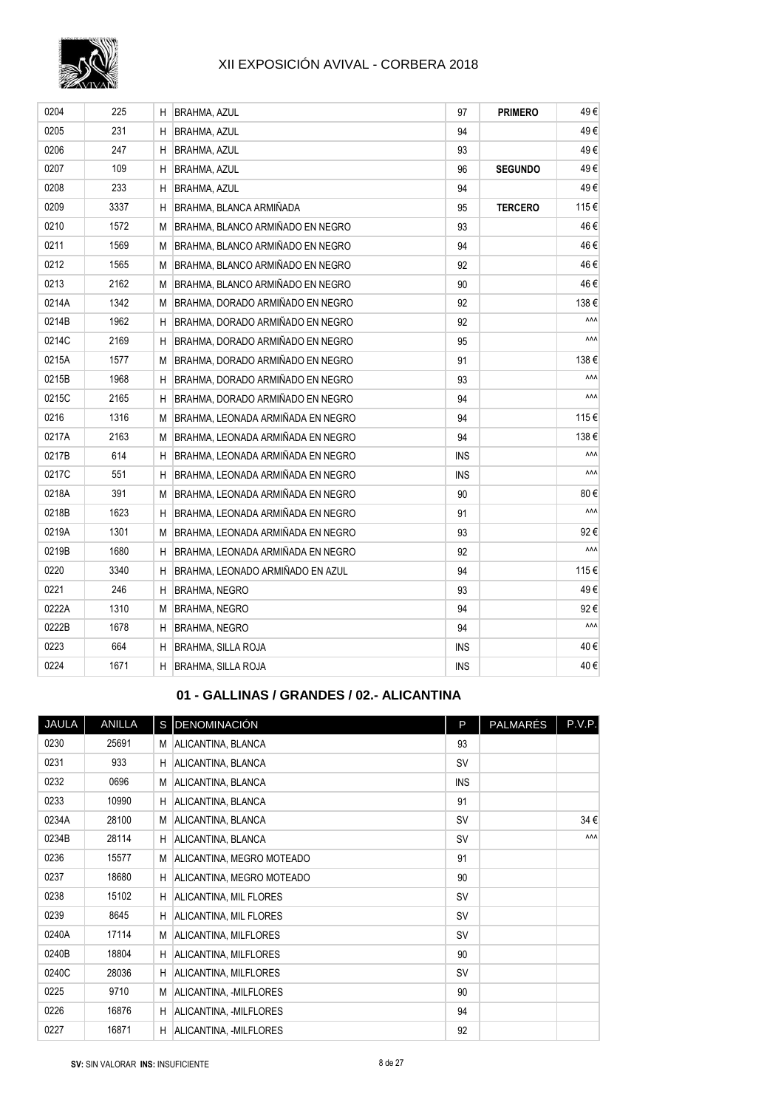

| 0204  | 225  | н  | BRAHMA, AZUL                      | 97         | <b>PRIMERO</b> | 49€  |
|-------|------|----|-----------------------------------|------------|----------------|------|
| 0205  | 231  | н  | <b>BRAHMA, AZUL</b>               | 94         |                | 49€  |
| 0206  | 247  | Η  | BRAHMA, AZUL                      | 93         |                | 49€  |
| 0207  | 109  | н  | <b>BRAHMA, AZUL</b>               | 96         | <b>SEGUNDO</b> | 49€  |
| 0208  | 233  | Η  | BRAHMA, AZUL                      | 94         |                | 49€  |
| 0209  | 3337 | Η  | BRAHMA, BLANCA ARMIÑADA           | 95         | <b>TERCERO</b> | 115€ |
| 0210  | 1572 | M  | BRAHMA, BLANCO ARMIÑADO EN NEGRO  | 93         |                | 46€  |
| 0211  | 1569 | M  | BRAHMA, BLANCO ARMIÑADO EN NEGRO  | 94         |                | 46€  |
| 0212  | 1565 | M  | BRAHMA, BLANCO ARMIÑADO EN NEGRO  | 92         |                | 46€  |
| 0213  | 2162 | M  | BRAHMA. BLANCO ARMIÑADO EN NEGRO  | 90         |                | 46€  |
| 0214A | 1342 | M  | BRAHMA. DORADO ARMIÑADO EN NEGRO  | 92         |                | 138€ |
| 0214B | 1962 | H  | BRAHMA, DORADO ARMIÑADO EN NEGRO  | 92         |                | ۸۸Λ  |
| 0214C | 2169 | н  | BRAHMA, DORADO ARMIÑADO EN NEGRO  | 95         |                | ۸ΛΛ  |
| 0215A | 1577 | М  | BRAHMA, DORADO ARMIÑADO EN NEGRO  | 91         |                | 138€ |
| 0215B | 1968 | н  | BRAHMA. DORADO ARMIÑADO EN NEGRO  | 93         |                | ۸۸Λ  |
| 0215C | 2165 | н  | BRAHMA. DORADO ARMIÑADO EN NEGRO  | 94         |                | ۸۸۸  |
| 0216  | 1316 | М  | BRAHMA. LEONADA ARMIÑADA EN NEGRO | 94         |                | 115€ |
| 0217A | 2163 | М  | BRAHMA. LEONADA ARMIÑADA EN NEGRO | 94         |                | 138€ |
| 0217B | 614  | н  | BRAHMA, LEONADA ARMIÑADA EN NEGRO | <b>INS</b> |                | ٨٨٨  |
| 0217C | 551  | н  | BRAHMA, LEONADA ARMIÑADA EN NEGRO | <b>INS</b> |                | ۸ΛΛ  |
| 0218A | 391  | M  | BRAHMA, LEONADA ARMIÑADA EN NEGRO | 90         |                | 80€  |
| 0218B | 1623 | н  | BRAHMA, LEONADA ARMIÑADA EN NEGRO | 91         |                | ۸ΛΛ  |
| 0219A | 1301 | М  | BRAHMA, LEONADA ARMIÑADA EN NEGRO | 93         |                | 92€  |
| 0219B | 1680 | н  | BRAHMA, LEONADA ARMIÑADA EN NEGRO | 92         |                | ۸ΛΛ  |
| 0220  | 3340 | н  | BRAHMA, LEONADO ARMIÑADO EN AZUL  | 94         |                | 115€ |
| 0221  | 246  | н  | <b>BRAHMA, NEGRO</b>              | 93         |                | 49€  |
| 0222A | 1310 | М  | <b>BRAHMA, NEGRO</b>              | 94         |                | 92€  |
| 0222B | 1678 | н  | <b>BRAHMA, NEGRO</b>              | 94         |                | ۸۸Λ  |
| 0223  | 664  | H  | <b>BRAHMA, SILLA ROJA</b>         | <b>INS</b> |                | 40€  |
| 0224  | 1671 | H. | <b>BRAHMA, SILLA ROJA</b>         | <b>INS</b> |                | 40€  |

## **01 - GALLINAS / GRANDES / 02.- ALICANTINA**

| JAULA | ANILLA |    | S DENOMINACIÓN            | P          | PALMARÉS | P.V.P.     |
|-------|--------|----|---------------------------|------------|----------|------------|
| 0230  | 25691  | М  | ALICANTINA, BLANCA        | 93         |          |            |
| 0231  | 933    | H. | ALICANTINA, BLANCA        | SV         |          |            |
| 0232  | 0696   | М  | ALICANTINA, BLANCA        | <b>INS</b> |          |            |
| 0233  | 10990  | H  | ALICANTINA, BLANCA        | 91         |          |            |
| 0234A | 28100  | M  | ALICANTINA, BLANCA        | <b>SV</b>  |          | 34€        |
| 0234B | 28114  | H  | ALICANTINA, BLANCA        | <b>SV</b>  |          | <b>AAA</b> |
| 0236  | 15577  | M  | ALICANTINA, MEGRO MOTEADO | 91         |          |            |
| 0237  | 18680  | н  | ALICANTINA, MEGRO MOTEADO | 90         |          |            |
| 0238  | 15102  | H  | ALICANTINA, MIL FLORES    | <b>SV</b>  |          |            |
| 0239  | 8645   | H  | ALICANTINA, MIL FLORES    | <b>SV</b>  |          |            |
| 0240A | 17114  | M  | ALICANTINA, MILFLORES     | <b>SV</b>  |          |            |
| 0240B | 18804  | н  | ALICANTINA, MILFLORES     | 90         |          |            |
| 0240C | 28036  | н  | ALICANTINA, MILFLORES     | <b>SV</b>  |          |            |
| 0225  | 9710   | M  | ALICANTINA, -MILFLORES    | 90         |          |            |
| 0226  | 16876  | H  | ALICANTINA, -MILFLORES    | 94         |          |            |
| 0227  | 16871  | H. | ALICANTINA, -MILFLORES    | 92         |          |            |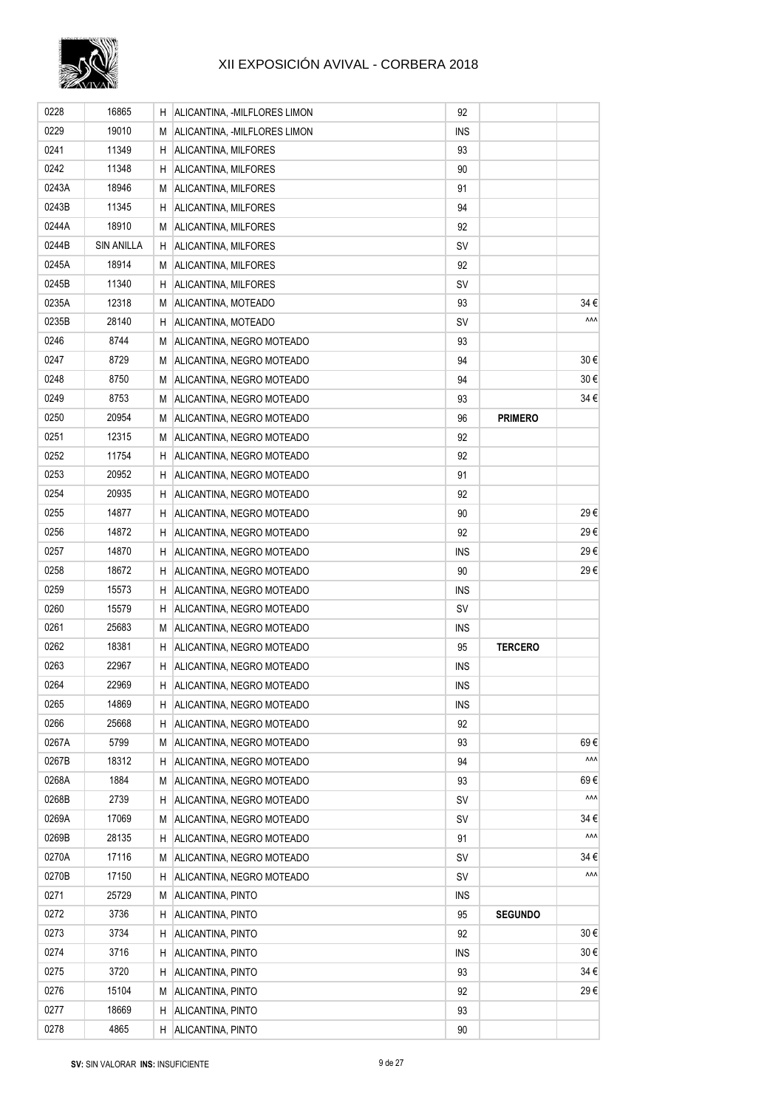

| 0228  | 16865             | Н. | ALICANTINA, -MILFLORES LIMON | 92         |                |          |
|-------|-------------------|----|------------------------------|------------|----------------|----------|
| 0229  | 19010             | М  | ALICANTINA, -MILFLORES LIMON | <b>INS</b> |                |          |
| 0241  | 11349             | Н. | ALICANTINA, MILFORES         | 93         |                |          |
| 0242  | 11348             | H. | ALICANTINA, MILFORES         | 90         |                |          |
| 0243A | 18946             | M  | ALICANTINA, MILFORES         | 91         |                |          |
| 0243B | 11345             | H  | ALICANTINA, MILFORES         | 94         |                |          |
| 0244A | 18910             | М  | ALICANTINA, MILFORES         | 92         |                |          |
| 0244B | <b>SIN ANILLA</b> | Н. | ALICANTINA, MILFORES         | SV         |                |          |
| 0245A | 18914             | M  | ALICANTINA, MILFORES         | 92         |                |          |
| 0245B | 11340             | H. | ALICANTINA, MILFORES         | SV         |                |          |
| 0235A | 12318             | M  | ALICANTINA, MOTEADO          | 93         |                | 34€      |
| 0235B | 28140             | H  | ALICANTINA, MOTEADO          | SV         |                | ۸ΛΛ      |
| 0246  | 8744              | M  | ALICANTINA, NEGRO MOTEADO    | 93         |                |          |
| 0247  | 8729              | М  | ALICANTINA, NEGRO MOTEADO    | 94         |                | 30€      |
| 0248  | 8750              | M  | ALICANTINA, NEGRO MOTEADO    | 94         |                | $30 \in$ |
| 0249  | 8753              | M  | ALICANTINA, NEGRO MOTEADO    | 93         |                | 34 €     |
| 0250  | 20954             | M  | ALICANTINA, NEGRO MOTEADO    | 96         | <b>PRIMERO</b> |          |
| 0251  | 12315             | M  | ALICANTINA, NEGRO MOTEADO    | 92         |                |          |
| 0252  | 11754             | H  | ALICANTINA, NEGRO MOTEADO    | 92         |                |          |
| 0253  | 20952             | Н. | ALICANTINA, NEGRO MOTEADO    | 91         |                |          |
| 0254  | 20935             | H. | ALICANTINA, NEGRO MOTEADO    | 92         |                |          |
| 0255  | 14877             | Н. | ALICANTINA, NEGRO MOTEADO    | 90         |                | 29€      |
| 0256  | 14872             | H  | ALICANTINA, NEGRO MOTEADO    | 92         |                | 29€      |
| 0257  | 14870             | H  | ALICANTINA, NEGRO MOTEADO    | <b>INS</b> |                | 29€      |
| 0258  | 18672             | H  | ALICANTINA, NEGRO MOTEADO    | 90         |                | 29€      |
| 0259  | 15573             | H  | ALICANTINA, NEGRO MOTEADO    | <b>INS</b> |                |          |
| 0260  | 15579             | H  | ALICANTINA, NEGRO MOTEADO    | SV         |                |          |
| 0261  | 25683             | M  | ALICANTINA, NEGRO MOTEADO    | <b>INS</b> |                |          |
| 0262  | 18381             | Н. | ALICANTINA, NEGRO MOTEADO    | 95         | <b>TERCERO</b> |          |
| 0263  | 22967             | H. | ALICANTINA, NEGRO MOTEADO    | <b>INS</b> |                |          |
| 0264  | 22969             | H  | ALICANTINA, NEGRO MOTEADO    | <b>INS</b> |                |          |
| 0265  | 14869             | H. | ALICANTINA, NEGRO MOTEADO    | <b>INS</b> |                |          |
| 0266  | 25668             | H  | ALICANTINA, NEGRO MOTEADO    | 92         |                |          |
| 0267A | 5799              | М  | ALICANTINA, NEGRO MOTEADO    | 93         |                | 69€      |
| 0267B | 18312             | H. | ALICANTINA, NEGRO MOTEADO    | 94         |                | ۸ΛΛ      |
| 0268A | 1884              | М  | ALICANTINA, NEGRO MOTEADO    | 93         |                | 69€      |
| 0268B | 2739              | H  | ALICANTINA, NEGRO MOTEADO    | <b>SV</b>  |                | ۸ΛΛ      |
| 0269A | 17069             | М  | ALICANTINA, NEGRO MOTEADO    | SV         |                | 34 €     |
| 0269B | 28135             | H  | ALICANTINA, NEGRO MOTEADO    | 91         |                | ۸ΛΛ      |
| 0270A | 17116             | М  | ALICANTINA, NEGRO MOTEADO    | SV         |                | 34 €     |
| 0270B | 17150             | H  | ALICANTINA, NEGRO MOTEADO    | SV         |                | ۸ΛΛ      |
| 0271  | 25729             | М  | ALICANTINA, PINTO            | <b>INS</b> |                |          |
| 0272  | 3736              | Н  | ALICANTINA, PINTO            | 95         | <b>SEGUNDO</b> |          |
| 0273  | 3734              | Н  | ALICANTINA, PINTO            | 92         |                | 30€      |
| 0274  | 3716              | H  | ALICANTINA, PINTO            | <b>INS</b> |                | $30 \in$ |
| 0275  | 3720              | H  | ALICANTINA, PINTO            | 93         |                | 34 €     |
| 0276  | 15104             | М  | ALICANTINA, PINTO            | 92         |                | 29€      |
| 0277  | 18669             | H. | ALICANTINA, PINTO            | 93         |                |          |
| 0278  | 4865              | H. | ALICANTINA, PINTO            | 90         |                |          |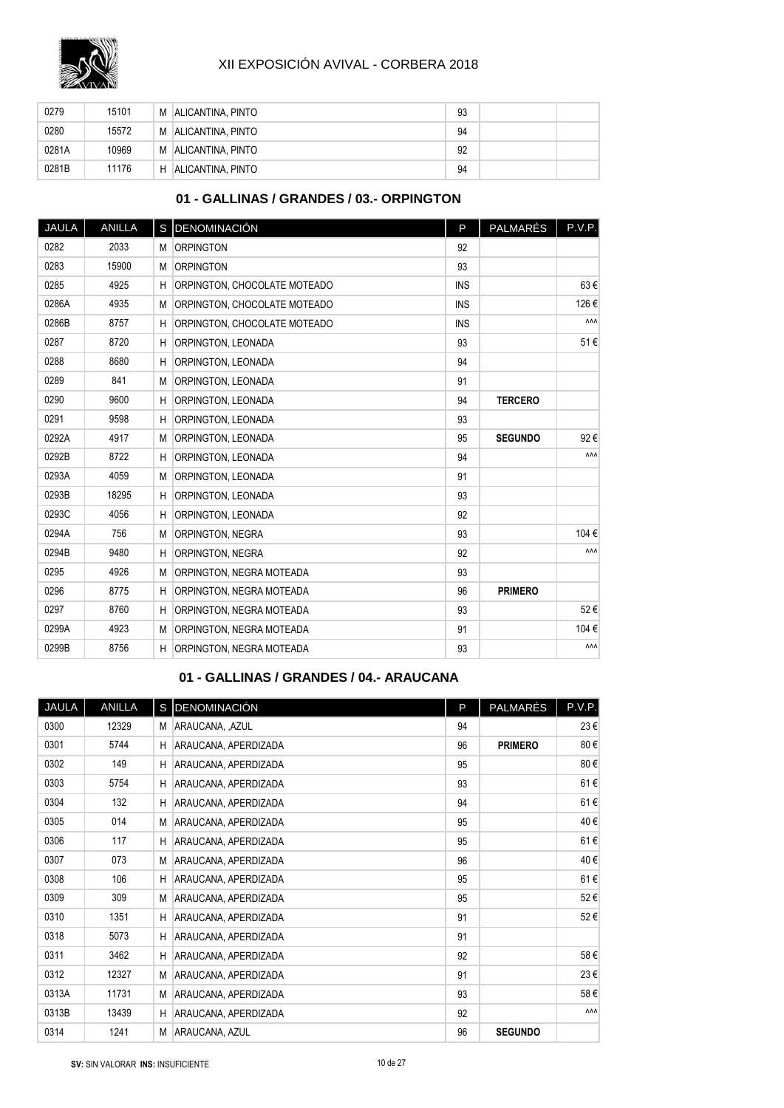

| 0279  | 15101 | M | <b>ALICANTINA, PINTO</b> | 93 |  |
|-------|-------|---|--------------------------|----|--|
| 0280  | 15572 | M | ALICANTINA, PINTO        | 94 |  |
| 0281A | 10969 | M | ALICANTINA, PINTO        | 92 |  |
| 0281B | 11176 | H | ALICANTINA, PINTO        | 94 |  |

## **01 - GALLINAS / GRANDES / 03.- ORPINGTON**

| JAULA | <b>ANILLA</b> |   | S DENOMINACIÓN               | P          | PALMARÉS       | P.V.P.     |
|-------|---------------|---|------------------------------|------------|----------------|------------|
| 0282  | 2033          | M | <b>ORPINGTON</b>             | 92         |                |            |
| 0283  | 15900         | M | <b>ORPINGTON</b>             | 93         |                |            |
| 0285  | 4925          | н | ORPINGTON, CHOCOLATE MOTEADO | <b>INS</b> |                | 63€        |
| 0286A | 4935          | M | ORPINGTON, CHOCOLATE MOTEADO | <b>INS</b> |                | 126€       |
| 0286B | 8757          | H | ORPINGTON, CHOCOLATE MOTEADO | <b>INS</b> |                | ۸ΛΛ        |
| 0287  | 8720          | H | ORPINGTON, LEONADA           | 93         |                | 51€        |
| 0288  | 8680          | H | ORPINGTON, LEONADA           | 94         |                |            |
| 0289  | 841           | М | ORPINGTON, LEONADA           | 91         |                |            |
| 0290  | 9600          | н | ORPINGTON, LEONADA           | 94         | <b>TERCERO</b> |            |
| 0291  | 9598          | н | ORPINGTON, LEONADA           | 93         |                |            |
| 0292A | 4917          | M | ORPINGTON, LEONADA           | 95         | <b>SEGUNDO</b> | 92€        |
| 0292B | 8722          | н | ORPINGTON, LEONADA           | 94         |                | <b>AAA</b> |
| 0293A | 4059          | M | ORPINGTON, LEONADA           | 91         |                |            |
| 0293B | 18295         | н | ORPINGTON, LEONADA           | 93         |                |            |
| 0293C | 4056          | н | ORPINGTON, LEONADA           | 92         |                |            |
| 0294A | 756           | М | <b>ORPINGTON, NEGRA</b>      | 93         |                | 104€       |
| 0294B | 9480          | н | ORPINGTON, NEGRA             | 92         |                | ۸ΛΛ        |
| 0295  | 4926          | M | ORPINGTON, NEGRA MOTEADA     | 93         |                |            |
| 0296  | 8775          | H | ORPINGTON, NEGRA MOTEADA     | 96         | <b>PRIMERO</b> |            |
| 0297  | 8760          | н | ORPINGTON, NEGRA MOTEADA     | 93         |                | 52€        |
| 0299A | 4923          | M | ORPINGTON, NEGRA MOTEADA     | 91         |                | 104€       |
| 0299B | 8756          | H | ORPINGTON, NEGRA MOTEADA     | 93         |                | ۸ΛΛ        |
|       |               |   |                              |            |                |            |

#### **01 - GALLINAS / GRANDES / 04.- ARAUCANA**

| JAULA | ANILLA |   | S DENOMINACIÓN       | P  | PALMARÉS       | P.V.P.     |
|-------|--------|---|----------------------|----|----------------|------------|
| 0300  | 12329  | M | ARAUCANA, , AZUL     | 94 |                | 23€        |
| 0301  | 5744   | H | ARAUCANA, APERDIZADA | 96 | <b>PRIMERO</b> | 80€        |
| 0302  | 149    | H | ARAUCANA, APERDIZADA | 95 |                | 80€        |
| 0303  | 5754   | H | ARAUCANA, APERDIZADA | 93 |                | 61€        |
| 0304  | 132    | H | ARAUCANA, APERDIZADA | 94 |                | 61€        |
| 0305  | 014    | M | ARAUCANA, APERDIZADA | 95 |                | 40€        |
| 0306  | 117    | H | ARAUCANA, APERDIZADA | 95 |                | 61€        |
| 0307  | 073    | M | ARAUCANA, APERDIZADA | 96 |                | 40€        |
| 0308  | 106    | H | ARAUCANA, APERDIZADA | 95 |                | 61€        |
| 0309  | 309    | M | ARAUCANA, APERDIZADA | 95 |                | 52€        |
| 0310  | 1351   | H | ARAUCANA, APERDIZADA | 91 |                | 52€        |
| 0318  | 5073   | H | ARAUCANA, APERDIZADA | 91 |                |            |
| 0311  | 3462   | H | ARAUCANA, APERDIZADA | 92 |                | 58€        |
| 0312  | 12327  | M | ARAUCANA, APERDIZADA | 91 |                | 23€        |
| 0313A | 11731  | M | ARAUCANA, APERDIZADA | 93 |                | 58€        |
| 0313B | 13439  | H | ARAUCANA, APERDIZADA | 92 |                | <b>AAA</b> |
| 0314  | 1241   | M | ARAUCANA, AZUL       | 96 | <b>SEGUNDO</b> |            |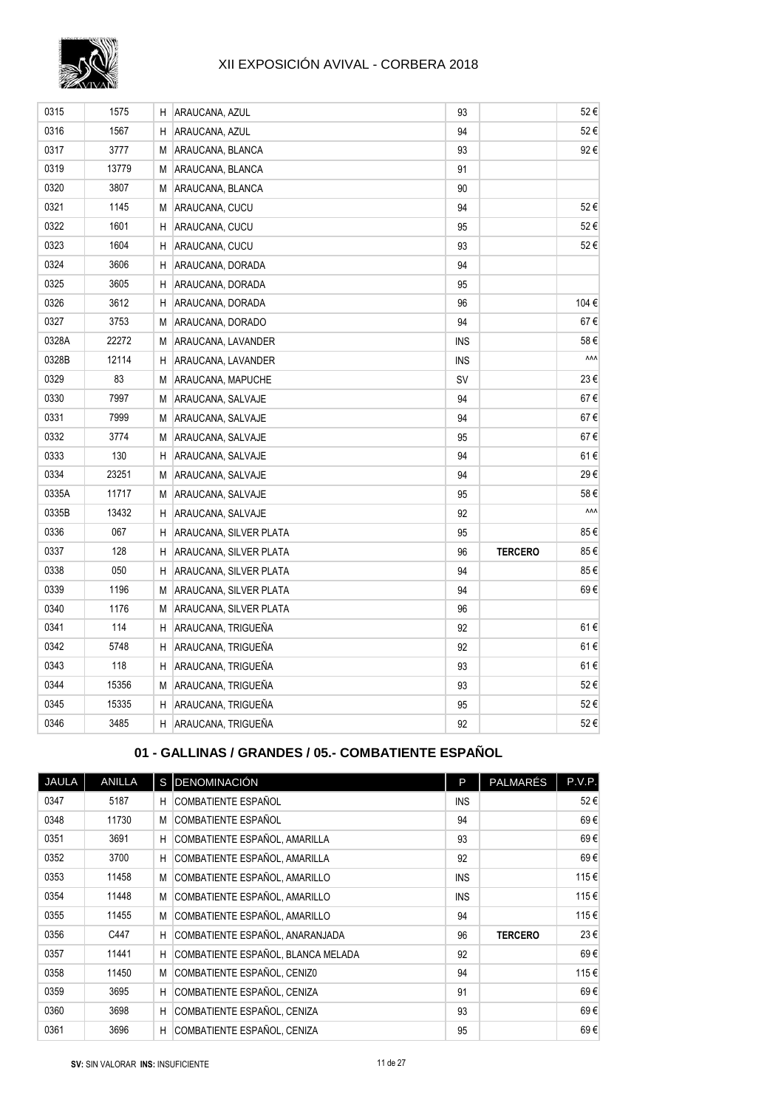

| 0315  | 1575  | н  | ARAUCANA, AZUL         | 93         |                | 52€  |
|-------|-------|----|------------------------|------------|----------------|------|
| 0316  | 1567  | н  | ARAUCANA, AZUL         | 94         |                | 52€  |
| 0317  | 3777  | М  | ARAUCANA, BLANCA       | 93         |                | 92€  |
| 0319  | 13779 | М  | ARAUCANA, BLANCA       | 91         |                |      |
| 0320  | 3807  | М  | ARAUCANA, BLANCA       | 90         |                |      |
| 0321  | 1145  | М  | ARAUCANA, CUCU         | 94         |                | 52€  |
| 0322  | 1601  | Н  | ARAUCANA, CUCU         | 95         |                | 52€  |
| 0323  | 1604  | Η  | ARAUCANA, CUCU         | 93         |                | 52€  |
| 0324  | 3606  | н  | ARAUCANA, DORADA       | 94         |                |      |
| 0325  | 3605  | H  | ARAUCANA, DORADA       | 95         |                |      |
| 0326  | 3612  | Н  | ARAUCANA, DORADA       | 96         |                | 104€ |
| 0327  | 3753  | М  | ARAUCANA, DORADO       | 94         |                | 67€  |
| 0328A | 22272 | М  | ARAUCANA, LAVANDER     | <b>INS</b> |                | 58€  |
| 0328B | 12114 | Н  | ARAUCANA, LAVANDER     | <b>INS</b> |                | ۸۸Λ  |
| 0329  | 83    | M  | ARAUCANA, MAPUCHE      | <b>SV</b>  |                | 23€  |
| 0330  | 7997  | М  | ARAUCANA, SALVAJE      | 94         |                | 67€  |
| 0331  | 7999  | М  | ARAUCANA, SALVAJE      | 94         |                | 67€  |
| 0332  | 3774  | М  | ARAUCANA, SALVAJE      | 95         |                | 67€  |
| 0333  | 130   | н  | ARAUCANA, SALVAJE      | 94         |                | 61€  |
| 0334  | 23251 | М  | ARAUCANA, SALVAJE      | 94         |                | 29€  |
| 0335A | 11717 | М  | ARAUCANA, SALVAJE      | 95         |                | 58€  |
| 0335B | 13432 | Н  | ARAUCANA, SALVAJE      | 92         |                | ۸۸۸  |
| 0336  | 067   | Н  | ARAUCANA, SILVER PLATA | 95         |                | 85€  |
| 0337  | 128   | н  | ARAUCANA, SILVER PLATA | 96         | <b>TERCERO</b> | 85€  |
| 0338  | 050   | н  | ARAUCANA, SILVER PLATA | 94         |                | 85€  |
| 0339  | 1196  | M  | ARAUCANA, SILVER PLATA | 94         |                | 69€  |
| 0340  | 1176  | М  | ARAUCANA, SILVER PLATA | 96         |                |      |
| 0341  | 114   | Н  | ARAUCANA, TRIGUEÑA     | 92         |                | 61€  |
| 0342  | 5748  | н  | ARAUCANA, TRIGUEÑA     | 92         |                | 61€  |
| 0343  | 118   | н  | ARAUCANA, TRIGUEÑA     | 93         |                | 61€  |
| 0344  | 15356 | М  | ARAUCANA, TRIGUEÑA     | 93         |                | 52€  |
| 0345  | 15335 | H  | ARAUCANA, TRIGUEÑA     | 95         |                | 52€  |
| 0346  | 3485  | H. | ARAUCANA, TRIGUEÑA     | 92         |                | 52€  |

## **01 - GALLINAS / GRANDES / 05.- COMBATIENTE ESPAÑOL**

| <b>JAULA</b> | ANILLA |   | S DENOMINACIÓN                     | P          | <b>PALMARÉS</b> | P.V.P. |
|--------------|--------|---|------------------------------------|------------|-----------------|--------|
| 0347         | 5187   | H | COMBATIENTE ESPAÑOL                | <b>INS</b> |                 | 52€    |
| 0348         | 11730  | M | COMBATIENTE ESPAÑOL                | 94         |                 | 69€    |
| 0351         | 3691   | H | COMBATIENTE ESPAÑOL, AMARILLA      | 93         |                 | 69€    |
| 0352         | 3700   | H | COMBATIENTE ESPAÑOL, AMARILLA      | 92         |                 | 69€    |
| 0353         | 11458  | M | COMBATIENTE ESPAÑOL, AMARILLO      | <b>INS</b> |                 | 115€   |
| 0354         | 11448  | M | COMBATIENTE ESPAÑOL, AMARILLO      | <b>INS</b> |                 | 115€   |
| 0355         | 11455  | M | COMBATIENTE ESPAÑOL, AMARILLO      | 94         |                 | 115€   |
| 0356         | C447   | H | COMBATIENTE ESPAÑOL, ANARANJADA    | 96         | <b>TERCERO</b>  | 23€    |
| 0357         | 11441  | H | COMBATIENTE ESPAÑOL, BLANCA MELADA | 92         |                 | 69€    |
| 0358         | 11450  | M | COMBATIENTE ESPAÑOL, CENIZO        | 94         |                 | 115€   |
| 0359         | 3695   | H | COMBATIENTE ESPAÑOL, CENIZA        | 91         |                 | 69€    |
| 0360         | 3698   | H | COMBATIENTE ESPAÑOL, CENIZA        | 93         |                 | 69€    |
| 0361         | 3696   | H | COMBATIENTE ESPAÑOL, CENIZA        | 95         |                 | 69€    |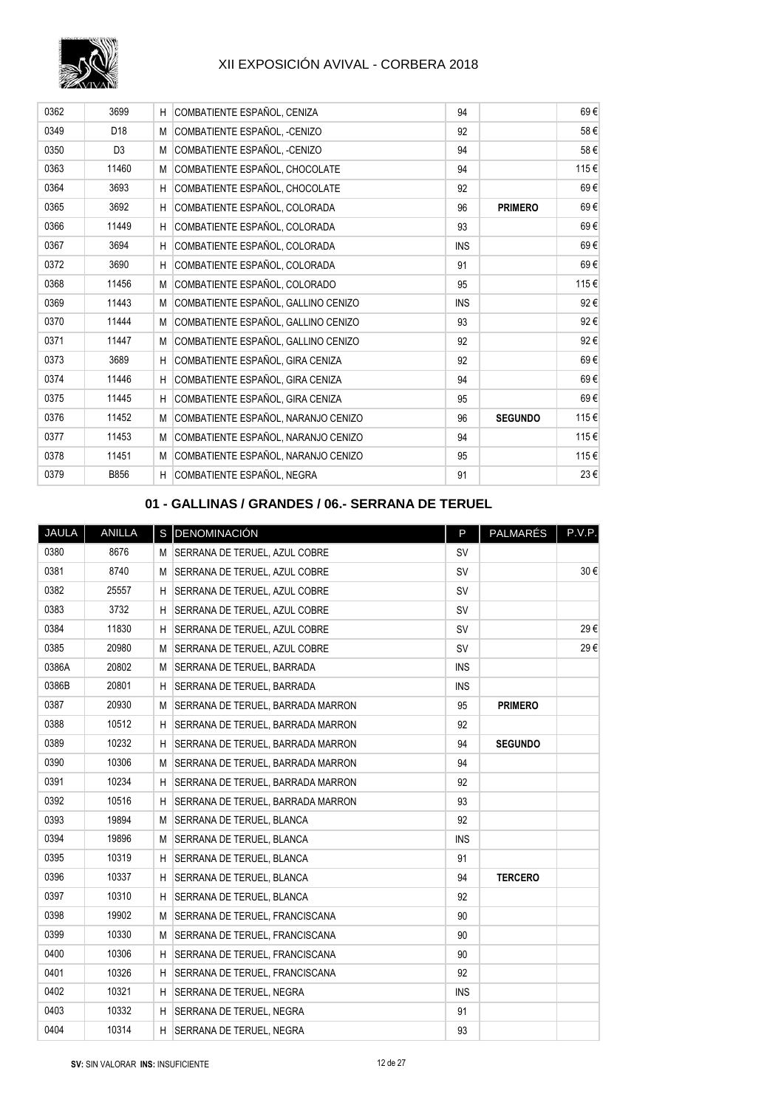

| 0362 | 3699           | H  | COMBATIENTE ESPAÑOL, CENIZA         | 94         |                | 69€  |
|------|----------------|----|-------------------------------------|------------|----------------|------|
| 0349 | D18            | M  | COMBATIENTE ESPAÑOL, -CENIZO        | 92         |                | 58€  |
| 0350 | D <sub>3</sub> | M  | COMBATIENTE ESPAÑOL, -CENIZO        | 94         |                | 58€  |
| 0363 | 11460          | M  | COMBATIENTE ESPAÑOL, CHOCOLATE      | 94         |                | 115€ |
| 0364 | 3693           | H  | COMBATIENTE ESPAÑOL, CHOCOLATE      | 92         |                | 69€  |
| 0365 | 3692           | H  | COMBATIENTE ESPAÑOL, COLORADA       | 96         | <b>PRIMERO</b> | 69€  |
| 0366 | 11449          | H  | COMBATIENTE ESPAÑOL, COLORADA       | 93         |                | 69€  |
| 0367 | 3694           | H  | COMBATIENTE ESPAÑOL, COLORADA       | <b>INS</b> |                | 69€  |
| 0372 | 3690           | H. | COMBATIENTE ESPAÑOL, COLORADA       | 91         |                | 69€  |
| 0368 | 11456          | M  | COMBATIENTE ESPAÑOL, COLORADO       | 95         |                | 115€ |
| 0369 | 11443          | M  | COMBATIENTE ESPAÑOL, GALLINO CENIZO | <b>INS</b> |                | 92€  |
| 0370 | 11444          | M  | COMBATIENTE ESPAÑOL, GALLINO CENIZO | 93         |                | 92€  |
| 0371 | 11447          | М  | COMBATIENTE ESPAÑOL, GALLINO CENIZO | 92         |                | 92€  |
| 0373 | 3689           | H  | COMBATIENTE ESPAÑOL, GIRA CENIZA    | 92         |                | 69€  |
| 0374 | 11446          | H  | COMBATIENTE ESPAÑOL, GIRA CENIZA    | 94         |                | 69€  |
| 0375 | 11445          | H. | COMBATIENTE ESPAÑOL, GIRA CENIZA    | 95         |                | 69€  |
| 0376 | 11452          | M  | COMBATIENTE ESPAÑOL, NARANJO CENIZO | 96         | <b>SEGUNDO</b> | 115€ |
| 0377 | 11453          | M  | COMBATIENTE ESPAÑOL, NARANJO CENIZO | 94         |                | 115€ |
| 0378 | 11451          | M  | COMBATIENTE ESPAÑOL, NARANJO CENIZO | 95         |                | 115€ |
| 0379 | B856           | H. | COMBATIENTE ESPAÑOL, NEGRA          | 91         |                | 23€  |

## **01 - GALLINAS / GRANDES / 06.- SERRANA DE TERUEL**

| JAULA | ANILLA |    | S DENOMINACIÓN                        | P          | PALMARÉS       | P.V.P. |
|-------|--------|----|---------------------------------------|------------|----------------|--------|
| 0380  | 8676   |    | M SERRANA DE TERUEL. AZUL COBRE       | <b>SV</b>  |                |        |
| 0381  | 8740   |    | M SERRANA DE TERUEL, AZUL COBRE       | SV         |                | 30€    |
| 0382  | 25557  | Н. | SERRANA DE TERUEL, AZUL COBRE         | <b>SV</b>  |                |        |
| 0383  | 3732   |    | H SERRANA DE TERUEL, AZUL COBRE       | <b>SV</b>  |                |        |
| 0384  | 11830  |    | H SERRANA DE TERUEL, AZUL COBRE       | <b>SV</b>  |                | 29€    |
| 0385  | 20980  |    | M SERRANA DE TERUEL, AZUL COBRE       | <b>SV</b>  |                | 29€    |
| 0386A | 20802  |    | M SERRANA DE TERUEL, BARRADA          | <b>INS</b> |                |        |
| 0386B | 20801  | H. | SERRANA DE TERUEL, BARRADA            | <b>INS</b> |                |        |
| 0387  | 20930  |    | M SERRANA DE TERUEL, BARRADA MARRON   | 95         | <b>PRIMERO</b> |        |
| 0388  | 10512  | Н. | SERRANA DE TERUEL, BARRADA MARRON     | 92         |                |        |
| 0389  | 10232  | Н. | SERRANA DE TERUEL. BARRADA MARRON     | 94         | <b>SEGUNDO</b> |        |
| 0390  | 10306  |    | M SERRANA DE TERUEL, BARRADA MARRON   | 94         |                |        |
| 0391  | 10234  | Н. | SERRANA DE TERUEL, BARRADA MARRON     | 92         |                |        |
| 0392  | 10516  | Н. | SERRANA DE TERUEL, BARRADA MARRON     | 93         |                |        |
| 0393  | 19894  |    | M SERRANA DE TERUEL, BLANCA           | 92         |                |        |
| 0394  | 19896  |    | M SERRANA DE TERUEL, BLANCA           | <b>INS</b> |                |        |
| 0395  | 10319  |    | H SERRANA DE TERUEL, BLANCA           | 91         |                |        |
| 0396  | 10337  |    | H SERRANA DE TERUEL. BLANCA           | 94         | <b>TERCERO</b> |        |
| 0397  | 10310  | H. | SERRANA DE TERUEL, BLANCA             | 92         |                |        |
| 0398  | 19902  |    | M SERRANA DE TERUEL, FRANCISCANA      | 90         |                |        |
| 0399  | 10330  |    | M SERRANA DE TERUEL, FRANCISCANA      | 90         |                |        |
| 0400  | 10306  | H. | SERRANA DE TERUEL, FRANCISCANA        | 90         |                |        |
| 0401  | 10326  | Н. | <b>SERRANA DE TERUEL, FRANCISCANA</b> | 92         |                |        |
| 0402  | 10321  | H  | SERRANA DE TERUEL, NEGRA              | <b>INS</b> |                |        |
| 0403  | 10332  |    | H SERRANA DE TERUEL, NEGRA            | 91         |                |        |
| 0404  | 10314  |    | H SERRANA DE TERUEL, NEGRA            | 93         |                |        |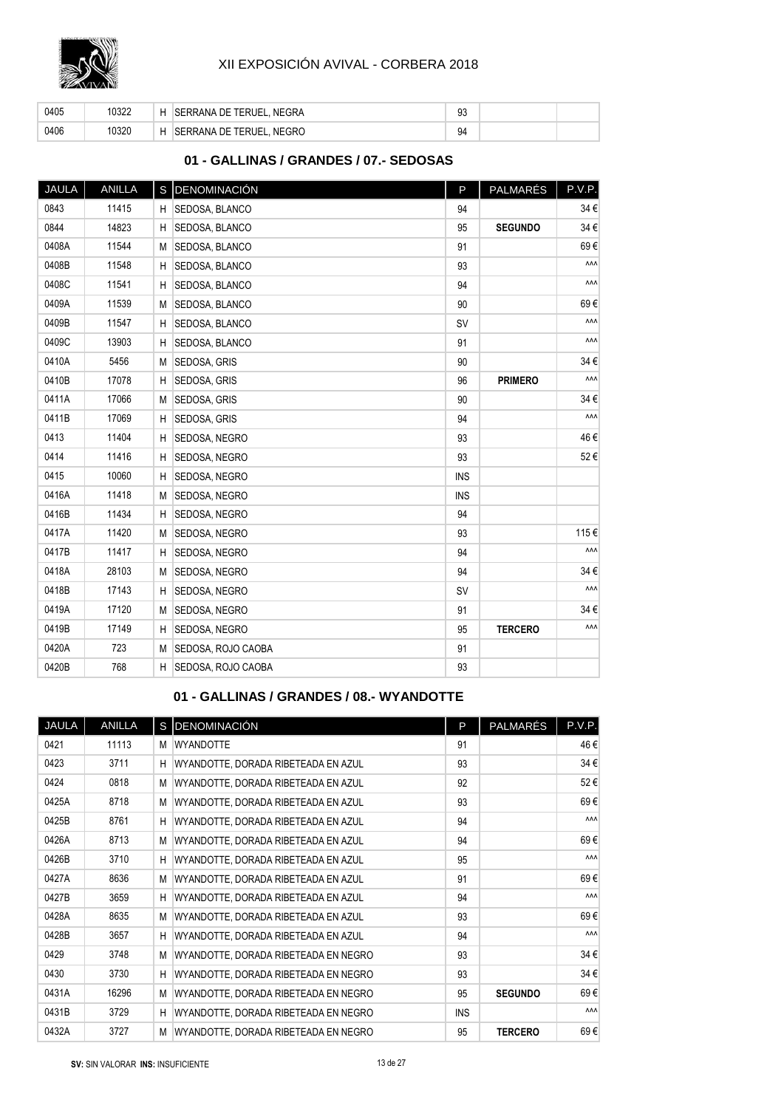

| 0405 | 0322 | ⊣ | . NEGRA<br><b>SERRANA DE TERUEL, I</b> | $\sim$<br>ႸĴ |  |
|------|------|---|----------------------------------------|--------------|--|
| 0406 | 0320 | ⊣ | SERRANA DE TERUEL, NEGRO               | 94           |  |

## **01 - GALLINAS / GRANDES / 07.- SEDOSAS**

| JAULA | ANILLA |   | S DENOMINACIÓN     | P          | PALMARÉS       | P.V.P. |
|-------|--------|---|--------------------|------------|----------------|--------|
| 0843  | 11415  | H | SEDOSA, BLANCO     | 94         |                | 34€    |
| 0844  | 14823  | Η | SEDOSA, BLANCO     | 95         | <b>SEGUNDO</b> | 34€    |
| 0408A | 11544  | M | SEDOSA, BLANCO     | 91         |                | 69€    |
| 0408B | 11548  | н | SEDOSA, BLANCO     | 93         |                | ۸ΛΛ    |
| 0408C | 11541  | H | SEDOSA, BLANCO     | 94         |                | ۸ΛΛ    |
| 0409A | 11539  | M | SEDOSA, BLANCO     | 90         |                | 69€    |
| 0409B | 11547  | н | SEDOSA, BLANCO     | <b>SV</b>  |                | ۸ΛΛ    |
| 0409C | 13903  | H | SEDOSA, BLANCO     | 91         |                | ۸ΛΛ    |
| 0410A | 5456   | M | SEDOSA, GRIS       | 90         |                | 34€    |
| 0410B | 17078  | Η | SEDOSA, GRIS       | 96         | <b>PRIMERO</b> | ۸ΛΛ    |
| 0411A | 17066  | M | SEDOSA, GRIS       | 90         |                | 34€    |
| 0411B | 17069  | H | SEDOSA, GRIS       | 94         |                | ۸ΛΛ    |
| 0413  | 11404  | H | SEDOSA, NEGRO      | 93         |                | 46€    |
| 0414  | 11416  | H | SEDOSA, NEGRO      | 93         |                | 52€    |
| 0415  | 10060  | H | SEDOSA, NEGRO      | <b>INS</b> |                |        |
| 0416A | 11418  | M | SEDOSA, NEGRO      | <b>INS</b> |                |        |
| 0416B | 11434  | H | SEDOSA, NEGRO      | 94         |                |        |
| 0417A | 11420  | M | SEDOSA, NEGRO      | 93         |                | 115€   |
| 0417B | 11417  | H | SEDOSA, NEGRO      | 94         |                | ۸ΛΛ    |
| 0418A | 28103  | M | SEDOSA, NEGRO      | 94         |                | 34€    |
| 0418B | 17143  | H | SEDOSA, NEGRO      | <b>SV</b>  |                | ۸ΛΛ    |
| 0419A | 17120  | M | SEDOSA, NEGRO      | 91         |                | 34€    |
| 0419B | 17149  | H | SEDOSA, NEGRO      | 95         | <b>TERCERO</b> | ۸ΛΛ    |
| 0420A | 723    | M | SEDOSA, ROJO CAOBA | 91         |                |        |
| 0420B | 768    | H | SEDOSA, ROJO CAOBA | 93         |                |        |

## **01 - GALLINAS / GRANDES / 08.- WYANDOTTE**

| <b>JAULA</b> | ANILLA |   | S DENOMINACIÓN                       | P          | PALMARÉS       | P.V.P.     |
|--------------|--------|---|--------------------------------------|------------|----------------|------------|
| 0421         | 11113  | М | <b>WYANDOTTE</b>                     | 91         |                | 46 €       |
| 0423         | 3711   | H | WYANDOTTE, DORADA RIBETEADA EN AZUL  | 93         |                | 34€        |
| 0424         | 0818   | M | WYANDOTTE, DORADA RIBETEADA EN AZUL  | 92         |                | 52€        |
| 0425A        | 8718   | M | WYANDOTTE, DORADA RIBETEADA EN AZUL  | 93         |                | 69€        |
| 0425B        | 8761   | Н | WYANDOTTE, DORADA RIBETEADA EN AZUL  | 94         |                | ۸ΛΛ        |
| 0426A        | 8713   | M | WYANDOTTE, DORADA RIBETEADA EN AZUL  | 94         |                | 69€        |
| 0426B        | 3710   | H | WYANDOTTE, DORADA RIBETEADA EN AZUL  | 95         |                | <b>AAA</b> |
| 0427A        | 8636   | M | WYANDOTTE, DORADA RIBETEADA EN AZUL  | 91         |                | 69€        |
| 0427B        | 3659   | H | WYANDOTTE, DORADA RIBETEADA EN AZUL  | 94         |                | <b>AAA</b> |
| 0428A        | 8635   | M | WYANDOTTE, DORADA RIBETEADA EN AZUL  | 93         |                | 69€        |
| 0428B        | 3657   | н | WYANDOTTE, DORADA RIBETEADA EN AZUL  | 94         |                | ۸ΛΛ        |
| 0429         | 3748   | M | WYANDOTTE, DORADA RIBETEADA EN NEGRO | 93         |                | 34 €       |
| 0430         | 3730   | H | WYANDOTTE, DORADA RIBETEADA EN NEGRO | 93         |                | 34€        |
| 0431A        | 16296  | M | WYANDOTTE, DORADA RIBETEADA EN NEGRO | 95         | <b>SEGUNDO</b> | 69€        |
| 0431B        | 3729   | H | WYANDOTTE, DORADA RIBETEADA EN NEGRO | <b>INS</b> |                | <b>AAA</b> |
| 0432A        | 3727   | M | WYANDOTTE, DORADA RIBETEADA EN NEGRO | 95         | <b>TERCERO</b> | 69€        |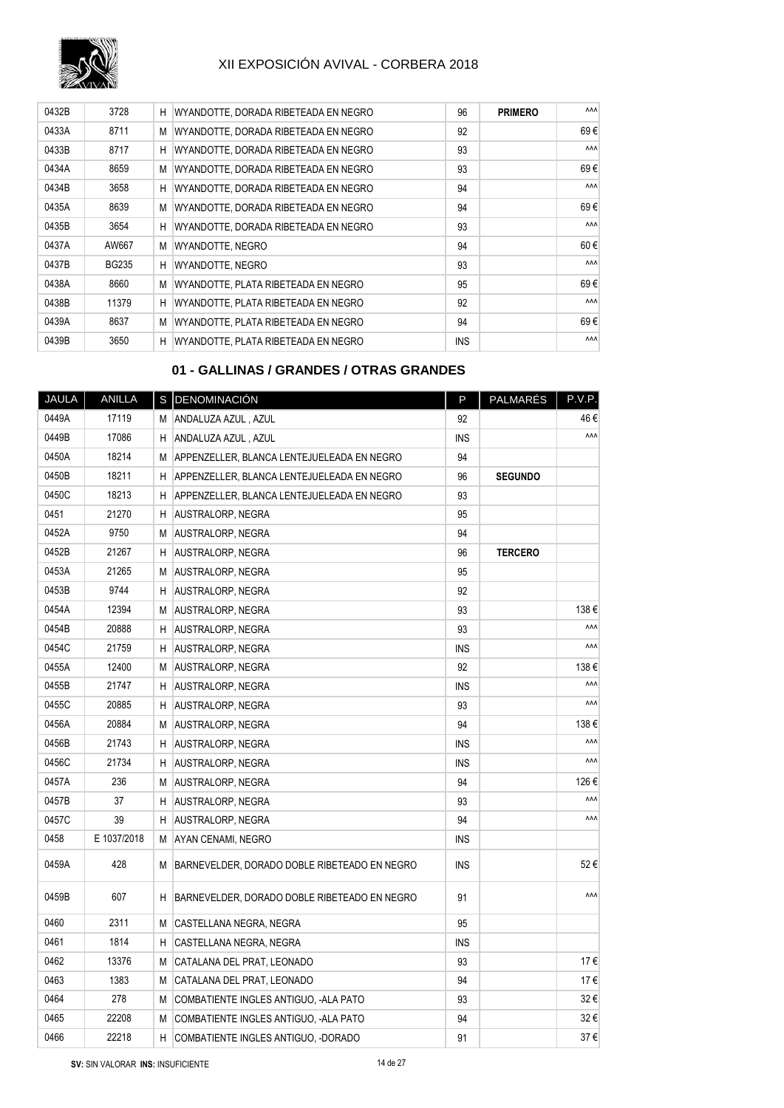

| 0432B | 3728         | H | WYANDOTTE, DORADA RIBETEADA EN NEGRO | 96         | <b>PRIMERO</b> | <b>AAA</b> |
|-------|--------------|---|--------------------------------------|------------|----------------|------------|
| 0433A | 8711         | М | WYANDOTTE, DORADA RIBETEADA EN NEGRO | 92         |                | 69€        |
| 0433B | 8717         | H | WYANDOTTE, DORADA RIBETEADA EN NEGRO | 93         |                | <b>AAA</b> |
| 0434A | 8659         | М | WYANDOTTE, DORADA RIBETEADA EN NEGRO | 93         |                | 69€        |
| 0434B | 3658         | н | WYANDOTTE, DORADA RIBETEADA EN NEGRO | 94         |                | <b>AAA</b> |
| 0435A | 8639         | М | WYANDOTTE, DORADA RIBETEADA EN NEGRO | 94         |                | 69€        |
| 0435B | 3654         | H | WYANDOTTE, DORADA RIBETEADA EN NEGRO | 93         |                | <b>AAA</b> |
| 0437A | AW667        | М | <b>WYANDOTTE, NEGRO</b>              | 94         |                | 60€        |
| 0437B | <b>BG235</b> | н | WYANDOTTE, NEGRO                     | 93         |                | <b>AAA</b> |
| 0438A | 8660         | М | WYANDOTTE, PLATA RIBETEADA EN NEGRO  | 95         |                | 69€        |
| 0438B | 11379        | H | WYANDOTTE, PLATA RIBETEADA EN NEGRO  | 92         |                | <b>AAA</b> |
| 0439A | 8637         | М | WYANDOTTE, PLATA RIBETEADA EN NEGRO  | 94         |                | 69€        |
| 0439B | 3650         | H | WYANDOTTE, PLATA RIBETEADA EN NEGRO  | <b>INS</b> |                | <b>AAA</b> |

## **01 - GALLINAS / GRANDES / OTRAS GRANDES**

| <b>JAULA</b> | <b>ANILLA</b> |   | S DENOMINACIÓN                               | P          | PALMARÉS       | P.V.P. |
|--------------|---------------|---|----------------------------------------------|------------|----------------|--------|
| 0449A        | 17119         | М | ANDALUZA AZUL, AZUL                          | 92         |                | 46€    |
| 0449B        | 17086         | н | ANDALUZA AZUL, AZUL                          | <b>INS</b> |                | ۸ΛΛ    |
| 0450A        | 18214         | М | APPENZELLER, BLANCA LENTEJUELEADA EN NEGRO   | 94         |                |        |
| 0450B        | 18211         | H | APPENZELLER, BLANCA LENTEJUELEADA EN NEGRO   | 96         | <b>SEGUNDO</b> |        |
| 0450C        | 18213         | Η | APPENZELLER, BLANCA LENTEJUELEADA EN NEGRO   | 93         |                |        |
| 0451         | 21270         | н | <b>AUSTRALORP, NEGRA</b>                     | 95         |                |        |
| 0452A        | 9750          | M | <b>AUSTRALORP, NEGRA</b>                     | 94         |                |        |
| 0452B        | 21267         | Н | <b>AUSTRALORP, NEGRA</b>                     | 96         | <b>TERCERO</b> |        |
| 0453A        | 21265         | M | <b>AUSTRALORP, NEGRA</b>                     | 95         |                |        |
| 0453B        | 9744          | Η | <b>AUSTRALORP, NEGRA</b>                     | 92         |                |        |
| 0454A        | 12394         | M | <b>AUSTRALORP, NEGRA</b>                     | 93         |                | 138€   |
| 0454B        | 20888         | Η | AUSTRALORP, NEGRA                            | 93         |                | ۸ΛΛ    |
| 0454C        | 21759         | Η | <b>AUSTRALORP, NEGRA</b>                     | <b>INS</b> |                | ۸ΛΛ    |
| 0455A        | 12400         | М | <b>AUSTRALORP, NEGRA</b>                     | 92         |                | 138€   |
| 0455B        | 21747         | Η | <b>AUSTRALORP, NEGRA</b>                     | <b>INS</b> |                | ۸ΛΛ    |
| 0455C        | 20885         | Η | <b>AUSTRALORP, NEGRA</b>                     | 93         |                | ۸ΛΛ    |
| 0456A        | 20884         | M | <b>AUSTRALORP, NEGRA</b>                     | 94         |                | 138€   |
| 0456B        | 21743         | Η | <b>AUSTRALORP, NEGRA</b>                     | <b>INS</b> |                | ۸ΛΛ    |
| 0456C        | 21734         | Н | AUSTRALORP, NEGRA                            | <b>INS</b> |                | ۸ΛΛ    |
| 0457A        | 236           | М | AUSTRALORP, NEGRA                            | 94         |                | 126€   |
| 0457B        | 37            | H | <b>AUSTRALORP, NEGRA</b>                     | 93         |                | ۸ΛΛ    |
| 0457C        | 39            | H | AUSTRALORP, NEGRA                            | 94         |                | ۸ΛΛ    |
| 0458         | E 1037/2018   | M | AYAN CENAMI, NEGRO                           | INS        |                |        |
| 0459A        | 428           | М | BARNEVELDER, DORADO DOBLE RIBETEADO EN NEGRO | <b>INS</b> |                | 52€    |
| 0459B        | 607           | H | BARNEVELDER, DORADO DOBLE RIBETEADO EN NEGRO | 91         |                | ۸ΛΛ    |
| 0460         | 2311          | М | CASTELLANA NEGRA, NEGRA                      | 95         |                |        |
| 0461         | 1814          | н | CASTELLANA NEGRA, NEGRA                      | <b>INS</b> |                |        |
| 0462         | 13376         | М | CATALANA DEL PRAT, LEONADO                   | 93         |                | 17€    |
| 0463         | 1383          | M | CATALANA DEL PRAT, LEONADO                   | 94         |                | 17€    |
| 0464         | 278           | M | COMBATIENTE INGLES ANTIGUO, -ALA PATO        | 93         |                | 32€    |
| 0465         | 22208         | M | COMBATIENTE INGLES ANTIGUO, -ALA PATO        | 94         |                | 32€    |
| 0466         | 22218         | н | COMBATIENTE INGLES ANTIGUO, -DORADO          | 91         |                | 37€    |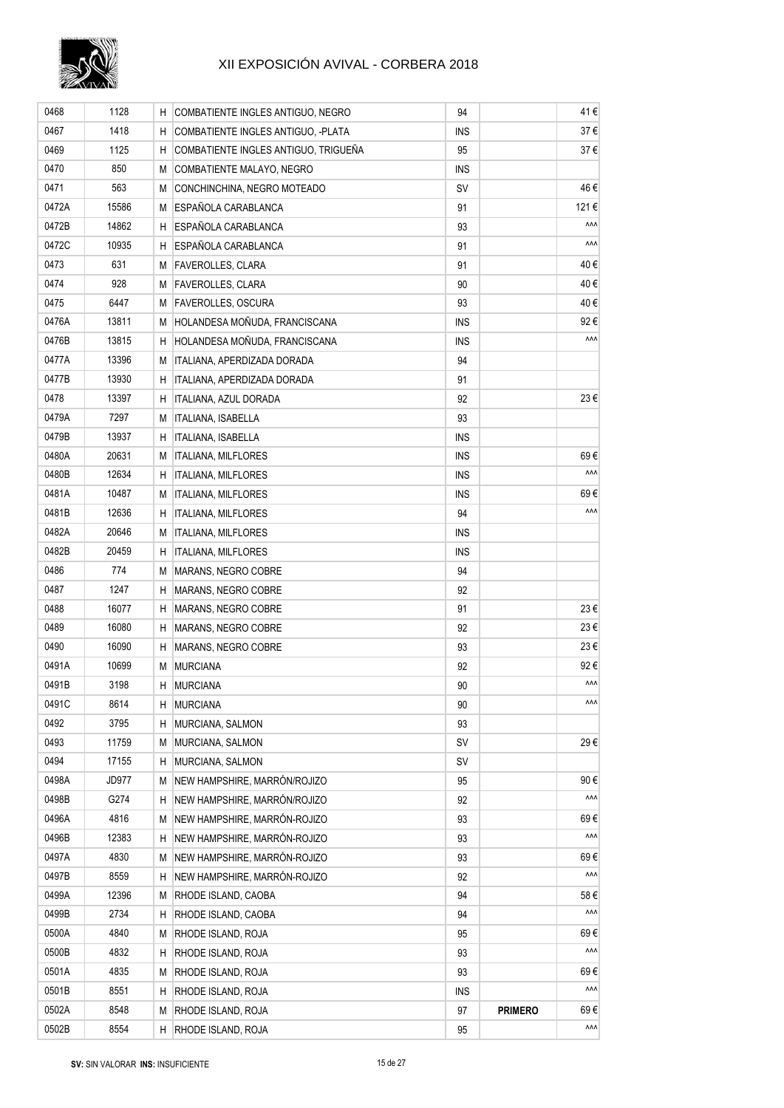

| 0468  | 1128         | H  | COMBATIENTE INGLES ANTIGUO, NEGRO    | 94         |                | 41€        |
|-------|--------------|----|--------------------------------------|------------|----------------|------------|
| 0467  | 1418         | H. | COMBATIENTE INGLES ANTIGUO, -PLATA   | <b>INS</b> |                | 37 €       |
| 0469  | 1125         | н  | COMBATIENTE INGLES ANTIGUO, TRIGUEÑA | 95         |                | 37€        |
| 0470  | 850          | M  | COMBATIENTE MALAYO, NEGRO            | <b>INS</b> |                |            |
| 0471  | 563          | М  | CONCHINCHINA, NEGRO MOTEADO          | <b>SV</b>  |                | 46 €       |
| 0472A | 15586        | М  | ESPAÑOLA CARABLANCA                  | 91         |                | 121€       |
| 0472B | 14862        | H  | ESPAÑOLA CARABLANCA                  | 93         |                | ۸ΛΛ        |
| 0472C | 10935        | н  | ESPAÑOLA CARABLANCA                  | 91         |                | ۸ΛΛ        |
| 0473  | 631          | М  | <b>FAVEROLLES, CLARA</b>             | 91         |                | 40€        |
| 0474  | 928          | М  | <b>FAVEROLLES, CLARA</b>             | 90         |                | 40 €       |
| 0475  | 6447         | М  | <b>FAVEROLLES, OSCURA</b>            | 93         |                | 40 €       |
| 0476A | 13811        | М  | HOLANDESA MOÑUDA, FRANCISCANA        | <b>INS</b> |                | 92€        |
| 0476B | 13815        | н  | HOLANDESA MOÑUDA, FRANCISCANA        | INS        |                | ۸۸۸        |
| 0477A | 13396        | М  | ITALIANA, APERDIZADA DORADA          | 94         |                |            |
| 0477B | 13930        | н  | ITALIANA, APERDIZADA DORADA          | 91         |                |            |
| 0478  | 13397        | H  | ITALIANA, AZUL DORADA                | 92         |                | 23€        |
| 0479A | 7297         | M  | ITALIANA, ISABELLA                   | 93         |                |            |
| 0479B | 13937        | H  | <b>ITALIANA, ISABELLA</b>            | <b>INS</b> |                |            |
| 0480A | 20631        | М  | <b>ITALIANA, MILFLORES</b>           | <b>INS</b> |                | 69€        |
| 0480B | 12634        | н  | <b>ITALIANA, MILFLORES</b>           | <b>INS</b> |                | ۸ΛΛ        |
| 0481A | 10487        | M  | <b>ITALIANA, MILFLORES</b>           | <b>INS</b> |                | 69€        |
| 0481B | 12636        | н  | ITALIANA, MILFLORES                  | 94         |                | ۸ΛΛ        |
| 0482A | 20646        | M  | <b>ITALIANA, MILFLORES</b>           | <b>INS</b> |                |            |
| 0482B | 20459        | н  | ITALIANA, MILFLORES                  | <b>INS</b> |                |            |
| 0486  | 774          | М  | MARANS, NEGRO COBRE                  | 94         |                |            |
| 0487  | 1247         | н  | MARANS, NEGRO COBRE                  | 92         |                |            |
| 0488  | 16077        | н  | MARANS, NEGRO COBRE                  | 91         |                | 23 €       |
| 0489  | 16080        | H  | MARANS, NEGRO COBRE                  | 92         |                | 23 €       |
| 0490  | 16090        | H  | MARANS, NEGRO COBRE                  | 93         |                | 23€        |
| 0491A | 10699        | M  | <b>MURCIANA</b>                      | 92         |                | 92€        |
| 0491B | 3198         | н  | <b>MURCIANA</b>                      | 90         |                | ۸ΛΛ        |
| 0491C | 8614         | H  | <b>MURCIANA</b>                      | 90         |                | ۸ΛΛ        |
| 0492  | 3795         | Η  | MURCIANA, SALMON                     | 93         |                |            |
| 0493  | 11759        | M  | MURCIANA, SALMON                     | SV         |                | 29€        |
| 0494  | 17155        | H  | MURCIANA, SALMON                     | <b>SV</b>  |                |            |
| 0498A | <b>JD977</b> | M  | NEW HAMPSHIRE, MARRÓN/ROJIZO         | 95         |                | 90€        |
| 0498B | G274         | Η  | NEW HAMPSHIRE, MARRÓN/ROJIZO         | 92         |                | ۸۸۸        |
| 0496A | 4816         | M  | NEW HAMPSHIRE, MARRÓN-ROJIZO         | 93         |                | 69€        |
| 0496B | 12383        | Η  | NEW HAMPSHIRE, MARRÓN-ROJIZO         | 93         |                | ۸ΛΛ        |
| 0497A | 4830         | M  | NEW HAMPSHIRE, MARRÓN-ROJIZO         | 93         |                | 69€        |
| 0497B | 8559         | н  | NEW HAMPSHIRE, MARRÓN-ROJIZO         | 92         |                | ۸ΛΛ        |
| 0499A | 12396        | M  | RHODE ISLAND, CAOBA                  | 94         |                | 58€        |
| 0499B | 2734         | H  | RHODE ISLAND, CAOBA                  | 94         |                | ۸ΛΛ        |
| 0500A | 4840         | M  | RHODE ISLAND, ROJA                   | 95         |                | 69€        |
| 0500B | 4832         | Η  | RHODE ISLAND, ROJA                   | 93         |                | ۸ΛΛ        |
| 0501A | 4835         | M  | RHODE ISLAND, ROJA                   | 93         |                | 69€        |
| 0501B | 8551         | Н  | RHODE ISLAND, ROJA                   | <b>INS</b> |                | ۸ΛΛ        |
| 0502A | 8548         | M  | RHODE ISLAND, ROJA                   | 97         | <b>PRIMERO</b> | 69€        |
| 0502B | 8554         | H  | RHODE ISLAND, ROJA                   | 95         |                | <b>AAA</b> |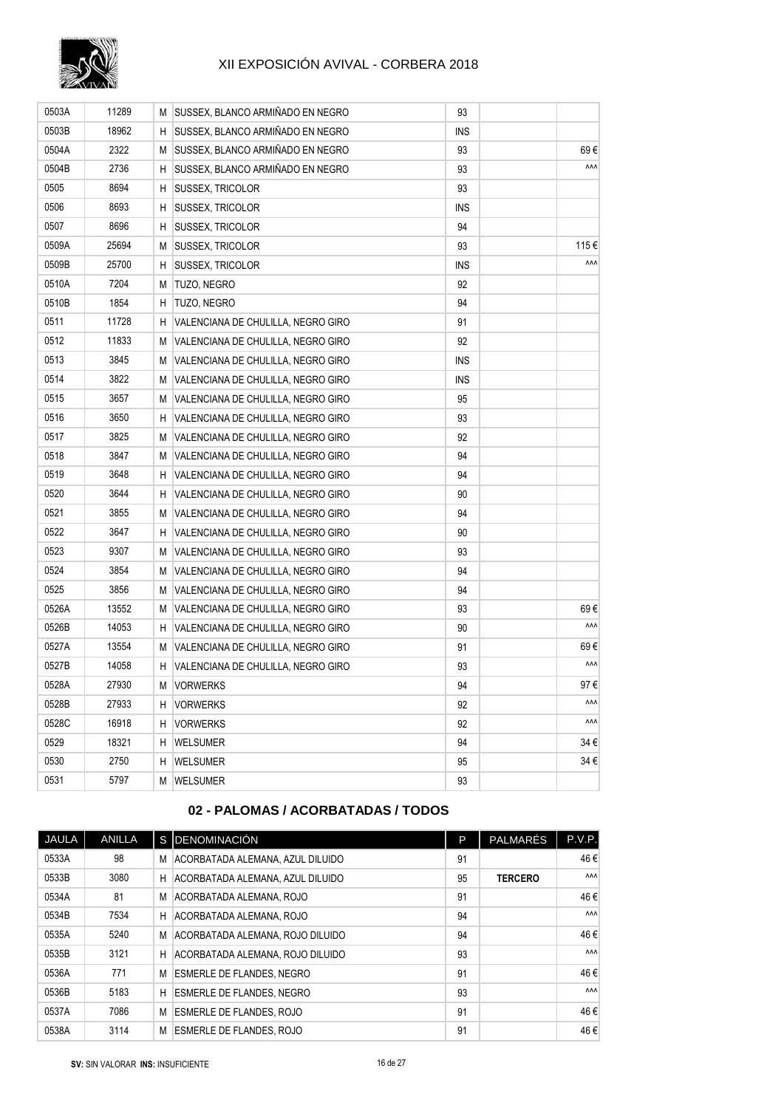

| 0503A | 11289 |    | M SUSSEX, BLANCO ARMIÑADO EN NEGRO   | 93         |      |
|-------|-------|----|--------------------------------------|------------|------|
| 0503B | 18962 |    | H SUSSEX, BLANCO ARMIÑADO EN NEGRO   | ins        |      |
| 0504A | 2322  | М  | SUSSEX, BLANCO ARMIÑADO EN NEGRO     | 93         | 69€  |
| 0504B | 2736  | H  | SUSSEX, BLANCO ARMIÑADO EN NEGRO     | 93         | ۸ΛΛ  |
| 0505  | 8694  | H  | <b>SUSSEX, TRICOLOR</b>              | 93         |      |
| 0506  | 8693  | H. | <b>SUSSEX, TRICOLOR</b>              | <b>INS</b> |      |
| 0507  | 8696  | H. | <b>SUSSEX, TRICOLOR</b>              | 94         |      |
| 0509A | 25694 | M  | SUSSEX, TRICOLOR                     | 93         | 115€ |
| 0509B | 25700 | H  | <b>SUSSEX, TRICOLOR</b>              | <b>INS</b> | ۸۸۸  |
| 0510A | 7204  | М  | TUZO, NEGRO                          | 92         |      |
| 0510B | 1854  |    | H TUZO, NEGRO                        | 94         |      |
| 0511  | 11728 |    | H VALENCIANA DE CHULILLA, NEGRO GIRO | 91         |      |
| 0512  | 11833 | М  | VALENCIANA DE CHULILLA, NEGRO GIRO   | 92         |      |
| 0513  | 3845  |    | M VALENCIANA DE CHULILLA, NEGRO GIRO | INS        |      |
| 0514  | 3822  |    | M VALENCIANA DE CHULILLA, NEGRO GIRO | INS        |      |
| 0515  | 3657  | М  | VALENCIANA DE CHULILLA, NEGRO GIRO   | 95         |      |
| 0516  | 3650  | H. | VALENCIANA DE CHULILLA, NEGRO GIRO   | 93         |      |
| 0517  | 3825  | М  | VALENCIANA DE CHULILLA, NEGRO GIRO   | 92         |      |
| 0518  | 3847  |    | M VALENCIANA DE CHULILLA, NEGRO GIRO | 94         |      |
| 0519  | 3648  | Н. | VALENCIANA DE CHULILLA, NEGRO GIRO   | 94         |      |
| 0520  | 3644  | Н. | VALENCIANA DE CHULILLA, NEGRO GIRO   | 90         |      |
| 0521  | 3855  | М  | VALENCIANA DE CHULILLA, NEGRO GIRO   | 94         |      |
| 0522  | 3647  | н  | VALENCIANA DE CHULILLA, NEGRO GIRO   | 90         |      |
| 0523  | 9307  | М  | VALENCIANA DE CHULILLA, NEGRO GIRO   | 93         |      |
| 0524  | 3854  | М  | VALENCIANA DE CHULILLA, NEGRO GIRO   | 94         |      |
| 0525  | 3856  |    | M VALENCIANA DE CHULILLA, NEGRO GIRO | 94         |      |
| 0526A | 13552 |    | M VALENCIANA DE CHULILLA, NEGRO GIRO | 93         | 69€  |
| 0526B | 14053 | H  | VALENCIANA DE CHULILLA, NEGRO GIRO   | 90         | ۸۸۸  |
| 0527A | 13554 |    | M VALENCIANA DE CHULILLA, NEGRO GIRO | 91         | 69€  |
| 0527B | 14058 | H. | VALENCIANA DE CHULILLA, NEGRO GIRO   | 93         | ۸۸۸  |
| 0528A | 27930 |    | M VORWERKS                           | 94         | 97 € |
| 0528B | 27933 | H. | <b>VORWERKS</b>                      | 92         | ۸۸۸  |
| 0528C | 16918 | H. | <b>VORWERKS</b>                      | 92         | ۸۸۸  |
| 0529  | 18321 | H  | <b>WELSUMER</b>                      | 94         | 34 € |
| 0530  | 2750  | H  | <b>WELSUMER</b>                      | 95         | 34 € |
| 0531  | 5797  |    | M WELSUMER                           | 93         |      |

## **02 - PALOMAS / ACORBATADAS / TODOS**

| JAULA | <b>ANILLA</b> |   | S DENOMINACIÓN                   | P  | PALMARÉS       | P.V.P.     |
|-------|---------------|---|----------------------------------|----|----------------|------------|
| 0533A | 98            | M | ACORBATADA ALEMANA, AZUL DILUIDO | 91 |                | 46€        |
| 0533B | 3080          | H | ACORBATADA ALEMANA, AZUL DILUIDO | 95 | <b>TERCERO</b> | <b>AAA</b> |
| 0534A | 81            | М | ACORBATADA ALEMANA, ROJO         | 91 |                | 46€        |
| 0534B | 7534          | H | ACORBATADA ALEMANA, ROJO         | 94 |                | <b>AAA</b> |
| 0535A | 5240          | M | ACORBATADA ALEMANA, ROJO DILUIDO | 94 |                | 46€        |
| 0535B | 3121          | н | ACORBATADA ALEMANA. ROJO DILUIDO | 93 |                | <b>AAA</b> |
| 0536A | 771           | М | <b>ESMERLE DE FLANDES, NEGRO</b> | 91 |                | 46€        |
| 0536B | 5183          | H | <b>ESMERLE DE FLANDES, NEGRO</b> | 93 |                | <b>AAA</b> |
| 0537A | 7086          | М | <b>ESMERLE DE FLANDES, ROJO</b>  | 91 |                | 46€        |
| 0538A | 3114          | M | <b>ESMERLE DE FLANDES, ROJO</b>  | 91 |                | 46€        |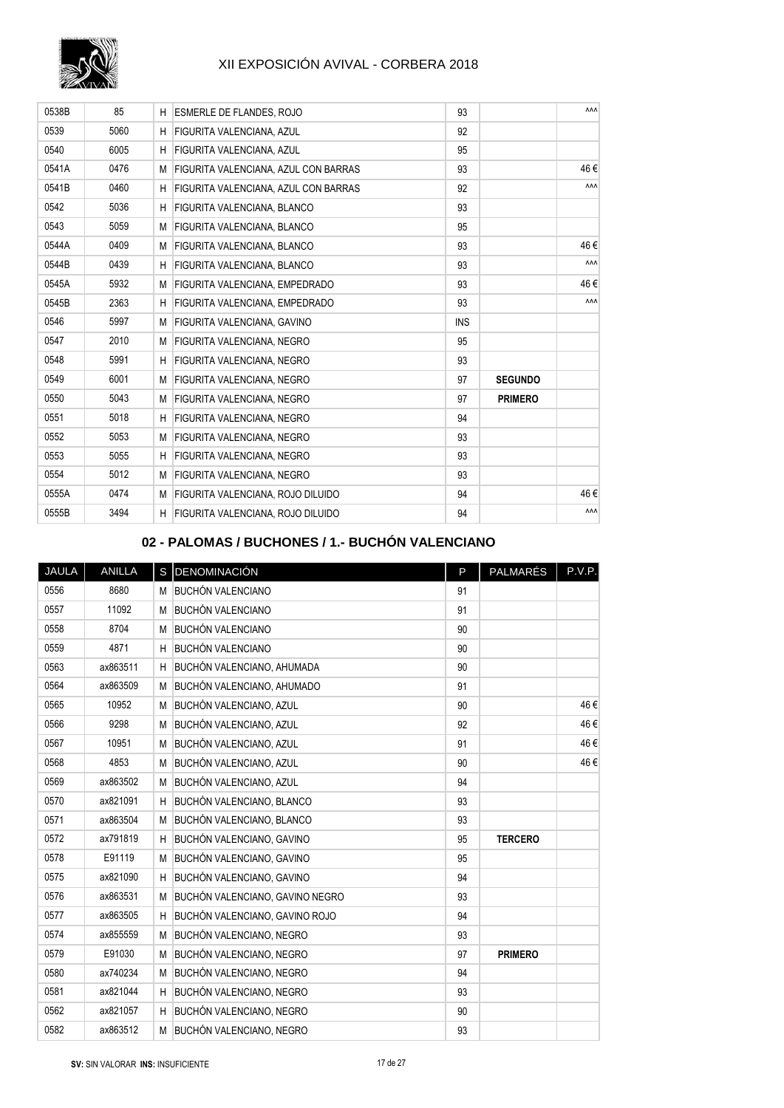

| 0538B | 85   | н | <b>ESMERLE DE FLANDES, ROJO</b>             | 93         |                | ۸۸۸        |
|-------|------|---|---------------------------------------------|------------|----------------|------------|
| 0539  | 5060 | H | <b>FIGURITA VALENCIANA, AZUL</b>            | 92         |                |            |
| 0540  | 6005 | H | FIGURITA VALENCIANA, AZUL                   | 95         |                |            |
| 0541A | 0476 | M | <b>FIGURITA VALENCIANA, AZUL CON BARRAS</b> | 93         |                | 46€        |
| 0541B | 0460 | H | FIGURITA VALENCIANA, AZUL CON BARRAS        | 92         |                | <b>AAA</b> |
| 0542  | 5036 | H | FIGURITA VALENCIANA, BLANCO                 | 93         |                |            |
| 0543  | 5059 | M | <b>FIGURITA VALENCIANA, BLANCO</b>          | 95         |                |            |
| 0544A | 0409 | M | <b>FIGURITA VALENCIANA, BLANCO</b>          | 93         |                | 46€        |
| 0544B | 0439 | H | FIGURITA VALENCIANA, BLANCO                 | 93         |                | ΛΛΛ        |
| 0545A | 5932 | M | FIGURITA VALENCIANA. EMPEDRADO              | 93         |                | 46€        |
| 0545B | 2363 | H | <b>FIGURITA VALENCIANA, EMPEDRADO</b>       | 93         |                | ۸ΛΛ        |
| 0546  | 5997 | M | FIGURITA VALENCIANA, GAVINO                 | <b>INS</b> |                |            |
| 0547  | 2010 | M | <b>FIGURITA VALENCIANA, NEGRO</b>           | 95         |                |            |
| 0548  | 5991 | H | <b>FIGURITA VALENCIANA, NEGRO</b>           | 93         |                |            |
| 0549  | 6001 | M | <b>FIGURITA VALENCIANA, NEGRO</b>           | 97         | <b>SEGUNDO</b> |            |
| 0550  | 5043 | M | <b>FIGURITA VALENCIANA, NEGRO</b>           | 97         | <b>PRIMERO</b> |            |
| 0551  | 5018 | H | <b>FIGURITA VALENCIANA, NEGRO</b>           | 94         |                |            |
| 0552  | 5053 | M | FIGURITA VALENCIANA, NEGRO                  | 93         |                |            |
| 0553  | 5055 | H | <b>FIGURITA VALENCIANA, NEGRO</b>           | 93         |                |            |
| 0554  | 5012 | M | FIGURITA VALENCIANA, NEGRO                  | 93         |                |            |
| 0555A | 0474 | М | <b>FIGURITA VALENCIANA, ROJO DILUIDO</b>    | 94         |                | 46€        |
| 0555B | 3494 | H | <b>FIGURITA VALENCIANA, ROJO DILUIDO</b>    | 94         |                | ΛΛΛ        |

## **02 - PALOMAS / BUCHONES / 1.- BUCHÓN VALENCIANO**

| JAULA | ANILLA   |   | S DENOMINACIÓN                  | P  | PALMARÉS       | P.V.P. |
|-------|----------|---|---------------------------------|----|----------------|--------|
| 0556  | 8680     | M | <b>BUCHÓN VALENCIANO</b>        | 91 |                |        |
| 0557  | 11092    | M | <b>BUCHÓN VALENCIANO</b>        | 91 |                |        |
| 0558  | 8704     | M | <b>BUCHÓN VALENCIANO</b>        | 90 |                |        |
| 0559  | 4871     | H | <b>BUCHÓN VALENCIANO</b>        | 90 |                |        |
| 0563  | ax863511 | H | BUCHÓN VALENCIANO, AHUMADA      | 90 |                |        |
| 0564  | ax863509 | M | BUCHÓN VALENCIANO, AHUMADO      | 91 |                |        |
| 0565  | 10952    | M | BUCHÓN VALENCIANO, AZUL         | 90 |                | 46€    |
| 0566  | 9298     | M | BUCHÓN VALENCIANO, AZUL         | 92 |                | 46€    |
| 0567  | 10951    | M | BUCHÓN VALENCIANO, AZUL         | 91 |                | 46€    |
| 0568  | 4853     | M | BUCHÓN VALENCIANO, AZUL         | 90 |                | 46€    |
| 0569  | ax863502 | M | BUCHÓN VALENCIANO, AZUL         | 94 |                |        |
| 0570  | ax821091 | H | BUCHÓN VALENCIANO, BLANCO       | 93 |                |        |
| 0571  | ax863504 | M | BUCHÓN VALENCIANO, BLANCO       | 93 |                |        |
| 0572  | ax791819 | H | BUCHÓN VALENCIANO, GAVINO       | 95 | <b>TERCERO</b> |        |
| 0578  | E91119   | M | BUCHÓN VALENCIANO, GAVINO       | 95 |                |        |
| 0575  | ax821090 | H | BUCHÓN VALENCIANO, GAVINO       | 94 |                |        |
| 0576  | ax863531 | M | BUCHÓN VALENCIANO, GAVINO NEGRO | 93 |                |        |
| 0577  | ax863505 | H | BUCHÓN VALENCIANO, GAVINO ROJO  | 94 |                |        |
| 0574  | ax855559 | M | BUCHÓN VALENCIANO, NEGRO        | 93 |                |        |
| 0579  | E91030   | M | BUCHÓN VALENCIANO, NEGRO        | 97 | <b>PRIMERO</b> |        |
| 0580  | ax740234 | M | BUCHÓN VALENCIANO, NEGRO        | 94 |                |        |
| 0581  | ax821044 | H | BUCHÓN VALENCIANO, NEGRO        | 93 |                |        |
| 0562  | ax821057 | H | BUCHÓN VALENCIANO, NEGRO        | 90 |                |        |
| 0582  | ax863512 | М | BUCHÓN VALENCIANO, NEGRO        | 93 |                |        |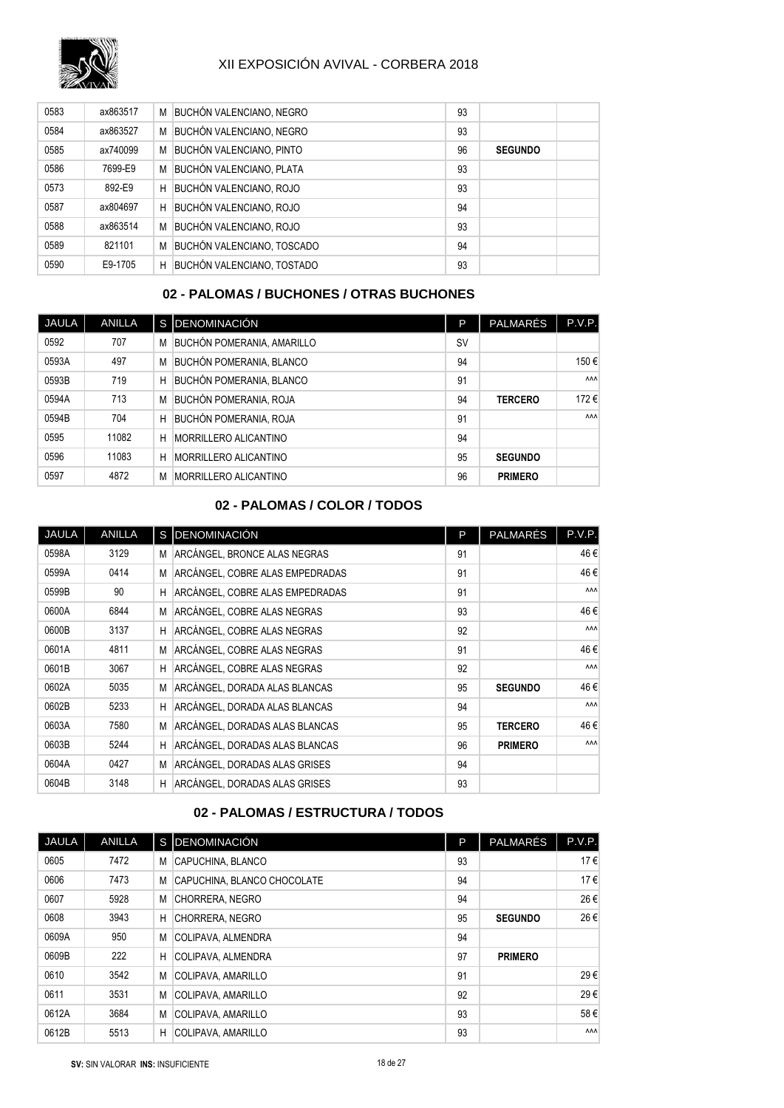

| 0583 | ax863517 | M | <b>BUCHÓN VALENCIANO, NEGRO</b> | 93 |                |  |
|------|----------|---|---------------------------------|----|----------------|--|
| 0584 | ax863527 | M | <b>BUCHÓN VALENCIANO, NEGRO</b> | 93 |                |  |
| 0585 | ax740099 | M | BUCHÓN VALENCIANO, PINTO        | 96 | <b>SEGUNDO</b> |  |
| 0586 | 7699-E9  | M | <b>BUCHÓN VALENCIANO, PLATA</b> | 93 |                |  |
| 0573 | 892-E9   | H | BUCHÓN VALENCIANO, ROJO         | 93 |                |  |
| 0587 | ax804697 | H | BUCHÓN VALENCIANO, ROJO         | 94 |                |  |
| 0588 | ax863514 | M | BUCHÓN VALENCIANO, ROJO         | 93 |                |  |
| 0589 | 821101   | M | BUCHÓN VALENCIANO, TOSCADO      | 94 |                |  |
| 0590 | E9-1705  | H | BUCHÓN VALENCIANO, TOSTADO      | 93 |                |  |

#### **02 - PALOMAS / BUCHONES / OTRAS BUCHONES**

| JAULA | <b>ANILLA</b> |   | S DENOMINACIÓN                    | P         | <b>PALMARÉS</b> | P.V.P.     |
|-------|---------------|---|-----------------------------------|-----------|-----------------|------------|
| 0592  | 707           | M | <b>BUCHÓN POMERANIA, AMARILLO</b> | <b>SV</b> |                 |            |
| 0593A | 497           | M | BUCHÓN POMERANIA, BLANCO          | 94        |                 | 150€       |
| 0593B | 719           | H | <b>BUCHÓN POMERANIA, BLANCO</b>   | 91        |                 | <b>AAA</b> |
| 0594A | 713           | M | BUCHÓN POMERANIA, ROJA            | 94        | <b>TERCERO</b>  | 172€       |
| 0594B | 704           | H | <b>BUCHÓN POMERANIA, ROJA</b>     | 91        |                 | <b>AAA</b> |
| 0595  | 11082         | н | MORRILLERO ALICANTINO             | 94        |                 |            |
| 0596  | 11083         | Н | MORRILLERO ALICANTINO             | 95        | <b>SEGUNDO</b>  |            |
| 0597  | 4872          | M | MORRILLERO ALICANTINO             | 96        | <b>PRIMERO</b>  |            |

## **02 - PALOMAS / COLOR / TODOS**

| JAULA | ANILLA |   | S DENOMINACIÓN                  | P  | <b>PALMARÉS</b> | P.V.P.     |
|-------|--------|---|---------------------------------|----|-----------------|------------|
| 0598A | 3129   | M | ARCÁNGEL, BRONCE ALAS NEGRAS    | 91 |                 | 46 €       |
| 0599A | 0414   | M | ARCÁNGEL, COBRE ALAS EMPEDRADAS | 91 |                 | 46€        |
| 0599B | 90     | н | ARCÁNGEL, COBRE ALAS EMPEDRADAS | 91 |                 | <b>AAA</b> |
| 0600A | 6844   | M | ARCÁNGEL, COBRE ALAS NEGRAS     | 93 |                 | 46€        |
| 0600B | 3137   | H | ARCÁNGEL, COBRE ALAS NEGRAS     | 92 |                 | <b>AAA</b> |
| 0601A | 4811   | M | ARCÁNGEL, COBRE ALAS NEGRAS     | 91 |                 | 46€        |
| 0601B | 3067   | H | ARCÁNGEL, COBRE ALAS NEGRAS     | 92 |                 | <b>AAA</b> |
| 0602A | 5035   | M | ARCÁNGEL, DORADA ALAS BLANCAS   | 95 | <b>SEGUNDO</b>  | 46€        |
| 0602B | 5233   | H | ARCÁNGEL, DORADA ALAS BLANCAS   | 94 |                 | ۸ΛΛ        |
| 0603A | 7580   | M | ARCÁNGEL, DORADAS ALAS BLANCAS  | 95 | <b>TERCERO</b>  | 46€        |
| 0603B | 5244   | H | ARCÁNGEL, DORADAS ALAS BLANCAS  | 96 | <b>PRIMERO</b>  | <b>AAA</b> |
| 0604A | 0427   | M | ARCÁNGEL, DORADAS ALAS GRISES   | 94 |                 |            |
| 0604B | 3148   | H | ARCÁNGEL, DORADAS ALAS GRISES   | 93 |                 |            |

## **02 - PALOMAS / ESTRUCTURA / TODOS**

| <b>JAULA</b> | <b>ANILLA</b> | <sub>S</sub> | DENOMINACIÓN                | P  | <b>PALMARÉS</b> | P.V.P.     |
|--------------|---------------|--------------|-----------------------------|----|-----------------|------------|
| 0605         | 7472          | M            | CAPUCHINA, BLANCO           | 93 |                 | 17€        |
| 0606         | 7473          | M            | CAPUCHINA, BLANCO CHOCOLATE | 94 |                 | 17€        |
| 0607         | 5928          | M            | CHORRERA, NEGRO             | 94 |                 | 26€        |
| 0608         | 3943          | H            | CHORRERA, NEGRO             | 95 | <b>SEGUNDO</b>  | 26€        |
| 0609A        | 950           | M            | COLIPAVA, ALMENDRA          | 94 |                 |            |
| 0609B        | 222           | Н            | COLIPAVA, ALMENDRA          | 97 | <b>PRIMERO</b>  |            |
| 0610         | 3542          | M            | COLIPAVA, AMARILLO          | 91 |                 | 29€        |
| 0611         | 3531          | M            | COLIPAVA, AMARILLO          | 92 |                 | 29€        |
| 0612A        | 3684          | M            | COLIPAVA, AMARILLO          | 93 |                 | 58€        |
| 0612B        | 5513          | H            | COLIPAVA, AMARILLO          | 93 |                 | <b>AAA</b> |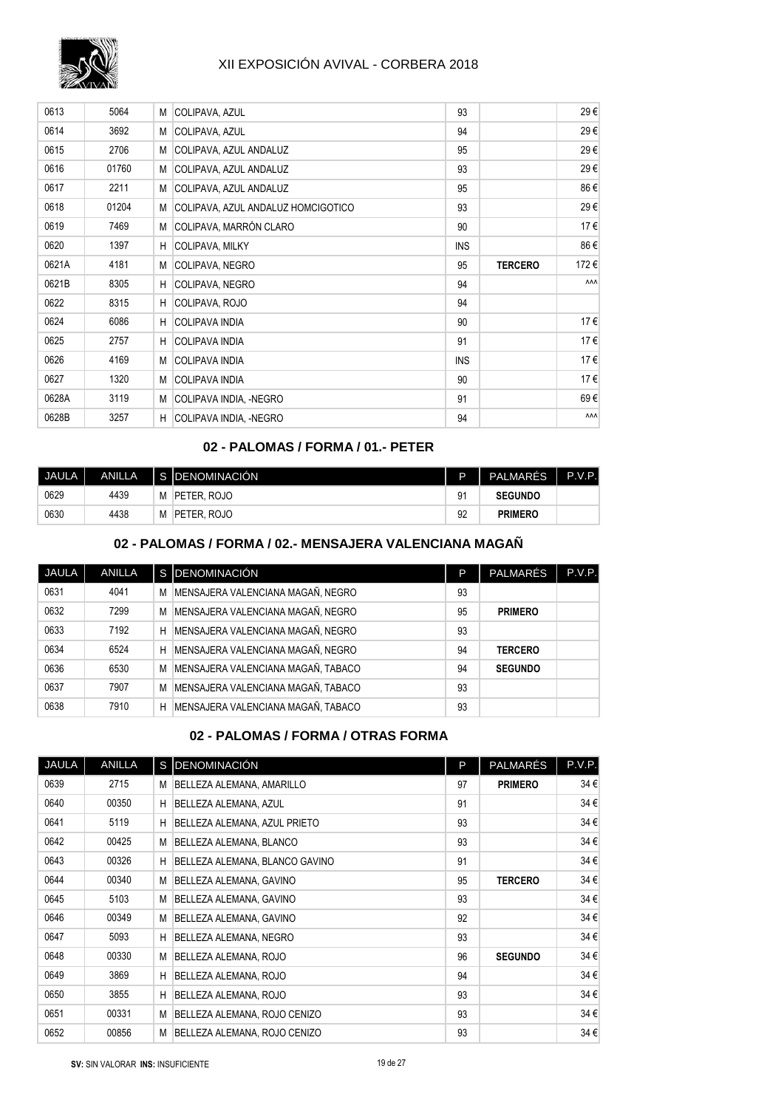

| 0613  | 5064  | М  | COLIPAVA, AZUL                     | 93         |                | 29€        |
|-------|-------|----|------------------------------------|------------|----------------|------------|
| 0614  | 3692  | М  | COLIPAVA, AZUL                     | 94         |                | 29€        |
| 0615  | 2706  | М  | COLIPAVA, AZUL ANDALUZ             | 95         |                | 29€        |
| 0616  | 01760 |    | M COLIPAVA, AZUL ANDALUZ           | 93         |                | 29€        |
| 0617  | 2211  |    | M COLIPAVA, AZUL ANDALUZ           | 95         |                | 86€        |
| 0618  | 01204 | М  | COLIPAVA, AZUL ANDALUZ HOMCIGOTICO | 93         |                | 29€        |
| 0619  | 7469  | М  | COLIPAVA, MARRÓN CLARO             | 90         |                | 17€        |
| 0620  | 1397  | H  | <b>COLIPAVA, MILKY</b>             | <b>INS</b> |                | 86€        |
| 0621A | 4181  | М  | COLIPAVA, NEGRO                    | 95         | <b>TERCERO</b> | 172€       |
| 0621B | 8305  | H. | COLIPAVA, NEGRO                    | 94         |                | ٨٨٨        |
| 0622  | 8315  | н  | COLIPAVA, ROJO                     | 94         |                |            |
| 0624  | 6086  | H  | <b>COLIPAVA INDIA</b>              | 90         |                | 17€        |
| 0625  | 2757  | H  | <b>COLIPAVA INDIA</b>              | 91         |                | 17€        |
| 0626  | 4169  | М  | <b>COLIPAVA INDIA</b>              | <b>INS</b> |                | 17€        |
| 0627  | 1320  | M. | <b>COLIPAVA INDIA</b>              | 90         |                | 17€        |
| 0628A | 3119  | М  | COLIPAVA INDIA, -NEGRO             | 91         |                | 69€        |
| 0628B | 3257  | H  | COLIPAVA INDIA, -NEGRO             | 94         |                | <b>AAA</b> |

### **02 - PALOMAS / FORMA / 01.- PETER**

| <b>JAULA</b> | ANILLA |   | I S IDENOMINACIÓN | D  | <b>PALMARES</b> | P.V.P. |
|--------------|--------|---|-------------------|----|-----------------|--------|
| 0629         | 4439   | M | PETER, ROJO       | 91 | <b>SEGUNDO</b>  |        |
| 0630         | 4438   | M | PETER, ROJO       | 92 | <b>PRIMERO</b>  |        |

#### **02 - PALOMAS / FORMA / 02.- MENSAJERA VALENCIANA MAGAÑ**

| <b>JAULA</b> | <b>ANILLA</b> |   | S DENOMINACIÓN                     | P  | <b>PALMARÉS</b> | P.V.P. |
|--------------|---------------|---|------------------------------------|----|-----------------|--------|
| 0631         | 4041          | M | MENSAJERA VALENCIANA MAGAÑ, NEGRO  | 93 |                 |        |
| 0632         | 7299          | M | MENSAJERA VALENCIANA MAGAÑ, NEGRO  | 95 | <b>PRIMERO</b>  |        |
| 0633         | 7192          | H | MENSAJERA VALENCIANA MAGAÑ. NEGRO  | 93 |                 |        |
| 0634         | 6524          | Н | MENSAJERA VALENCIANA MAGAÑ, NEGRO  | 94 | <b>TERCERO</b>  |        |
| 0636         | 6530          | M | MENSAJERA VALENCIANA MAGAÑ, TABACO | 94 | <b>SEGUNDO</b>  |        |
| 0637         | 7907          | M | MENSAJERA VALENCIANA MAGAÑ, TABACO | 93 |                 |        |
| 0638         | 7910          | Н | MENSAJERA VALENCIANA MAGAÑ, TABACO | 93 |                 |        |

### **02 - PALOMAS / FORMA / OTRAS FORMA**

| <b>JAULA</b> | <b>ANILLA</b> |   | S DENOMINACIÓN                 | P  | PALMARÉS       | P.V.P.   |
|--------------|---------------|---|--------------------------------|----|----------------|----------|
| 0639         | 2715          | М | BELLEZA ALEMANA, AMARILLO      | 97 | <b>PRIMERO</b> | $34 \in$ |
| 0640         | 00350         | H | BELLEZA ALEMANA, AZUL          | 91 |                | 34€      |
| 0641         | 5119          | H | BELLEZA ALEMANA, AZUL PRIETO   | 93 |                | 34 €     |
| 0642         | 00425         | M | BELLEZA ALEMANA, BLANCO        | 93 |                | 34€      |
| 0643         | 00326         | H | BELLEZA ALEMANA, BLANCO GAVINO | 91 |                | $34 \in$ |
| 0644         | 00340         | M | BELLEZA ALEMANA, GAVINO        | 95 | <b>TERCERO</b> | 34€      |
| 0645         | 5103          | M | BELLEZA ALEMANA, GAVINO        | 93 |                | $34 \in$ |
| 0646         | 00349         | M | BELLEZA ALEMANA, GAVINO        | 92 |                | 34€      |
| 0647         | 5093          | H | BELLEZA ALEMANA, NEGRO         | 93 |                | $34 \in$ |
| 0648         | 00330         | M | BELLEZA ALEMANA, ROJO          | 96 | <b>SEGUNDO</b> | 34€      |
| 0649         | 3869          | H | BELLEZA ALEMANA, ROJO          | 94 |                | $34 \in$ |
| 0650         | 3855          | H | BELLEZA ALEMANA, ROJO          | 93 |                | 34€      |
| 0651         | 00331         | M | BELLEZA ALEMANA, ROJO CENIZO   | 93 |                | $34 \in$ |
| 0652         | 00856         | M | BELLEZA ALEMANA, ROJO CENIZO   | 93 |                | 34€      |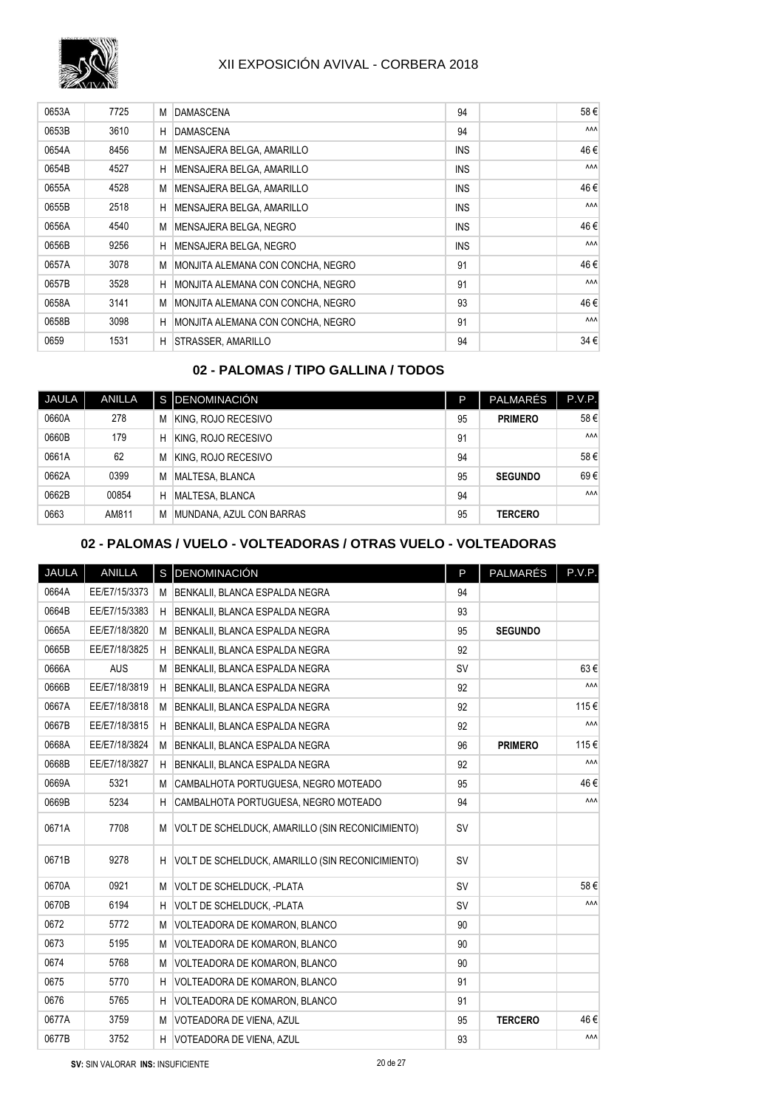

| 0653A | 7725 | М | <b>DAMASCENA</b>                  | 94         | 58€        |
|-------|------|---|-----------------------------------|------------|------------|
| 0653B | 3610 | н | <b>DAMASCENA</b>                  | 94         | <b>AAA</b> |
| 0654A | 8456 | M | MENSAJERA BELGA, AMARILLO         | <b>INS</b> | 46€        |
| 0654B | 4527 | H | MENSAJERA BELGA, AMARILLO         | <b>INS</b> | <b>AAA</b> |
| 0655A | 4528 | M | MENSAJERA BELGA, AMARILLO         | <b>INS</b> | 46€        |
| 0655B | 2518 | H | MENSAJERA BELGA, AMARILLO         | <b>INS</b> | <b>AAA</b> |
| 0656A | 4540 | М | MENSAJERA BELGA, NEGRO            | <b>INS</b> | 46€        |
| 0656B | 9256 | H | MENSAJERA BELGA, NEGRO            | <b>INS</b> | <b>AAA</b> |
| 0657A | 3078 | M | MONJITA ALEMANA CON CONCHA, NEGRO | 91         | 46€        |
| 0657B | 3528 | H | MONJITA ALEMANA CON CONCHA, NEGRO | 91         | <b>AAA</b> |
| 0658A | 3141 | M | MONJITA ALEMANA CON CONCHA, NEGRO | 93         | 46€        |
| 0658B | 3098 | H | MONJITA ALEMANA CON CONCHA, NEGRO | 91         | <b>AAA</b> |
| 0659  | 1531 | н | STRASSER, AMARILLO                | 94         | 34€        |

## **02 - PALOMAS / TIPO GALLINA / TODOS**

| <b>JAULA</b> | <b>ANILLA</b> |   | S IDENOMINACIÓN          | P  | <b>PALMARÉS</b> | P.V.P.     |
|--------------|---------------|---|--------------------------|----|-----------------|------------|
| 0660A        | 278           | M | KING, ROJO RECESIVO      | 95 | <b>PRIMERO</b>  | 58€        |
| 0660B        | 179           | Н | KING. ROJO RECESIVO      | 91 |                 | <b>AAA</b> |
| 0661A        | 62            | M | KING, ROJO RECESIVO      | 94 |                 | 58€        |
| 0662A        | 0399          | M | MALTESA. BLANCA          | 95 | <b>SEGUNDO</b>  | 69€        |
| 0662B        | 00854         | H | MALTESA, BLANCA          | 94 |                 | <b>AAA</b> |
| 0663         | AM811         | M | MUNDANA, AZUL CON BARRAS | 95 | <b>TERCERO</b>  |            |

#### **02 - PALOMAS / VUELO - VOLTEADORAS / OTRAS VUELO - VOLTEADORAS**

| JAULA | <b>ANILLA</b> |   | S DENOMINACIÓN                                   | P         | PALMARÉS       | P.V.P.     |
|-------|---------------|---|--------------------------------------------------|-----------|----------------|------------|
| 0664A | EE/E7/15/3373 | M | BENKALII, BLANCA ESPALDA NEGRA                   | 94        |                |            |
| 0664B | EE/E7/15/3383 | H | BENKALII. BLANCA ESPALDA NEGRA                   | 93        |                |            |
| 0665A | EE/E7/18/3820 | M | BENKALII, BLANCA ESPALDA NEGRA                   | 95        | <b>SEGUNDO</b> |            |
| 0665B | EE/E7/18/3825 | H | BENKALII, BLANCA ESPALDA NEGRA                   | 92        |                |            |
| 0666A | <b>AUS</b>    | M | BENKALII. BLANCA ESPALDA NEGRA                   | <b>SV</b> |                | 63€        |
| 0666B | EE/E7/18/3819 | H | BENKALII, BLANCA ESPALDA NEGRA                   | 92        |                | ۸ΛΛ        |
| 0667A | EE/E7/18/3818 | M | BENKALII, BLANCA ESPALDA NEGRA                   | 92        |                | 115€       |
| 0667B | EE/E7/18/3815 | н | BENKALII, BLANCA ESPALDA NEGRA                   | 92        |                | <b>AAA</b> |
| 0668A | EE/E7/18/3824 | M | BENKALII, BLANCA ESPALDA NEGRA                   | 96        | <b>PRIMERO</b> | 115€       |
| 0668B | EE/E7/18/3827 | H | BENKALII. BLANCA ESPALDA NEGRA                   | 92        |                | <b>AAA</b> |
| 0669A | 5321          | M | CAMBALHOTA PORTUGUESA, NEGRO MOTEADO             | 95        |                | 46€        |
| 0669B | 5234          | н | CAMBALHOTA PORTUGUESA, NEGRO MOTEADO             | 94        |                | <b>AAA</b> |
| 0671A | 7708          | M | VOLT DE SCHELDUCK, AMARILLO (SIN RECONICIMIENTO) | <b>SV</b> |                |            |
| 0671B | 9278          | H | VOLT DE SCHELDUCK, AMARILLO (SIN RECONICIMIENTO) | <b>SV</b> |                |            |
| 0670A | 0921          | M | VOLT DE SCHELDUCK, -PLATA                        | <b>SV</b> |                | 58€        |
| 0670B | 6194          | H | VOLT DE SCHELDUCK, -PLATA                        | <b>SV</b> |                | <b>AAA</b> |
| 0672  | 5772          | M | VOLTEADORA DE KOMARON, BLANCO                    | 90        |                |            |
| 0673  | 5195          | M | VOLTEADORA DE KOMARON, BLANCO                    | 90        |                |            |
| 0674  | 5768          | M | VOLTEADORA DE KOMARON, BLANCO                    | 90        |                |            |
| 0675  | 5770          | н | VOLTEADORA DE KOMARON, BLANCO                    | 91        |                |            |
| 0676  | 5765          | H | VOLTEADORA DE KOMARON, BLANCO                    | 91        |                |            |
| 0677A | 3759          | М | VOTEADORA DE VIENA, AZUL                         | 95        | <b>TERCERO</b> | 46€        |
| 0677B | 3752          | H | VOTEADORA DE VIENA, AZUL                         | 93        |                | ٨٨٨        |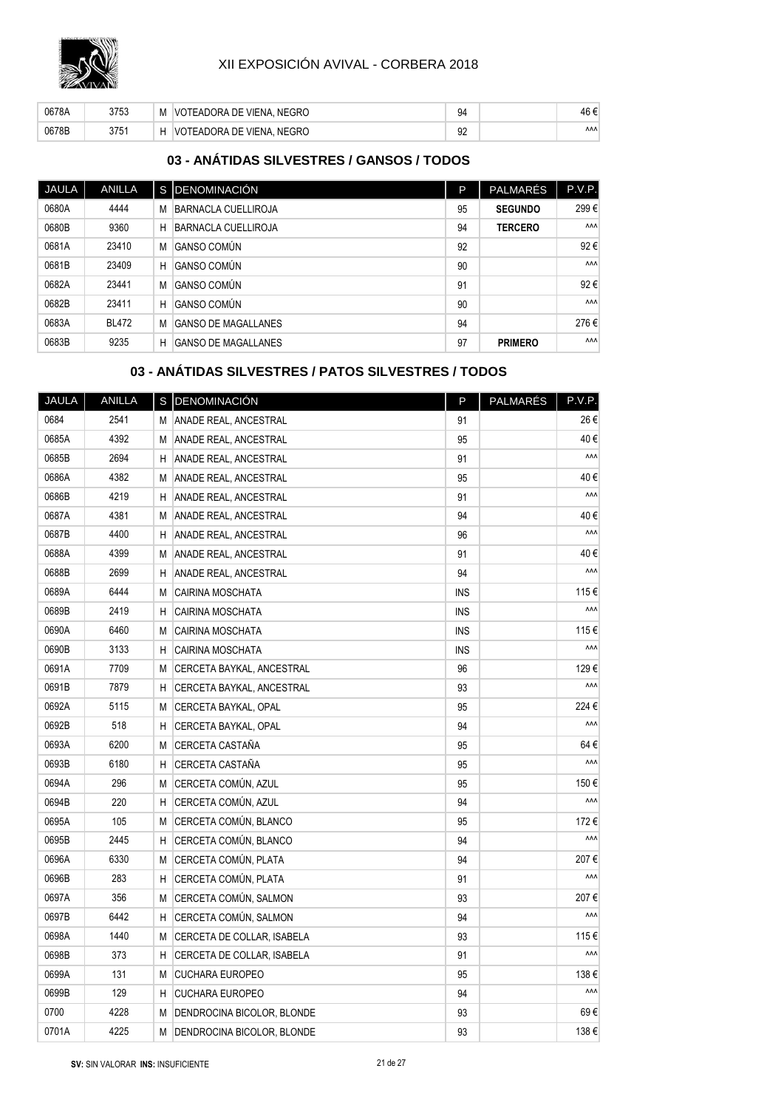

| 0678A | 3753 | M | VOTEADORA DE VIENA. NEGRO | 94       | 46 €       |
|-------|------|---|---------------------------|----------|------------|
| 0678B | 3751 |   | VOTEADORA DE VIENA. NEGRO | ۵G<br>ےت | <b>AAA</b> |

## **03 - ANÁTIDAS SILVESTRES / GANSOS / TODOS**

| <b>JAULA</b> | <b>ANILLA</b> |   | S DENOMINACIÓN             | P  | <b>PALMARÉS</b> | P.V.P.     |
|--------------|---------------|---|----------------------------|----|-----------------|------------|
| 0680A        | 4444          | M | BARNACLA CUELLIROJA        | 95 | <b>SEGUNDO</b>  | 299€       |
| 0680B        | 9360          | Н | <b>BARNACLA CUELLIROJA</b> | 94 | <b>TERCERO</b>  | <b>AAA</b> |
| 0681A        | 23410         | M | <b>GANSO COMÚN</b>         | 92 |                 | 92€        |
| 0681B        | 23409         | H | <b>GANSO COMÚN</b>         | 90 |                 | <b>AAA</b> |
| 0682A        | 23441         | M | <b>GANSO COMÚN</b>         | 91 |                 | 92€        |
| 0682B        | 23411         | H | <b>GANSO COMÚN</b>         | 90 |                 | <b>AAA</b> |
| 0683A        | <b>BL472</b>  | M | GANSO DE MAGALLANES        | 94 |                 | 276€       |
| 0683B        | 9235          | н | GANSO DE MAGALLANES        | 97 | <b>PRIMERO</b>  | <b>AAA</b> |

## **03 - ANÁTIDAS SILVESTRES / PATOS SILVESTRES / TODOS**

| JAULA | <b>ANILLA</b> | s l | DENOMINACIÓN                 | P          | PALMARÉS | P.V.P. |
|-------|---------------|-----|------------------------------|------------|----------|--------|
| 0684  | 2541          | М   | ANADE REAL, ANCESTRAL        | 91         |          | 26€    |
| 0685A | 4392          | M   | <b>ANADE REAL, ANCESTRAL</b> | 95         |          | 40€    |
| 0685B | 2694          | Η   | ANADE REAL, ANCESTRAL        | 91         |          | ۸ΛΛ    |
| 0686A | 4382          | M   | ANADE REAL, ANCESTRAL        | 95         |          | 40€    |
| 0686B | 4219          | Η   | ANADE REAL, ANCESTRAL        | 91         |          | ۸ΛΛ    |
| 0687A | 4381          | M   | <b>ANADE REAL, ANCESTRAL</b> | 94         |          | 40€    |
| 0687B | 4400          | Η   | ANADE REAL, ANCESTRAL        | 96         |          | ۸۸۸    |
| 0688A | 4399          | M   | ANADE REAL, ANCESTRAL        | 91         |          | 40€    |
| 0688B | 2699          | H   | ANADE REAL, ANCESTRAL        | 94         |          | ۸ΛΛ    |
| 0689A | 6444          | M   | <b>CAIRINA MOSCHATA</b>      | <b>INS</b> |          | 115€   |
| 0689B | 2419          | Η   | CAIRINA MOSCHATA             | <b>INS</b> |          | ۸ΛΛ    |
| 0690A | 6460          | M   | CAIRINA MOSCHATA             | <b>INS</b> |          | 115€   |
| 0690B | 3133          | H   | CAIRINA MOSCHATA             | <b>INS</b> |          | ۸ΛΛ    |
| 0691A | 7709          | M   | CERCETA BAYKAL, ANCESTRAL    | 96         |          | 129€   |
| 0691B | 7879          | Η   | CERCETA BAYKAL, ANCESTRAL    | 93         |          | ۸ΛΛ    |
| 0692A | 5115          | M   | CERCETA BAYKAL, OPAL         | 95         |          | 224€   |
| 0692B | 518           | Η   | CERCETA BAYKAL, OPAL         | 94         |          | ۸ΛΛ    |
| 0693A | 6200          | M   | CERCETA CASTAÑA              | 95         |          | 64€    |
| 0693B | 6180          | Η   | CERCETA CASTAÑA              | 95         |          | ۸ΛΛ    |
| 0694A | 296           | M   | CERCETA COMÚN, AZUL          | 95         |          | 150€   |
| 0694B | 220           | Η   | CERCETA COMÚN, AZUL          | 94         |          | ۸ΛΛ    |
| 0695A | 105           | M   | CERCETA COMÚN, BLANCO        | 95         |          | 172€   |
| 0695B | 2445          | Η   | CERCETA COMÚN, BLANCO        | 94         |          | ۸ΛΛ    |
| 0696A | 6330          | M   | CERCETA COMÚN, PLATA         | 94         |          | 207€   |
| 0696B | 283           | H   | CERCETA COMÚN, PLATA         | 91         |          | ۸ΛΛ    |
| 0697A | 356           | M   | CERCETA COMÚN, SALMON        | 93         |          | 207€   |
| 0697B | 6442          | H   | CERCETA COMÚN, SALMON        | 94         |          | ۸ΛΛ    |
| 0698A | 1440          | M   | CERCETA DE COLLAR, ISABELA   | 93         |          | 115€   |
| 0698B | 373           | Н   | CERCETA DE COLLAR, ISABELA   | 91         |          | ۸ΛΛ    |
| 0699A | 131           | M   | <b>CUCHARA EUROPEO</b>       | 95         |          | 138€   |
| 0699B | 129           | Η   | <b>CUCHARA EUROPEO</b>       | 94         |          | ۸ΛΛ    |
| 0700  | 4228          | M   | DENDROCINA BICOLOR, BLONDE   | 93         |          | 69€    |
| 0701A | 4225          | M   | DENDROCINA BICOLOR, BLONDE   | 93         |          | 138€   |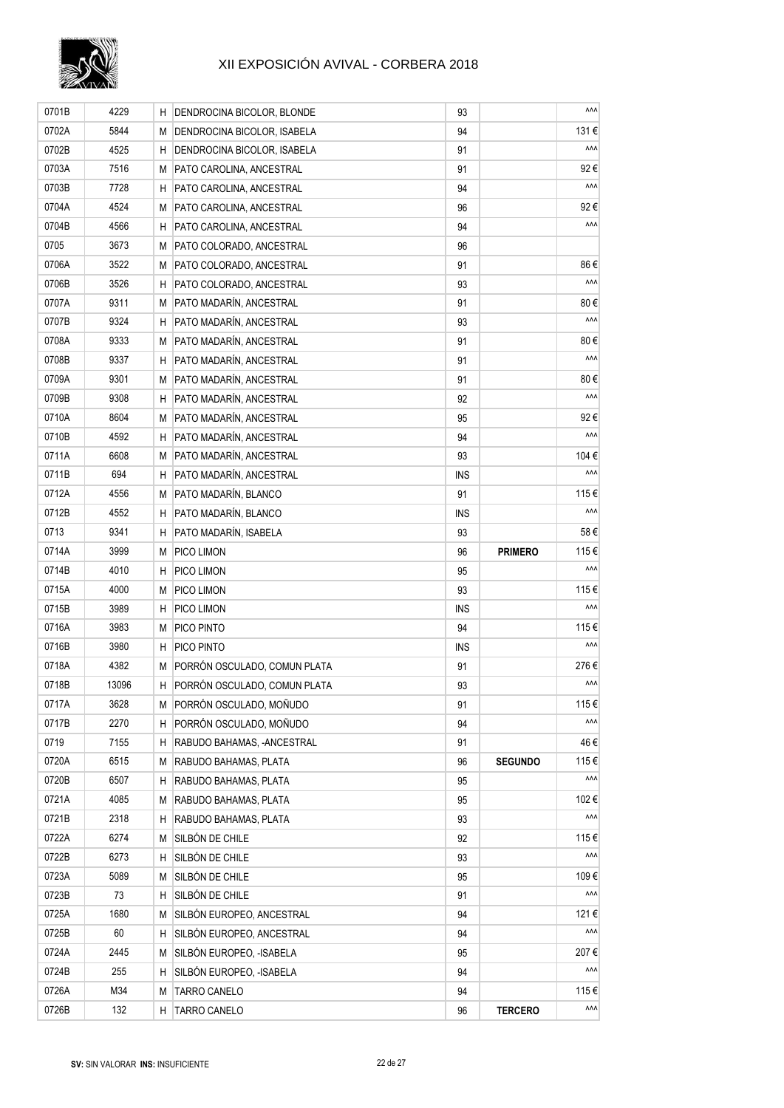

| 0701B | 4229  | H  | DENDROCINA BICOLOR, BLONDE   | 93         |                | ۸ΛΛ        |
|-------|-------|----|------------------------------|------------|----------------|------------|
| 0702A | 5844  | М  | DENDROCINA BICOLOR, ISABELA  | 94         |                | 131€       |
| 0702B | 4525  | Н  | DENDROCINA BICOLOR, ISABELA  | 91         |                | ۸ΛΛ        |
| 0703A | 7516  | M  | PATO CAROLINA. ANCESTRAL     | 91         |                | 92€        |
| 0703B | 7728  | н  | PATO CAROLINA, ANCESTRAL     | 94         |                | ۸ΛΛ        |
| 0704A | 4524  | М  | PATO CAROLINA, ANCESTRAL     | 96         |                | 92€        |
| 0704B | 4566  | н  | PATO CAROLINA, ANCESTRAL     | 94         |                | ۸ΛΛ        |
| 0705  | 3673  | М  | PATO COLORADO, ANCESTRAL     | 96         |                |            |
| 0706A | 3522  | M  | PATO COLORADO, ANCESTRAL     | 91         |                | 86€        |
| 0706B | 3526  | н  | PATO COLORADO, ANCESTRAL     | 93         |                | ۸ΛΛ        |
| 0707A | 9311  | M  | PATO MADARÍN, ANCESTRAL      | 91         |                | 80€        |
| 0707B | 9324  | н  | PATO MADARÍN, ANCESTRAL      | 93         |                | ۸ΛΛ        |
| 0708A | 9333  | M  | PATO MADARÍN, ANCESTRAL      | 91         |                | 80€        |
| 0708B | 9337  | н  | PATO MADARÍN, ANCESTRAL      | 91         |                | ۸ΛΛ        |
| 0709A | 9301  | M  | PATO MADARÍN, ANCESTRAL      | 91         |                | 80€        |
| 0709B | 9308  | н  | PATO MADARÍN, ANCESTRAL      | 92         |                | ۸ΛΛ        |
| 0710A | 8604  | М  | PATO MADARÍN, ANCESTRAL      | 95         |                | 92€        |
| 0710B | 4592  | H  | PATO MADARÍN, ANCESTRAL      | 94         |                | ۸ΛΛ        |
| 0711A | 6608  | M  | PATO MADARÍN. ANCESTRAL      | 93         |                | 104€       |
| 0711B | 694   | Н  | PATO MADARÍN, ANCESTRAL      | <b>INS</b> |                | ۸ΛΛ        |
| 0712A | 4556  | M  | PATO MADARÍN, BLANCO         | 91         |                | 115€       |
| 0712B | 4552  | Н  | PATO MADARÍN, BLANCO         | <b>INS</b> |                | ۸۸۸        |
| 0713  | 9341  | Η  | PATO MADARÍN, ISABELA        | 93         |                | 58€        |
| 0714A | 3999  | М  | PICO LIMON                   | 96         | <b>PRIMERO</b> | 115€       |
| 0714B | 4010  | Н  | PICO LIMON                   | 95         |                | ۸ΛΛ        |
| 0715A | 4000  | М  | PICO LIMON                   | 93         |                | 115€       |
| 0715B | 3989  | н  | PICO LIMON                   | <b>INS</b> |                | ۸ΛΛ        |
| 0716A | 3983  | M  | PICO PINTO                   | 94         |                | 115€       |
| 0716B | 3980  | H  | PICO PINTO                   | <b>INS</b> |                | ۸۸۸        |
| 0718A | 4382  | M  | PORRÓN OSCULADO, COMUN PLATA | 91         |                | 276€       |
| 0718B | 13096 | H  | PORRÓN OSCULADO, COMUN PLATA | 93         |                | <b>AAA</b> |
| 0717A | 3628  | Μ  | PORRÓN OSCULADO, MOÑUDO      | 91         |                | 115€       |
| 0717B | 2270  | н  | PORRÓN OSCULADO, MOÑUDO      | 94         |                | ۸ΛΛ        |
| 0719  | 7155  | н  | RABUDO BAHAMAS. - ANCESTRAL  | 91         |                | 46 €       |
| 0720A | 6515  | M  | RABUDO BAHAMAS, PLATA        | 96         | <b>SEGUNDO</b> | 115€       |
| 0720B | 6507  | H  | RABUDO BAHAMAS, PLATA        | 95         |                | ۸ΛΛ        |
| 0721A | 4085  | М  | RABUDO BAHAMAS, PLATA        | 95         |                | 102€       |
| 0721B | 2318  | H. | RABUDO BAHAMAS, PLATA        | 93         |                | ۸ΛΛ        |
| 0722A | 6274  | М  | SILBÓN DE CHILE              | 92         |                | 115€       |
| 0722B | 6273  | н  | SILBÓN DE CHILE              | 93         |                | ۸ΛΛ        |
| 0723A | 5089  | М  | SILBÓN DE CHILE              | 95         |                | 109€       |
| 0723B | 73    | Н  | SILBÓN DE CHILE              | 91         |                | ۸ΛΛ        |
| 0725A | 1680  | М  | SILBÓN EUROPEO, ANCESTRAL    | 94         |                | 121€       |
| 0725B | 60    | Н  | SILBÓN EUROPEO, ANCESTRAL    | 94         |                | ۸ΛΛ        |
| 0724A | 2445  | М  | SILBÓN EUROPEO, -ISABELA     | 95         |                | 207€       |
| 0724B | 255   | Н  | SILBÓN EUROPEO, -ISABELA     | 94         |                | ۸۸۸        |
| 0726A | M34   | М  | <b>TARRO CANELO</b>          | 94         |                | 115€       |
| 0726B | 132   | H. | <b>TARRO CANELO</b>          | 96         | <b>TERCERO</b> | <b>AAA</b> |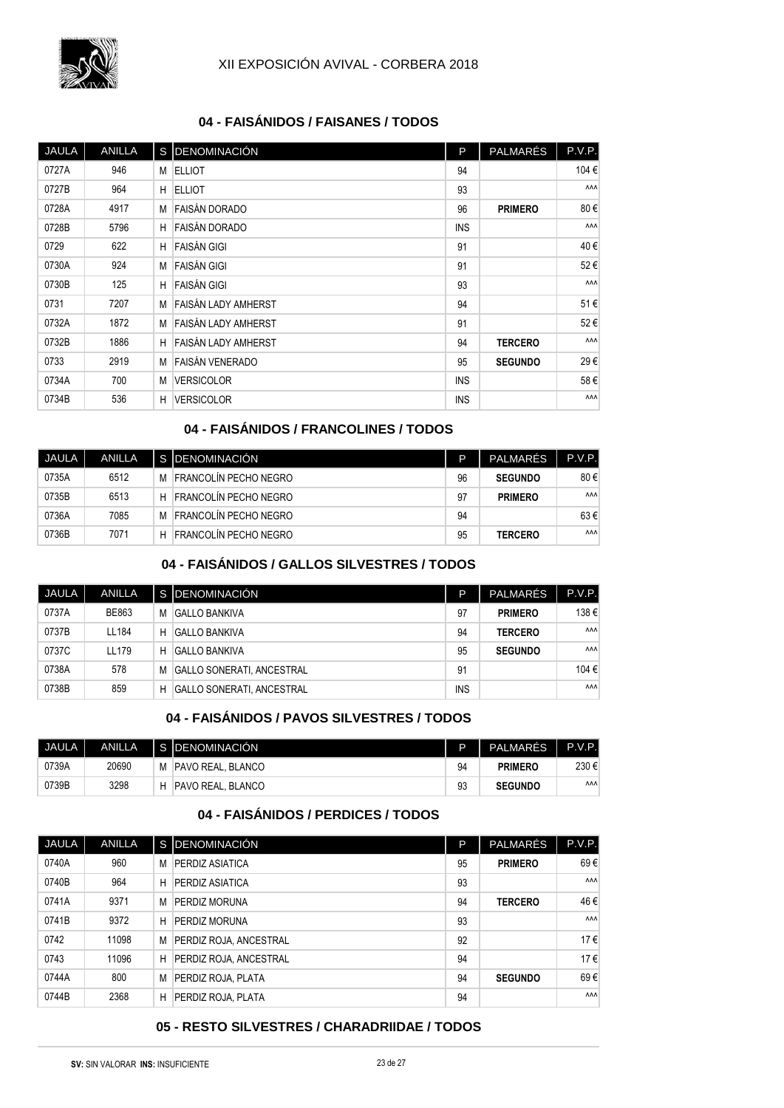

### **04 - FAISÁNIDOS / FAISANES / TODOS**

| JAULA | <b>ANILLA</b> |   | S DENOMINACIÓN             | P          | PALMARÉS       | P.V.P.     |
|-------|---------------|---|----------------------------|------------|----------------|------------|
| 0727A | 946           | М | <b>ELLIOT</b>              | 94         |                | 104€       |
| 0727B | 964           | H | <b>ELLIOT</b>              | 93         |                | <b>AAA</b> |
| 0728A | 4917          | М | <b>FAISÁN DORADO</b>       | 96         | <b>PRIMERO</b> | 80€        |
| 0728B | 5796          | H | <b>FAISÁN DORADO</b>       | <b>INS</b> |                | <b>AAA</b> |
| 0729  | 622           | H | <b>FAISÁN GIGI</b>         | 91         |                | 40€        |
| 0730A | 924           | M | <b>FAISÁN GIGI</b>         | 91         |                | 52€        |
| 0730B | 125           | н | <b>FAISÁN GIGI</b>         | 93         |                | <b>AAA</b> |
| 0731  | 7207          | М | <b>FAISÁN LADY AMHERST</b> | 94         |                | 51€        |
| 0732A | 1872          | M | <b>FAISÁN LADY AMHERST</b> | 91         |                | 52€        |
| 0732B | 1886          | H | <b>FAISÁN LADY AMHERST</b> | 94         | <b>TERCERO</b> | <b>AAA</b> |
| 0733  | 2919          | M | FAISÁN VENERADO            | 95         | <b>SEGUNDO</b> | 29€        |
| 0734A | 700           | M | <b>VERSICOLOR</b>          | <b>INS</b> |                | 58€        |
| 0734B | 536           | H | <b>VERSICOLOR</b>          | <b>INS</b> |                | ΛΛΛ        |

## **04 - FAISÁNIDOS / FRANCOLINES / TODOS**

| JAULA | <b>ANILLA</b> |   | S IDENOMINACIÓN       | P  | PALMARÉS       | P.V.P.     |
|-------|---------------|---|-----------------------|----|----------------|------------|
| 0735A | 6512          | M | FRANCOLÍN PECHO NEGRO | 96 | <b>SEGUNDO</b> | 80€        |
| 0735B | 6513          | н | FRANCOLÍN PECHO NEGRO | 97 | <b>PRIMERO</b> | <b>AAA</b> |
| 0736A | 7085          | M | FRANCOLÍN PECHO NEGRO | 94 |                | 63€        |
| 0736B | 7071          | н | FRANCOLÍN PECHO NEGRO | 95 | <b>TERCERO</b> | <b>AAA</b> |

## **04 - FAISÁNIDOS / GALLOS SILVESTRES / TODOS**

| JAULA | <b>ANILLA</b> |   | I S IDENOMINACIÓN                | P          | <b>PALMARÉS</b> | P.V.P.     |
|-------|---------------|---|----------------------------------|------------|-----------------|------------|
| 0737A | BE863         | M | GALLO BANKIVA                    | 97         | <b>PRIMERO</b>  | 138€       |
| 0737B | LL184         | Н | GALLO BANKIVA                    | 94         | <b>TERCERO</b>  | <b>AAA</b> |
| 0737C | LL179         | н | GALLO BANKIVA                    | 95         | <b>SEGUNDO</b>  | <b>AAA</b> |
| 0738A | 578           | M | GALLO SONERATI. ANCESTRAL        | 91         |                 | 104 €      |
| 0738B | 859           | Н | <b>GALLO SONERATI. ANCESTRAL</b> | <b>INS</b> |                 | <b>AAA</b> |

#### **04 - FAISÁNIDOS / PAVOS SILVESTRES / TODOS**

| <b>JAULA</b> I | ANILLA |   | I S IDENOMINACIÓN I | P  | PALMARÈS       | P.V.P.     |
|----------------|--------|---|---------------------|----|----------------|------------|
| 0739A          | 20690  | M | PAVO REAL. BLANCO   | 94 | <b>PRIMERO</b> | 230€       |
| 0739B          | 3298   | Н | PAVO REAL. BLANCO   | 93 | <b>SEGUNDO</b> | <b>AAA</b> |

## **04 - FAISÁNIDOS / PERDICES / TODOS**

| JAULA | <b>ANILLA</b> |   | S <b>IDENOMINACIÓN</b> | P  | <b>PALMARÉS</b> | P.V.P.     |
|-------|---------------|---|------------------------|----|-----------------|------------|
| 0740A | 960           | М | PERDIZ ASIATICA        | 95 | <b>PRIMERO</b>  | 69€        |
| 0740B | 964           | Н | PERDIZ ASIATICA        | 93 |                 | <b>AAA</b> |
| 0741A | 9371          | M | PERDIZ MORUNA          | 94 | <b>TERCERO</b>  | 46€        |
| 0741B | 9372          | Н | PERDIZ MORUNA          | 93 |                 | <b>AAA</b> |
| 0742  | 11098         | M | PERDIZ ROJA, ANCESTRAL | 92 |                 | 17€        |
| 0743  | 11096         | Н | PERDIZ ROJA, ANCESTRAL | 94 |                 | 17€        |
| 0744A | 800           | M | PERDIZ ROJA, PLATA     | 94 | <b>SEGUNDO</b>  | 69€        |
| 0744B | 2368          | H | PERDIZ ROJA, PLATA     | 94 |                 | <b>AAA</b> |

#### **05 - RESTO SILVESTRES / CHARADRIIDAE / TODOS**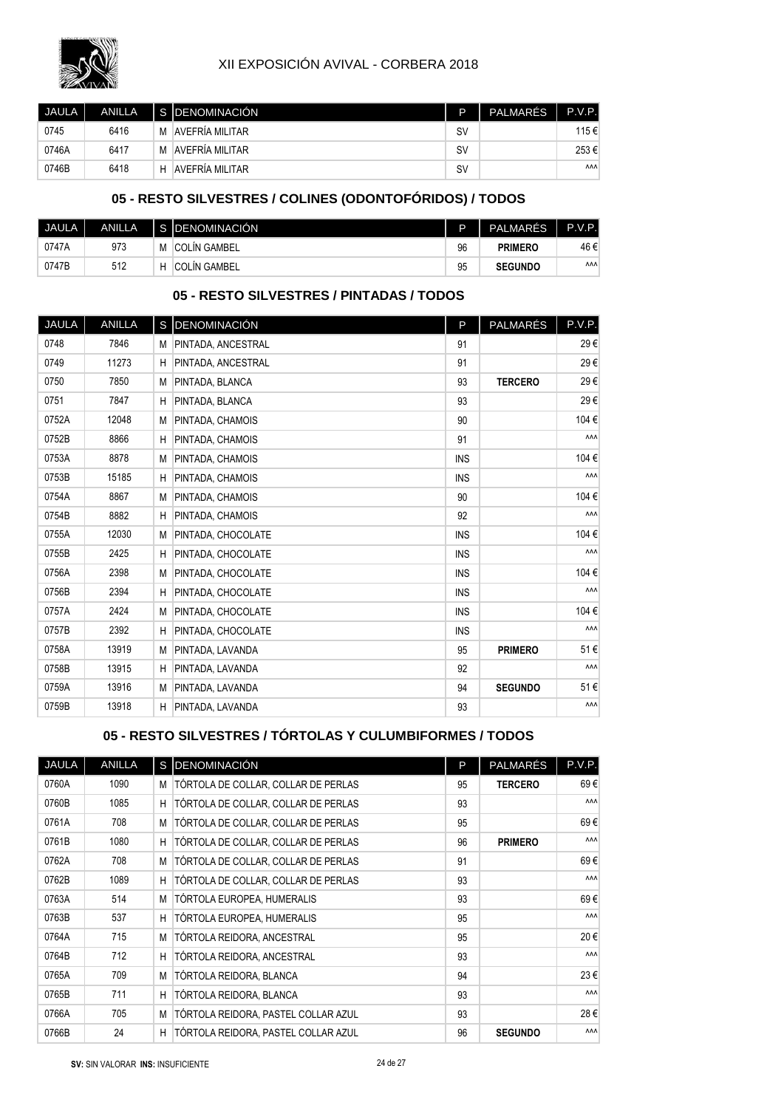

| <b>JAULA</b> I | <b>ANILLA</b> |   | S IDENOMINACIÓN | D         | PALMARÉS | P.V.P.     |
|----------------|---------------|---|-----------------|-----------|----------|------------|
| 0745           | 6416          | M | AVEFRÍA MILITAR | S٧        |          | 115€       |
| 0746A          | 6417          | M | AVEFRÍA MILITAR | <b>SV</b> |          | 253€       |
| 0746B          | 6418          | Н | AVEFRÍA MILITAR | <b>SV</b> |          | <b>AAA</b> |

## **05 - RESTO SILVESTRES / COLINES (ODONTOFÓRIDOS) / TODOS**

| JAULA. | <b>ANILLA</b> |   | S IDENOMINACIÓN     | D  | <b>PALMARÉS</b> | P.V.P.     |
|--------|---------------|---|---------------------|----|-----------------|------------|
| 0747A  | 973           | M | <b>COLIN GAMBEL</b> | 96 | <b>PRIMERO</b>  | 46 €       |
| 0747B  | 512           |   | <b>COLIN GAMBEL</b> | 95 | <b>SEGUNDO</b>  | <b>AAA</b> |

### **05 - RESTO SILVESTRES / PINTADAS / TODOS**

| JAULA | <b>ANILLA</b> |   | S DENOMINACIÓN            | P          | PALMARÉS       | P.V.P. |
|-------|---------------|---|---------------------------|------------|----------------|--------|
| 0748  | 7846          | M | <b>PINTADA, ANCESTRAL</b> | 91         |                | 29€    |
| 0749  | 11273         | Н | PINTADA, ANCESTRAL        | 91         |                | 29€    |
| 0750  | 7850          | M | PINTADA, BLANCA           | 93         | <b>TERCERO</b> | 29€    |
| 0751  | 7847          | H | PINTADA, BLANCA           | 93         |                | 29€    |
| 0752A | 12048         | M | PINTADA, CHAMOIS          | 90         |                | 104€   |
| 0752B | 8866          | H | PINTADA, CHAMOIS          | 91         |                | ΛΛΛ    |
| 0753A | 8878          | M | PINTADA, CHAMOIS          | <b>INS</b> |                | 104€   |
| 0753B | 15185         | H | PINTADA, CHAMOIS          | <b>INS</b> |                | ΛΛΛ    |
| 0754A | 8867          | M | PINTADA, CHAMOIS          | 90         |                | 104€   |
| 0754B | 8882          | H | PINTADA, CHAMOIS          | 92         |                | ΛΛΛ    |
| 0755A | 12030         | M | PINTADA, CHOCOLATE        | <b>INS</b> |                | 104€   |
| 0755B | 2425          | Н | PINTADA, CHOCOLATE        | <b>INS</b> |                | ΛΛΛ    |
| 0756A | 2398          | M | PINTADA, CHOCOLATE        | <b>INS</b> |                | 104€   |
| 0756B | 2394          | Η | PINTADA, CHOCOLATE        | <b>INS</b> |                | ΛΛΛ    |
| 0757A | 2424          | M | PINTADA, CHOCOLATE        | <b>INS</b> |                | 104€   |
| 0757B | 2392          | H | PINTADA, CHOCOLATE        | <b>INS</b> |                | ٨٨٨    |
| 0758A | 13919         | M | PINTADA, LAVANDA          | 95         | <b>PRIMERO</b> | 51€    |
| 0758B | 13915         | H | PINTADA, LAVANDA          | 92         |                | ٨٨٨    |
| 0759A | 13916         | M | PINTADA, LAVANDA          | 94         | <b>SEGUNDO</b> | 51€    |
| 0759B | 13918         | H | PINTADA, LAVANDA          | 93         |                | ΛΛΛ    |

#### **05 - RESTO SILVESTRES / TÓRTOLAS Y CULUMBIFORMES / TODOS**

| JAULA | <b>ANILLA</b> |   | S DENOMINACIÓN                      | P  | <b>PALMARÉS</b> | P.V.P.     |
|-------|---------------|---|-------------------------------------|----|-----------------|------------|
| 0760A | 1090          | М | TÓRTOLA DE COLLAR, COLLAR DE PERLAS | 95 | <b>TERCERO</b>  | 69€        |
| 0760B | 1085          | H | TÓRTOLA DE COLLAR, COLLAR DE PERLAS | 93 |                 | <b>AAA</b> |
| 0761A | 708           | M | TÓRTOLA DE COLLAR, COLLAR DE PERLAS | 95 |                 | 69€        |
| 0761B | 1080          | H | TÓRTOLA DE COLLAR, COLLAR DE PERLAS | 96 | <b>PRIMERO</b>  | <b>AAA</b> |
| 0762A | 708           | M | TÓRTOLA DE COLLAR, COLLAR DE PERLAS | 91 |                 | 69€        |
| 0762B | 1089          | H | TÓRTOLA DE COLLAR, COLLAR DE PERLAS | 93 |                 | <b>AAA</b> |
| 0763A | 514           | M | TÓRTOLA EUROPEA, HUMERALIS          | 93 |                 | 69€        |
| 0763B | 537           | H | TÓRTOLA EUROPEA, HUMERALIS          | 95 |                 | <b>AAA</b> |
| 0764A | 715           | M | TÓRTOLA REIDORA, ANCESTRAL          | 95 |                 | 20€        |
| 0764B | 712           | H | TÓRTOLA REIDORA, ANCESTRAL          | 93 |                 | <b>AAA</b> |
| 0765A | 709           | M | TÓRTOLA REIDORA, BLANCA             | 94 |                 | 23€        |
| 0765B | 711           | H | TÓRTOLA REIDORA, BLANCA             | 93 |                 | <b>AAA</b> |
| 0766A | 705           | M | TÓRTOLA REIDORA, PASTEL COLLAR AZUL | 93 |                 | 28€        |
| 0766B | 24            | H | TÓRTOLA REIDORA, PASTEL COLLAR AZUL | 96 | <b>SEGUNDO</b>  | <b>AAA</b> |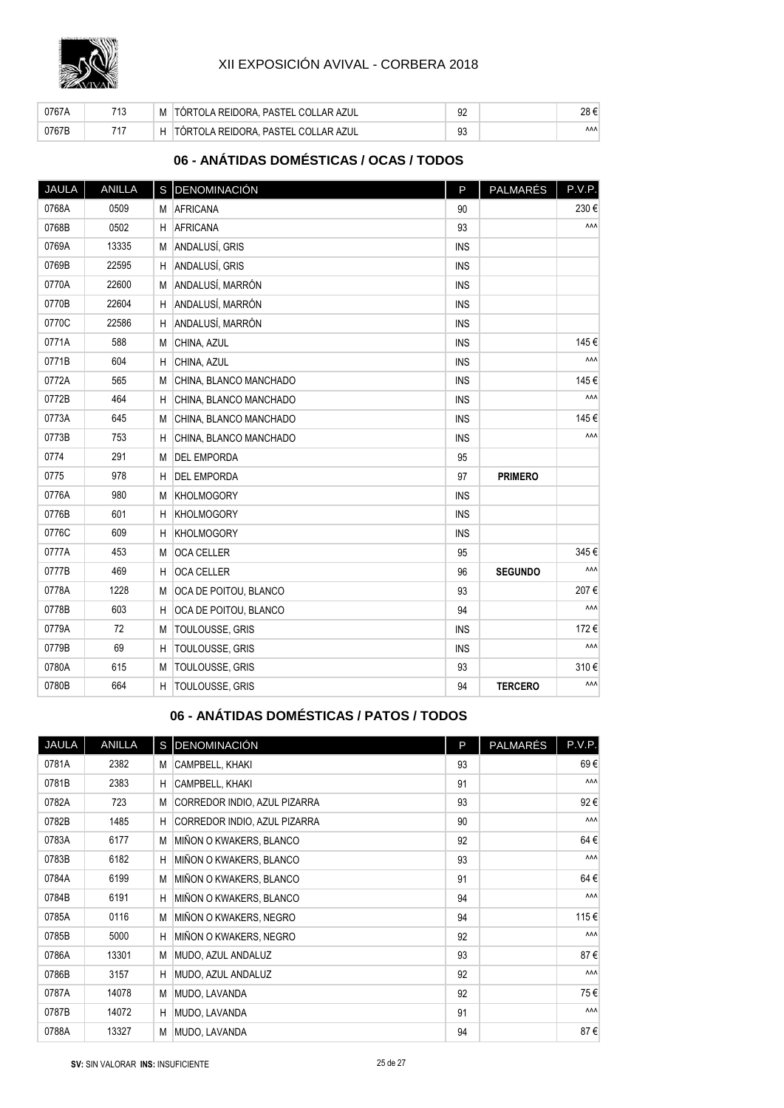

| 0767A | 740 | M | TÓRTOLA REIDORA. PASTEL COLLAR AZUL | 92 |            |
|-------|-----|---|-------------------------------------|----|------------|
| 0767B | 747 |   | TÓRTOLA REIDORA. PASTEL COLLAR AZUL | 93 | <b>AAA</b> |

## **06 - ANÁTIDAS DOMÉSTICAS / OCAS / TODOS**

| JAULA | ANILLA |   | S DENOMINACIÓN         | P          | PALMARÉS       | P.V.P. |
|-------|--------|---|------------------------|------------|----------------|--------|
| 0768A | 0509   | M | <b>AFRICANA</b>        | 90         |                | 230€   |
| 0768B | 0502   | H | AFRICANA               | 93         |                | ۸ΛΛ    |
| 0769A | 13335  | M | ANDALUSÍ, GRIS         | <b>INS</b> |                |        |
| 0769B | 22595  | H | ANDALUSÍ, GRIS         | <b>INS</b> |                |        |
| 0770A | 22600  | M | ANDALUSÍ, MARRÓN       | <b>INS</b> |                |        |
| 0770B | 22604  | H | ANDALUSÍ, MARRÓN       | <b>INS</b> |                |        |
| 0770C | 22586  | H | ANDALUSÍ, MARRÓN       | <b>INS</b> |                |        |
| 0771A | 588    | M | CHINA, AZUL            | <b>INS</b> |                | 145€   |
| 0771B | 604    | H | CHINA, AZUL            | <b>INS</b> |                | ۸۸Λ    |
| 0772A | 565    | M | CHINA, BLANCO MANCHADO | <b>INS</b> |                | 145€   |
| 0772B | 464    | H | CHINA, BLANCO MANCHADO | <b>INS</b> |                | ۸ΛΛ    |
| 0773A | 645    | M | CHINA, BLANCO MANCHADO | <b>INS</b> |                | 145€   |
| 0773B | 753    | H | CHINA, BLANCO MANCHADO | <b>INS</b> |                | ۸ΛΛ    |
| 0774  | 291    | M | <b>DEL EMPORDA</b>     | 95         |                |        |
| 0775  | 978    | H | <b>DEL EMPORDA</b>     | 97         | <b>PRIMERO</b> |        |
| 0776A | 980    | M | <b>KHOLMOGORY</b>      | <b>INS</b> |                |        |
| 0776B | 601    | H | KHOLMOGORY             | <b>INS</b> |                |        |
| 0776C | 609    | H | <b>KHOLMOGORY</b>      | <b>INS</b> |                |        |
| 0777A | 453    | M | <b>OCA CELLER</b>      | 95         |                | 345€   |
| 0777B | 469    | H | <b>OCA CELLER</b>      | 96         | <b>SEGUNDO</b> | ۸ΛΛ    |
| 0778A | 1228   | M | OCA DE POITOU, BLANCO  | 93         |                | 207€   |
| 0778B | 603    | H | OCA DE POITOU, BLANCO  | 94         |                | ۸ΛΛ    |
| 0779A | 72     | M | TOULOUSSE, GRIS        | <b>INS</b> |                | 172€   |
| 0779B | 69     | H | TOULOUSSE, GRIS        | <b>INS</b> |                | ۸ΛΛ    |
| 0780A | 615    | M | <b>TOULOUSSE, GRIS</b> | 93         |                | 310€   |
| 0780B | 664    | H | <b>TOULOUSSE, GRIS</b> | 94         | <b>TERCERO</b> | ۸ΛΛ    |

## **06 - ANÁTIDAS DOMÉSTICAS / PATOS / TODOS**

| <b>JAULA</b> | <b>ANILLA</b> |   | S DENOMINACIÓN               | P  | PALMARÉS | P.V.P.     |
|--------------|---------------|---|------------------------------|----|----------|------------|
| 0781A        | 2382          | М | CAMPBELL, KHAKI              | 93 |          | 69€        |
| 0781B        | 2383          | H | CAMPBELL, KHAKI              | 91 |          | <b>AAA</b> |
| 0782A        | 723           | M | CORREDOR INDIO, AZUL PIZARRA | 93 |          | 92€        |
| 0782B        | 1485          | H | CORREDOR INDIO, AZUL PIZARRA | 90 |          | ۸ΛΛ        |
| 0783A        | 6177          | M | MIÑON O KWAKERS, BLANCO      | 92 |          | 64€        |
| 0783B        | 6182          | H | MIÑON O KWAKERS, BLANCO      | 93 |          | <b>AAA</b> |
| 0784A        | 6199          | M | MIÑON O KWAKERS, BLANCO      | 91 |          | 64€        |
| 0784B        | 6191          | H | MIÑON O KWAKERS, BLANCO      | 94 |          | <b>AAA</b> |
| 0785A        | 0116          | M | MIÑON O KWAKERS, NEGRO       | 94 |          | 115€       |
| 0785B        | 5000          | H | MIÑON O KWAKERS, NEGRO       | 92 |          | <b>AAA</b> |
| 0786A        | 13301         | M | MUDO, AZUL ANDALUZ           | 93 |          | 87€        |
| 0786B        | 3157          | H | MUDO, AZUL ANDALUZ           | 92 |          | ۸ΛΛ        |
| 0787A        | 14078         | M | MUDO, LAVANDA                | 92 |          | 75€        |
| 0787B        | 14072         | н | MUDO, LAVANDA                | 91 |          | <b>AAA</b> |
| 0788A        | 13327         | M | MUDO, LAVANDA                | 94 |          | 87€        |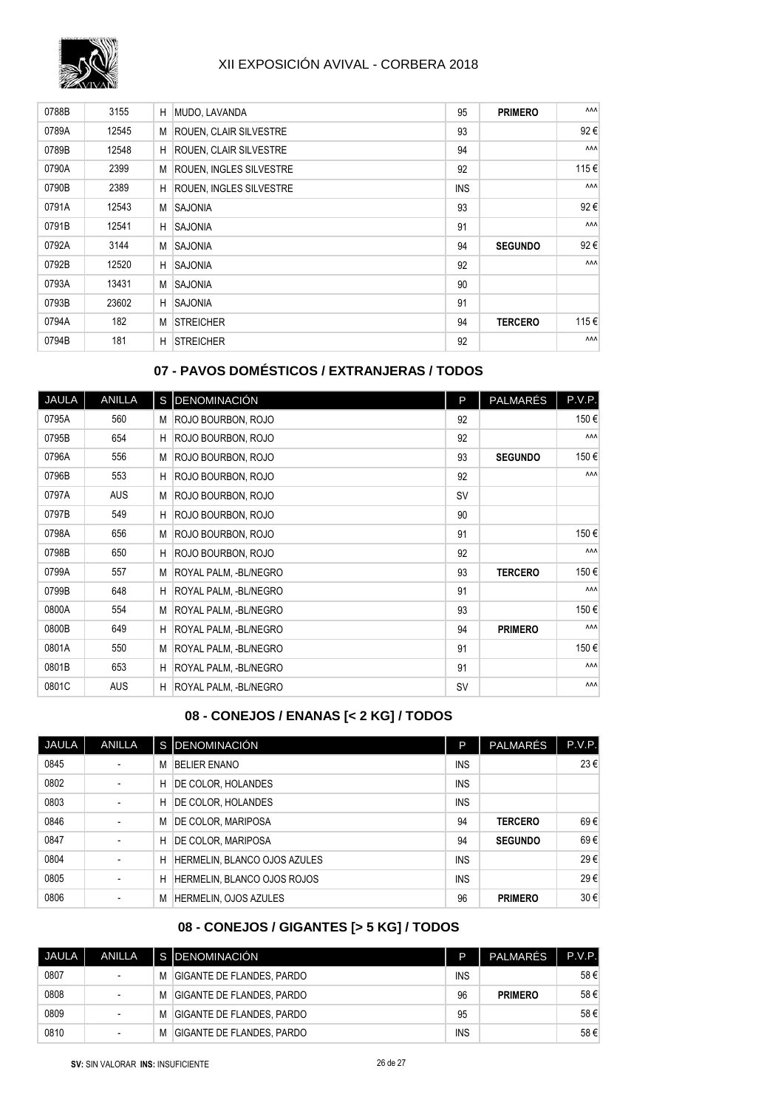

| 0788B | 3155  | Н | MUDO, LAVANDA                  | 95         | <b>PRIMERO</b> | <b>AAA</b> |
|-------|-------|---|--------------------------------|------------|----------------|------------|
| 0789A | 12545 | М | <b>ROUEN, CLAIR SILVESTRE</b>  | 93         |                | 92€        |
| 0789B | 12548 | H | <b>ROUEN, CLAIR SILVESTRE</b>  | 94         |                | <b>AAA</b> |
| 0790A | 2399  | М | <b>ROUEN, INGLES SILVESTRE</b> | 92         |                | 115€       |
| 0790B | 2389  | H | <b>ROUEN, INGLES SILVESTRE</b> | <b>INS</b> |                | <b>AAA</b> |
| 0791A | 12543 | M | <b>SAJONIA</b>                 | 93         |                | 92€        |
| 0791B | 12541 | H | <b>SAJONIA</b>                 | 91         |                | <b>AAA</b> |
| 0792A | 3144  | М | <b>SAJONIA</b>                 | 94         | <b>SEGUNDO</b> | 92€        |
| 0792B | 12520 | H | <b>SAJONIA</b>                 | 92         |                | <b>AAA</b> |
| 0793A | 13431 | М | <b>SAJONIA</b>                 | 90         |                |            |
| 0793B | 23602 | H | <b>SAJONIA</b>                 | 91         |                |            |
| 0794A | 182   | М | <b>STREICHER</b>               | 94         | <b>TERCERO</b> | 115€       |
| 0794B | 181   | H | <b>STREICHER</b>               | 92         |                | <b>AAA</b> |

## **07 - PAVOS DOMÉSTICOS / EXTRANJERAS / TODOS**

| <b>JAULA</b> | <b>ANILLA</b> |   | S DENOMINACIÓN        | P         | PALMARÉS       | P.V.P.     |
|--------------|---------------|---|-----------------------|-----------|----------------|------------|
| 0795A        | 560           |   | M ROJO BOURBON, ROJO  | 92        |                | 150€       |
| 0795B        | 654           | н | ROJO BOURBON, ROJO    | 92        |                | <b>AAA</b> |
| 0796A        | 556           | M | ROJO BOURBON, ROJO    | 93        | <b>SEGUNDO</b> | 150€       |
| 0796B        | 553           | H | ROJO BOURBON, ROJO    | 92        |                | <b>AAA</b> |
| 0797A        | <b>AUS</b>    | М | ROJO BOURBON, ROJO    | <b>SV</b> |                |            |
| 0797B        | 549           | H | ROJO BOURBON, ROJO    | 90        |                |            |
| 0798A        | 656           | M | ROJO BOURBON, ROJO    | 91        |                | 150€       |
| 0798B        | 650           | H | ROJO BOURBON, ROJO    | 92        |                | <b>AAA</b> |
| 0799A        | 557           | M | ROYAL PALM, -BL/NEGRO | 93        | <b>TERCERO</b> | 150€       |
| 0799B        | 648           | H | ROYAL PALM, -BL/NEGRO | 91        |                | <b>AAA</b> |
| 0800A        | 554           | М | ROYAL PALM, -BL/NEGRO | 93        |                | 150€       |
| 0800B        | 649           | н | ROYAL PALM, -BL/NEGRO | 94        | <b>PRIMERO</b> | <b>AAA</b> |
| 0801A        | 550           | M | ROYAL PALM, -BL/NEGRO | 91        |                | 150€       |
| 0801B        | 653           | H | ROYAL PALM, -BL/NEGRO | 91        |                | <b>AAA</b> |
| 0801C        | <b>AUS</b>    | H | ROYAL PALM, -BL/NEGRO | <b>SV</b> |                | ۸ΛΛ        |

## **08 - CONEJOS / ENANAS [< 2 KG] / TODOS**

| JAULA | <b>ANILLA</b>            |   | S DENOMINACIÓN               | P          | <b>PALMARÉS</b> | P.V.P. |
|-------|--------------------------|---|------------------------------|------------|-----------------|--------|
| 0845  | $\overline{\phantom{a}}$ | M | <b>BELIER ENANO</b>          | <b>INS</b> |                 | 23€    |
| 0802  | $\overline{\phantom{a}}$ | н | DE COLOR, HOLANDES           | <b>INS</b> |                 |        |
| 0803  | $\overline{\phantom{a}}$ | н | DE COLOR, HOLANDES           | <b>INS</b> |                 |        |
| 0846  | $\overline{\phantom{a}}$ | M | <b>DE COLOR, MARIPOSA</b>    | 94         | <b>TERCERO</b>  | 69€    |
| 0847  |                          | н | <b>DE COLOR, MARIPOSA</b>    | 94         | <b>SEGUNDO</b>  | 69€    |
| 0804  |                          | н | HERMELIN, BLANCO OJOS AZULES | <b>INS</b> |                 | 29€    |
| 0805  | $\overline{\phantom{a}}$ | Н | HERMELIN, BLANCO OJOS ROJOS  | <b>INS</b> |                 | 29€    |
| 0806  |                          | M | HERMELIN, OJOS AZULES        | 96         | <b>PRIMERO</b>  | 30€    |

#### **08 - CONEJOS / GIGANTES [> 5 KG] / TODOS**

| JAULA | ANILLA |   | I S IDENOMINACIÓN                | D          | PALMARÉS       | P.V.P. |
|-------|--------|---|----------------------------------|------------|----------------|--------|
| 0807  |        | M | GIGANTE DE FLANDES. PARDO        | <b>INS</b> |                | 58€    |
| 0808  |        | M | <b>GIGANTE DE FLANDES. PARDO</b> | 96         | <b>PRIMERO</b> | 58€    |
| 0809  |        | M | GIGANTE DE FLANDES. PARDO        | 95         |                | 58€    |
| 0810  |        | M | GIGANTE DE FLANDES. PARDO        | <b>INS</b> |                | 58€    |